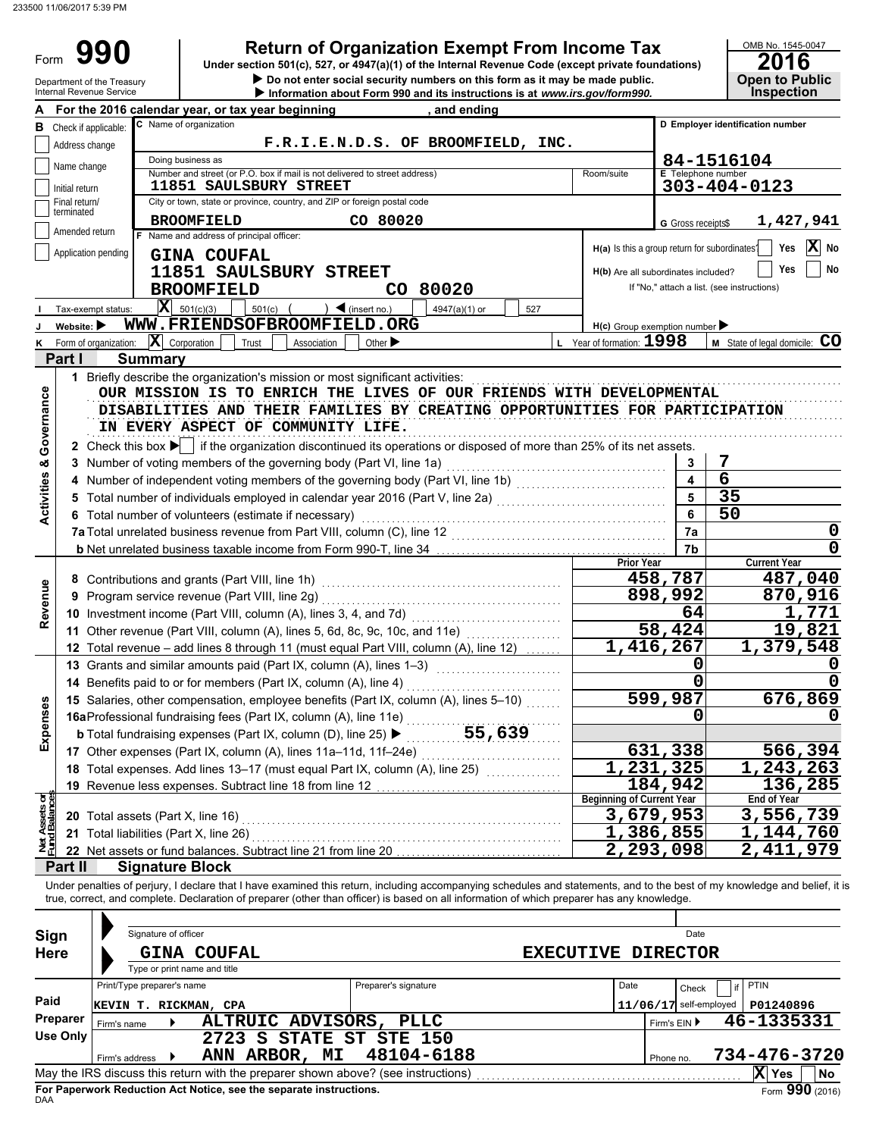Form 990

**• Do not enter social security numbers on this form as it may be made public. Open to Public 990 a 2016 2016 2016 2016 Depend in Stempt From Income Tax 2016 2016 2016** 

# OMB No. 1545-0047

|                                | Department of the Treasury<br><b>Internal Revenue Service</b> |                |                                                                                                                                                                                                                                                                                                                          | $\blacktriangleright$ Do not enter social security numbers on this form as it may be made public.<br>Information about Form 990 and its instructions is at www.irs.gov/form990. |                                               |                           | <b>Open to Public</b><br><b>Inspection</b> |
|--------------------------------|---------------------------------------------------------------|----------------|--------------------------------------------------------------------------------------------------------------------------------------------------------------------------------------------------------------------------------------------------------------------------------------------------------------------------|---------------------------------------------------------------------------------------------------------------------------------------------------------------------------------|-----------------------------------------------|---------------------------|--------------------------------------------|
|                                |                                                               |                | For the 2016 calendar year, or tax year beginning                                                                                                                                                                                                                                                                        | , and ending                                                                                                                                                                    |                                               |                           |                                            |
|                                | <b>B</b> Check if applicable:                                 |                | C Name of organization                                                                                                                                                                                                                                                                                                   |                                                                                                                                                                                 |                                               |                           | D Employer identification number           |
|                                | Address change                                                |                |                                                                                                                                                                                                                                                                                                                          | F.R.I.E.N.D.S. OF BROOMFIELD, INC.                                                                                                                                              |                                               |                           |                                            |
|                                | Name change                                                   |                | Doing business as                                                                                                                                                                                                                                                                                                        |                                                                                                                                                                                 |                                               |                           | 84-1516104                                 |
|                                |                                                               |                | Number and street (or P.O. box if mail is not delivered to street address)                                                                                                                                                                                                                                               |                                                                                                                                                                                 | Room/suite                                    | <b>E</b> Telephone number |                                            |
|                                | Initial return<br>Final return/                               |                | <b>11851 SAULSBURY STREET</b><br>City or town, state or province, country, and ZIP or foreign postal code                                                                                                                                                                                                                |                                                                                                                                                                                 |                                               |                           | $303 - 404 - 0123$                         |
|                                | terminated                                                    |                |                                                                                                                                                                                                                                                                                                                          |                                                                                                                                                                                 |                                               |                           |                                            |
|                                | Amended return                                                |                | <b>BROOMFIELD</b><br>F Name and address of principal officer:                                                                                                                                                                                                                                                            | CO 80020                                                                                                                                                                        |                                               | G Gross receipts\$        | 1,427,941                                  |
|                                | Application pending                                           |                |                                                                                                                                                                                                                                                                                                                          |                                                                                                                                                                                 | H(a) Is this a group return for subordinates? |                           | $ {\bf X} $<br>Yes<br>No                   |
|                                |                                                               |                | <b>GINA COUFAL</b>                                                                                                                                                                                                                                                                                                       |                                                                                                                                                                                 |                                               |                           | No<br>Yes                                  |
|                                |                                                               |                | 11851 SAULSBURY STREET                                                                                                                                                                                                                                                                                                   |                                                                                                                                                                                 | H(b) Are all subordinates included?           |                           | If "No," attach a list. (see instructions) |
|                                |                                                               |                | <b>BROOMFIELD</b>                                                                                                                                                                                                                                                                                                        | CO 80020                                                                                                                                                                        |                                               |                           |                                            |
|                                | Tax-exempt status:                                            |                | $ \mathbf{X} $ 501(c)(3)<br>$\blacktriangleleft$ (insert no.)<br>$501(c)$ (                                                                                                                                                                                                                                              | 4947(a)(1) or<br>527                                                                                                                                                            |                                               |                           |                                            |
|                                | Website:                                                      |                | WWW.FRIENDSOFBROOMFIELD.ORG                                                                                                                                                                                                                                                                                              |                                                                                                                                                                                 | $H(c)$ Group exemption number                 |                           |                                            |
| κ                              | Form of organization:                                         |                | $ \mathbf{X} $ Corporation<br>Trust<br>Association                                                                                                                                                                                                                                                                       | Other $\blacktriangleright$                                                                                                                                                     | L Year of formation: 1998                     |                           | <b>M</b> State of legal domicile: $CO$     |
|                                | Part I                                                        |                | <b>Summary</b>                                                                                                                                                                                                                                                                                                           |                                                                                                                                                                                 |                                               |                           |                                            |
|                                |                                                               |                | 1 Briefly describe the organization's mission or most significant activities:                                                                                                                                                                                                                                            |                                                                                                                                                                                 |                                               |                           |                                            |
| Governance                     |                                                               |                | OUR MISSION IS TO ENRICH THE LIVES OF OUR FRIENDS WITH DEVELOPMENTAL                                                                                                                                                                                                                                                     |                                                                                                                                                                                 |                                               |                           |                                            |
|                                |                                                               |                | DISABILITIES AND THEIR FAMILIES BY CREATING OPPORTUNITIES FOR PARTICIPATION                                                                                                                                                                                                                                              |                                                                                                                                                                                 |                                               |                           |                                            |
|                                |                                                               |                | IN EVERY ASPECT OF COMMUNITY LIFE.                                                                                                                                                                                                                                                                                       |                                                                                                                                                                                 |                                               |                           |                                            |
|                                |                                                               |                | 2 Check this box $\blacktriangleright$ if the organization discontinued its operations or disposed of more than 25% of its net assets.                                                                                                                                                                                   |                                                                                                                                                                                 |                                               |                           |                                            |
|                                |                                                               |                | 3 Number of voting members of the governing body (Part VI, line 1a)                                                                                                                                                                                                                                                      |                                                                                                                                                                                 |                                               | 3                         | 7                                          |
|                                |                                                               |                |                                                                                                                                                                                                                                                                                                                          |                                                                                                                                                                                 |                                               | 4                         | $\overline{6}$                             |
| <b>Activities &amp;</b>        |                                                               |                | 5 Total number of individuals employed in calendar year 2016 (Part V, line 2a) [100] (100] [100] [100] [100] [100] [100] [100] [100] [100] [100] [100] [100] [100] [100] [100] [100] [100] [100] [100] [100] [100] [100] [100]                                                                                           |                                                                                                                                                                                 |                                               | 5                         | 35                                         |
|                                |                                                               |                | 6 Total number of volunteers (estimate if necessary)                                                                                                                                                                                                                                                                     |                                                                                                                                                                                 |                                               | 6                         | 50                                         |
|                                |                                                               |                |                                                                                                                                                                                                                                                                                                                          |                                                                                                                                                                                 |                                               | 7a                        | 0                                          |
|                                |                                                               |                | b Net unrelated business taxable income from Form 990-T, line 34 [10] [10] Net unrelated business taxable income from P90-T, line 34                                                                                                                                                                                     |                                                                                                                                                                                 |                                               | 7b                        |                                            |
|                                |                                                               |                |                                                                                                                                                                                                                                                                                                                          |                                                                                                                                                                                 | <b>Prior Year</b>                             |                           | <b>Current Year</b>                        |
|                                |                                                               |                | 8 Contributions and grants (Part VIII, line 1h)                                                                                                                                                                                                                                                                          |                                                                                                                                                                                 |                                               | 458,787                   | 487,040                                    |
| Revenue                        |                                                               |                | 9 Program service revenue (Part VIII, line 2g)                                                                                                                                                                                                                                                                           |                                                                                                                                                                                 |                                               | 898,992                   | 870,916                                    |
|                                |                                                               |                | 10 Investment income (Part VIII, column (A), lines 3, 4, and 7d)                                                                                                                                                                                                                                                         |                                                                                                                                                                                 |                                               | 64                        | 1,771                                      |
|                                |                                                               |                | 11 Other revenue (Part VIII, column (A), lines 5, 6d, 8c, 9c, 10c, and 11e)                                                                                                                                                                                                                                              |                                                                                                                                                                                 |                                               | 58,424                    | 19,821                                     |
|                                |                                                               |                | 12 Total revenue - add lines 8 through 11 (must equal Part VIII, column (A), line 12)                                                                                                                                                                                                                                    |                                                                                                                                                                                 | 1,416,267                                     |                           | $\overline{1,}$ 379, 548                   |
|                                |                                                               |                | 13 Grants and similar amounts paid (Part IX, column (A), lines 1-3)                                                                                                                                                                                                                                                      |                                                                                                                                                                                 |                                               | 0                         |                                            |
|                                |                                                               |                | 14 Benefits paid to or for members (Part IX, column (A), line 4)                                                                                                                                                                                                                                                         |                                                                                                                                                                                 |                                               | ი                         |                                            |
| nses                           |                                                               |                | 15 Salaries, other compensation, employee benefits (Part IX, column (A), lines 5-10)                                                                                                                                                                                                                                     |                                                                                                                                                                                 |                                               | 599,987                   | 676,869                                    |
|                                |                                                               |                | 16aProfessional fundraising fees (Part IX, column (A), line 11e)                                                                                                                                                                                                                                                         |                                                                                                                                                                                 |                                               | 0                         |                                            |
| Exper                          |                                                               |                | <b>b</b> Total fundraising expenses (Part IX, column (D), line 25) ▶                                                                                                                                                                                                                                                     | 55,639                                                                                                                                                                          |                                               |                           |                                            |
|                                |                                                               |                | 17 Other expenses (Part IX, column (A), lines 11a-11d, 11f-24e)                                                                                                                                                                                                                                                          |                                                                                                                                                                                 |                                               | 631,338                   | 566,394                                    |
|                                |                                                               |                | 18 Total expenses. Add lines 13-17 (must equal Part IX, column (A), line 25)                                                                                                                                                                                                                                             |                                                                                                                                                                                 |                                               | 1,231,325                 | 1,243,263                                  |
|                                |                                                               |                | 19 Revenue less expenses. Subtract line 18 from line 12                                                                                                                                                                                                                                                                  |                                                                                                                                                                                 |                                               | 184,942                   | 136,285                                    |
| Net Assets or<br>Fund Balances |                                                               |                |                                                                                                                                                                                                                                                                                                                          |                                                                                                                                                                                 | <b>Beginning of Current Year</b>              |                           | <b>End of Year</b>                         |
|                                |                                                               |                | 20 Total assets (Part X, line 16) Material Contract of Total assets (Part X, line 16)                                                                                                                                                                                                                                    |                                                                                                                                                                                 |                                               | 3,679,953                 | 3,556,739                                  |
|                                |                                                               |                | 21 Total liabilities (Part X, line 26)                                                                                                                                                                                                                                                                                   |                                                                                                                                                                                 |                                               | 1,386,855<br>2,293,098    | 1,144,760                                  |
|                                |                                                               |                | 22 Net assets or fund balances. Subtract line 21 from line 20                                                                                                                                                                                                                                                            |                                                                                                                                                                                 |                                               |                           | $\overline{2}$ , 411, 979                  |
|                                | Part II                                                       |                | <b>Signature Block</b>                                                                                                                                                                                                                                                                                                   |                                                                                                                                                                                 |                                               |                           |                                            |
|                                |                                                               |                | Under penalties of perjury, I declare that I have examined this return, including accompanying schedules and statements, and to the best of my knowledge and belief, it is<br>true, correct, and complete. Declaration of preparer (other than officer) is based on all information of which preparer has any knowledge. |                                                                                                                                                                                 |                                               |                           |                                            |
|                                |                                                               |                |                                                                                                                                                                                                                                                                                                                          |                                                                                                                                                                                 |                                               |                           |                                            |
|                                |                                                               |                | Signature of officer                                                                                                                                                                                                                                                                                                     |                                                                                                                                                                                 |                                               | Date                      |                                            |
| Sign                           |                                                               |                |                                                                                                                                                                                                                                                                                                                          |                                                                                                                                                                                 |                                               |                           |                                            |
| <b>Here</b>                    |                                                               |                | <b>GINA COUFAL</b>                                                                                                                                                                                                                                                                                                       |                                                                                                                                                                                 | <b>EXECUTIVE DIRECTOR</b>                     |                           |                                            |
|                                |                                                               |                | Type or print name and title                                                                                                                                                                                                                                                                                             |                                                                                                                                                                                 |                                               |                           |                                            |
| Paid                           |                                                               |                | Print/Type preparer's name                                                                                                                                                                                                                                                                                               | Preparer's signature                                                                                                                                                            | Date                                          | Check                     | <b>PTIN</b><br>if                          |
|                                |                                                               |                | KEVIN T. RICKMAN, CPA                                                                                                                                                                                                                                                                                                    |                                                                                                                                                                                 |                                               | $11/06/17$ self-employed  | P01240896                                  |
|                                | Preparer                                                      | Firm's name    | ALTRUIC ADVISORS, PLLC                                                                                                                                                                                                                                                                                                   |                                                                                                                                                                                 |                                               | Firm's EIN ▶              | 46-1335331                                 |
|                                | <b>Use Only</b>                                               |                | 2723 S STATE ST STE 150                                                                                                                                                                                                                                                                                                  |                                                                                                                                                                                 |                                               |                           |                                            |
|                                |                                                               | Firm's address | ANN ARBOR, MI                                                                                                                                                                                                                                                                                                            | 48104-6188                                                                                                                                                                      |                                               | Phone no.                 | 734-476-3720                               |
|                                |                                                               |                | May the IRS discuss this return with the preparer shown above? (see instructions)                                                                                                                                                                                                                                        |                                                                                                                                                                                 |                                               |                           | $ X $ Yes<br>No                            |

| Sign<br><b>Here</b> | Signature of officer       | <b>GINA COUFAL</b><br>Type or print name and title                                |                      | <b>EXECUTIVE DIRECTOR</b> |              | Date                     |              |                 |
|---------------------|----------------------------|-----------------------------------------------------------------------------------|----------------------|---------------------------|--------------|--------------------------|--------------|-----------------|
|                     | Print/Type preparer's name |                                                                                   | Preparer's signature |                           | Date         | if<br>Check              | <b>PTIN</b>  |                 |
| Paid                | KEVIN T. RICKMAN, CPA      |                                                                                   |                      |                           |              | $11/06/17$ self-employed | P01240896    |                 |
| Preparer            | Firm's name                | ALTRUIC ADVISORS,                                                                 | <b>PLLC</b>          |                           | Firm's $EIN$ |                          | 46-1335331   |                 |
| Use Only            |                            | 2723 S STATE ST STE 150                                                           |                      |                           |              |                          |              |                 |
|                     | Firm's address             | ANN ARBOR, MI                                                                     | 48104-6188           |                           | Phone no.    |                          | 734-476-3720 |                 |
|                     |                            | May the IRS discuss this return with the preparer shown above? (see instructions) |                      |                           |              |                          | X Yes        | No              |
| DAA                 |                            | For Paperwork Reduction Act Notice, see the separate instructions.                |                      |                           |              |                          |              | Form 990 (2016) |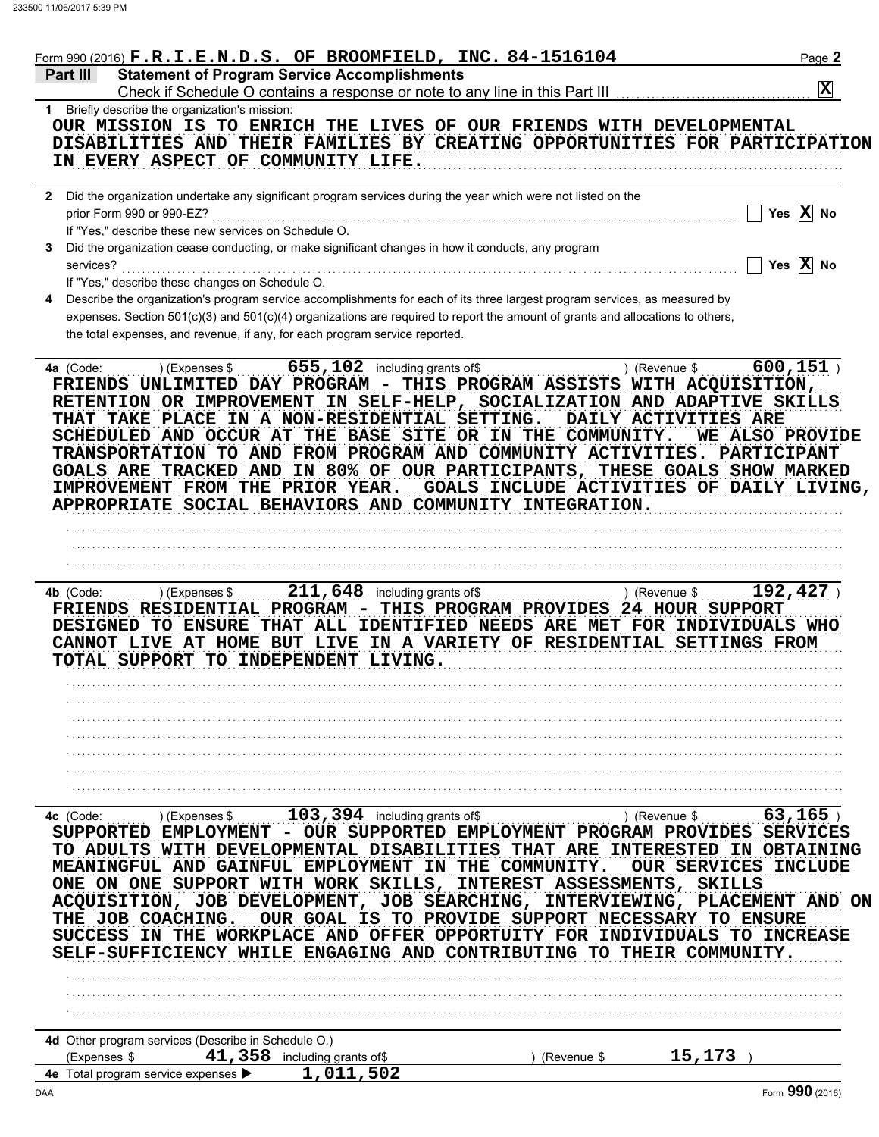| <b>Statement of Program Service Accomplishments</b><br>$ \mathbf{x} $<br>1 Briefly describe the organization's mission:<br>OUR MISSION IS TO ENRICH THE LIVES OF OUR FRIENDS WITH DEVELOPMENTAL<br>DISABILITIES AND THEIR FAMILIES BY CREATING OPPORTUNITIES FOR PARTICIPATION<br>IN EVERY ASPECT OF COMMUNITY LIFE.<br>2 Did the organization undertake any significant program services during the year which were not listed on the<br>Yes $X$ No<br>prior Form 990 or 990-EZ?<br>If "Yes," describe these new services on Schedule O.<br>Did the organization cease conducting, or make significant changes in how it conducts, any program<br>Yes $\overline{X}$ No<br>services?<br>If "Yes," describe these changes on Schedule O.<br>Describe the organization's program service accomplishments for each of its three largest program services, as measured by<br>expenses. Section 501(c)(3) and 501(c)(4) organizations are required to report the amount of grants and allocations to others,<br>the total expenses, and revenue, if any, for each program service reported.<br>600, 151)<br>655, 102 including grants of \$<br>) (Expenses \$<br>) (Revenue \$<br>FRIENDS UNLIMITED DAY PROGRAM - THIS PROGRAM ASSISTS WITH ACQUISITION,<br>RETENTION OR IMPROVEMENT IN SELF-HELP, SOCIALIZATION AND ADAPTIVE SKILLS<br>THAT TAKE PLACE IN A NON-RESIDENTIAL SETTING.<br>DAILY ACTIVITIES ARE<br>SCHEDULED AND OCCUR AT THE BASE SITE OR IN THE COMMUNITY.<br>TRANSPORTATION TO AND FROM PROGRAM AND COMMUNITY ACTIVITIES. PARTICIPANT<br>GOALS ARE TRACKED AND IN 80% OF OUR PARTICIPANTS, THESE GOALS SHOW MARKED<br>IMPROVEMENT FROM THE PRIOR YEAR.<br>GOALS INCLUDE ACTIVITIES OF DAILY LIVING,<br>APPROPRIATE SOCIAL BEHAVIORS AND COMMUNITY INTEGRATION.<br>192,427<br>$211,648$ including grants of \$<br>4b (Code:<br>) (Expenses \$<br>) (Revenue \$<br>FRIENDS RESIDENTIAL PROGRAM -<br>THIS PROGRAM PROVIDES 24 HOUR SUPPORT<br>DESIGNED TO ENSURE THAT ALL IDENTIFIED NEEDS ARE MET FOR INDIVIDUALS WHO<br>CANNOT LIVE AT HOME BUT LIVE IN A VARIETY OF RESIDENTIAL SETTINGS FROM<br>TOTAL SUPPORT TO INDEPENDENT LIVING.<br>103, 394 including grants of \$<br>$63, 165$ )<br>) (Revenue \$<br>) (Expenses \$<br>SUPPORTED EMPLOYMENT - OUR SUPPORTED EMPLOYMENT PROGRAM PROVIDES SERVICES<br>TO ADULTS WITH DEVELOPMENTAL DISABILITIES THAT ARE<br><b>INTERESTED</b><br>MEANINGFUL AND GAINFUL EMPLOYMENT IN THE COMMUNITY.<br><b>OUR SERVICES</b><br>ONE ON ONE SUPPORT WITH WORK SKILLS, INTEREST ASSESSMENTS, SKILLS<br>ACQUISITION, JOB DEVELOPMENT, JOB SEARCHING, INTERVIEWING, PLACEMENT AND ON<br>OUR GOAL IS TO PROVIDE SUPPORT NECESSARY TO ENSURE<br>IN THE WORKPLACE AND OFFER OPPORTUITY FOR INDIVIDUALS TO INCREASE<br>SELF-SUFFICIENCY WHILE ENGAGING AND CONTRIBUTING TO THEIR COMMUNITY.<br>4d Other program services (Describe in Schedule O.)<br>$41$ , 358 including grants of\$<br>15,173<br>(Expenses \$<br>(Revenue \$<br>1,011,502<br>Form 990 (2016) | Form 990 (2016) F.R.I.E.N.D.S. OF BROOMFIELD, INC. 84-1516104 |  | Page 2                         |
|----------------------------------------------------------------------------------------------------------------------------------------------------------------------------------------------------------------------------------------------------------------------------------------------------------------------------------------------------------------------------------------------------------------------------------------------------------------------------------------------------------------------------------------------------------------------------------------------------------------------------------------------------------------------------------------------------------------------------------------------------------------------------------------------------------------------------------------------------------------------------------------------------------------------------------------------------------------------------------------------------------------------------------------------------------------------------------------------------------------------------------------------------------------------------------------------------------------------------------------------------------------------------------------------------------------------------------------------------------------------------------------------------------------------------------------------------------------------------------------------------------------------------------------------------------------------------------------------------------------------------------------------------------------------------------------------------------------------------------------------------------------------------------------------------------------------------------------------------------------------------------------------------------------------------------------------------------------------------------------------------------------------------------------------------------------------------------------------------------------------------------------------------------------------------------------------------------------------------------------------------------------------------------------------------------------------------------------------------------------------------------------------------------------------------------------------------------------------------------------------------------------------------------------------------------------------------------------------------------------------------------------------------------------------------------------------------------------------------------------------------------------------------------------------------------------------------------------------------------------------------------------------------------------------------------------------------------------------------------------------------------|---------------------------------------------------------------|--|--------------------------------|
|                                                                                                                                                                                                                                                                                                                                                                                                                                                                                                                                                                                                                                                                                                                                                                                                                                                                                                                                                                                                                                                                                                                                                                                                                                                                                                                                                                                                                                                                                                                                                                                                                                                                                                                                                                                                                                                                                                                                                                                                                                                                                                                                                                                                                                                                                                                                                                                                                                                                                                                                                                                                                                                                                                                                                                                                                                                                                                                                                                                                          | Part III                                                      |  |                                |
|                                                                                                                                                                                                                                                                                                                                                                                                                                                                                                                                                                                                                                                                                                                                                                                                                                                                                                                                                                                                                                                                                                                                                                                                                                                                                                                                                                                                                                                                                                                                                                                                                                                                                                                                                                                                                                                                                                                                                                                                                                                                                                                                                                                                                                                                                                                                                                                                                                                                                                                                                                                                                                                                                                                                                                                                                                                                                                                                                                                                          |                                                               |  |                                |
|                                                                                                                                                                                                                                                                                                                                                                                                                                                                                                                                                                                                                                                                                                                                                                                                                                                                                                                                                                                                                                                                                                                                                                                                                                                                                                                                                                                                                                                                                                                                                                                                                                                                                                                                                                                                                                                                                                                                                                                                                                                                                                                                                                                                                                                                                                                                                                                                                                                                                                                                                                                                                                                                                                                                                                                                                                                                                                                                                                                                          |                                                               |  |                                |
|                                                                                                                                                                                                                                                                                                                                                                                                                                                                                                                                                                                                                                                                                                                                                                                                                                                                                                                                                                                                                                                                                                                                                                                                                                                                                                                                                                                                                                                                                                                                                                                                                                                                                                                                                                                                                                                                                                                                                                                                                                                                                                                                                                                                                                                                                                                                                                                                                                                                                                                                                                                                                                                                                                                                                                                                                                                                                                                                                                                                          |                                                               |  |                                |
|                                                                                                                                                                                                                                                                                                                                                                                                                                                                                                                                                                                                                                                                                                                                                                                                                                                                                                                                                                                                                                                                                                                                                                                                                                                                                                                                                                                                                                                                                                                                                                                                                                                                                                                                                                                                                                                                                                                                                                                                                                                                                                                                                                                                                                                                                                                                                                                                                                                                                                                                                                                                                                                                                                                                                                                                                                                                                                                                                                                                          |                                                               |  |                                |
|                                                                                                                                                                                                                                                                                                                                                                                                                                                                                                                                                                                                                                                                                                                                                                                                                                                                                                                                                                                                                                                                                                                                                                                                                                                                                                                                                                                                                                                                                                                                                                                                                                                                                                                                                                                                                                                                                                                                                                                                                                                                                                                                                                                                                                                                                                                                                                                                                                                                                                                                                                                                                                                                                                                                                                                                                                                                                                                                                                                                          |                                                               |  |                                |
|                                                                                                                                                                                                                                                                                                                                                                                                                                                                                                                                                                                                                                                                                                                                                                                                                                                                                                                                                                                                                                                                                                                                                                                                                                                                                                                                                                                                                                                                                                                                                                                                                                                                                                                                                                                                                                                                                                                                                                                                                                                                                                                                                                                                                                                                                                                                                                                                                                                                                                                                                                                                                                                                                                                                                                                                                                                                                                                                                                                                          |                                                               |  |                                |
|                                                                                                                                                                                                                                                                                                                                                                                                                                                                                                                                                                                                                                                                                                                                                                                                                                                                                                                                                                                                                                                                                                                                                                                                                                                                                                                                                                                                                                                                                                                                                                                                                                                                                                                                                                                                                                                                                                                                                                                                                                                                                                                                                                                                                                                                                                                                                                                                                                                                                                                                                                                                                                                                                                                                                                                                                                                                                                                                                                                                          |                                                               |  |                                |
|                                                                                                                                                                                                                                                                                                                                                                                                                                                                                                                                                                                                                                                                                                                                                                                                                                                                                                                                                                                                                                                                                                                                                                                                                                                                                                                                                                                                                                                                                                                                                                                                                                                                                                                                                                                                                                                                                                                                                                                                                                                                                                                                                                                                                                                                                                                                                                                                                                                                                                                                                                                                                                                                                                                                                                                                                                                                                                                                                                                                          | 4a (Code:                                                     |  | WE ALSO PROVIDE                |
|                                                                                                                                                                                                                                                                                                                                                                                                                                                                                                                                                                                                                                                                                                                                                                                                                                                                                                                                                                                                                                                                                                                                                                                                                                                                                                                                                                                                                                                                                                                                                                                                                                                                                                                                                                                                                                                                                                                                                                                                                                                                                                                                                                                                                                                                                                                                                                                                                                                                                                                                                                                                                                                                                                                                                                                                                                                                                                                                                                                                          |                                                               |  |                                |
|                                                                                                                                                                                                                                                                                                                                                                                                                                                                                                                                                                                                                                                                                                                                                                                                                                                                                                                                                                                                                                                                                                                                                                                                                                                                                                                                                                                                                                                                                                                                                                                                                                                                                                                                                                                                                                                                                                                                                                                                                                                                                                                                                                                                                                                                                                                                                                                                                                                                                                                                                                                                                                                                                                                                                                                                                                                                                                                                                                                                          |                                                               |  |                                |
|                                                                                                                                                                                                                                                                                                                                                                                                                                                                                                                                                                                                                                                                                                                                                                                                                                                                                                                                                                                                                                                                                                                                                                                                                                                                                                                                                                                                                                                                                                                                                                                                                                                                                                                                                                                                                                                                                                                                                                                                                                                                                                                                                                                                                                                                                                                                                                                                                                                                                                                                                                                                                                                                                                                                                                                                                                                                                                                                                                                                          |                                                               |  |                                |
|                                                                                                                                                                                                                                                                                                                                                                                                                                                                                                                                                                                                                                                                                                                                                                                                                                                                                                                                                                                                                                                                                                                                                                                                                                                                                                                                                                                                                                                                                                                                                                                                                                                                                                                                                                                                                                                                                                                                                                                                                                                                                                                                                                                                                                                                                                                                                                                                                                                                                                                                                                                                                                                                                                                                                                                                                                                                                                                                                                                                          |                                                               |  |                                |
|                                                                                                                                                                                                                                                                                                                                                                                                                                                                                                                                                                                                                                                                                                                                                                                                                                                                                                                                                                                                                                                                                                                                                                                                                                                                                                                                                                                                                                                                                                                                                                                                                                                                                                                                                                                                                                                                                                                                                                                                                                                                                                                                                                                                                                                                                                                                                                                                                                                                                                                                                                                                                                                                                                                                                                                                                                                                                                                                                                                                          |                                                               |  |                                |
|                                                                                                                                                                                                                                                                                                                                                                                                                                                                                                                                                                                                                                                                                                                                                                                                                                                                                                                                                                                                                                                                                                                                                                                                                                                                                                                                                                                                                                                                                                                                                                                                                                                                                                                                                                                                                                                                                                                                                                                                                                                                                                                                                                                                                                                                                                                                                                                                                                                                                                                                                                                                                                                                                                                                                                                                                                                                                                                                                                                                          |                                                               |  |                                |
|                                                                                                                                                                                                                                                                                                                                                                                                                                                                                                                                                                                                                                                                                                                                                                                                                                                                                                                                                                                                                                                                                                                                                                                                                                                                                                                                                                                                                                                                                                                                                                                                                                                                                                                                                                                                                                                                                                                                                                                                                                                                                                                                                                                                                                                                                                                                                                                                                                                                                                                                                                                                                                                                                                                                                                                                                                                                                                                                                                                                          |                                                               |  |                                |
|                                                                                                                                                                                                                                                                                                                                                                                                                                                                                                                                                                                                                                                                                                                                                                                                                                                                                                                                                                                                                                                                                                                                                                                                                                                                                                                                                                                                                                                                                                                                                                                                                                                                                                                                                                                                                                                                                                                                                                                                                                                                                                                                                                                                                                                                                                                                                                                                                                                                                                                                                                                                                                                                                                                                                                                                                                                                                                                                                                                                          |                                                               |  |                                |
|                                                                                                                                                                                                                                                                                                                                                                                                                                                                                                                                                                                                                                                                                                                                                                                                                                                                                                                                                                                                                                                                                                                                                                                                                                                                                                                                                                                                                                                                                                                                                                                                                                                                                                                                                                                                                                                                                                                                                                                                                                                                                                                                                                                                                                                                                                                                                                                                                                                                                                                                                                                                                                                                                                                                                                                                                                                                                                                                                                                                          |                                                               |  |                                |
|                                                                                                                                                                                                                                                                                                                                                                                                                                                                                                                                                                                                                                                                                                                                                                                                                                                                                                                                                                                                                                                                                                                                                                                                                                                                                                                                                                                                                                                                                                                                                                                                                                                                                                                                                                                                                                                                                                                                                                                                                                                                                                                                                                                                                                                                                                                                                                                                                                                                                                                                                                                                                                                                                                                                                                                                                                                                                                                                                                                                          |                                                               |  |                                |
|                                                                                                                                                                                                                                                                                                                                                                                                                                                                                                                                                                                                                                                                                                                                                                                                                                                                                                                                                                                                                                                                                                                                                                                                                                                                                                                                                                                                                                                                                                                                                                                                                                                                                                                                                                                                                                                                                                                                                                                                                                                                                                                                                                                                                                                                                                                                                                                                                                                                                                                                                                                                                                                                                                                                                                                                                                                                                                                                                                                                          | 4c (Code:<br>THE JOB COACHING.<br><b>SUCCESS</b>              |  | IN OBTAINING<br><b>INCLUDE</b> |
|                                                                                                                                                                                                                                                                                                                                                                                                                                                                                                                                                                                                                                                                                                                                                                                                                                                                                                                                                                                                                                                                                                                                                                                                                                                                                                                                                                                                                                                                                                                                                                                                                                                                                                                                                                                                                                                                                                                                                                                                                                                                                                                                                                                                                                                                                                                                                                                                                                                                                                                                                                                                                                                                                                                                                                                                                                                                                                                                                                                                          |                                                               |  |                                |
|                                                                                                                                                                                                                                                                                                                                                                                                                                                                                                                                                                                                                                                                                                                                                                                                                                                                                                                                                                                                                                                                                                                                                                                                                                                                                                                                                                                                                                                                                                                                                                                                                                                                                                                                                                                                                                                                                                                                                                                                                                                                                                                                                                                                                                                                                                                                                                                                                                                                                                                                                                                                                                                                                                                                                                                                                                                                                                                                                                                                          |                                                               |  |                                |
|                                                                                                                                                                                                                                                                                                                                                                                                                                                                                                                                                                                                                                                                                                                                                                                                                                                                                                                                                                                                                                                                                                                                                                                                                                                                                                                                                                                                                                                                                                                                                                                                                                                                                                                                                                                                                                                                                                                                                                                                                                                                                                                                                                                                                                                                                                                                                                                                                                                                                                                                                                                                                                                                                                                                                                                                                                                                                                                                                                                                          |                                                               |  |                                |
|                                                                                                                                                                                                                                                                                                                                                                                                                                                                                                                                                                                                                                                                                                                                                                                                                                                                                                                                                                                                                                                                                                                                                                                                                                                                                                                                                                                                                                                                                                                                                                                                                                                                                                                                                                                                                                                                                                                                                                                                                                                                                                                                                                                                                                                                                                                                                                                                                                                                                                                                                                                                                                                                                                                                                                                                                                                                                                                                                                                                          | 4e Total program service expenses >                           |  |                                |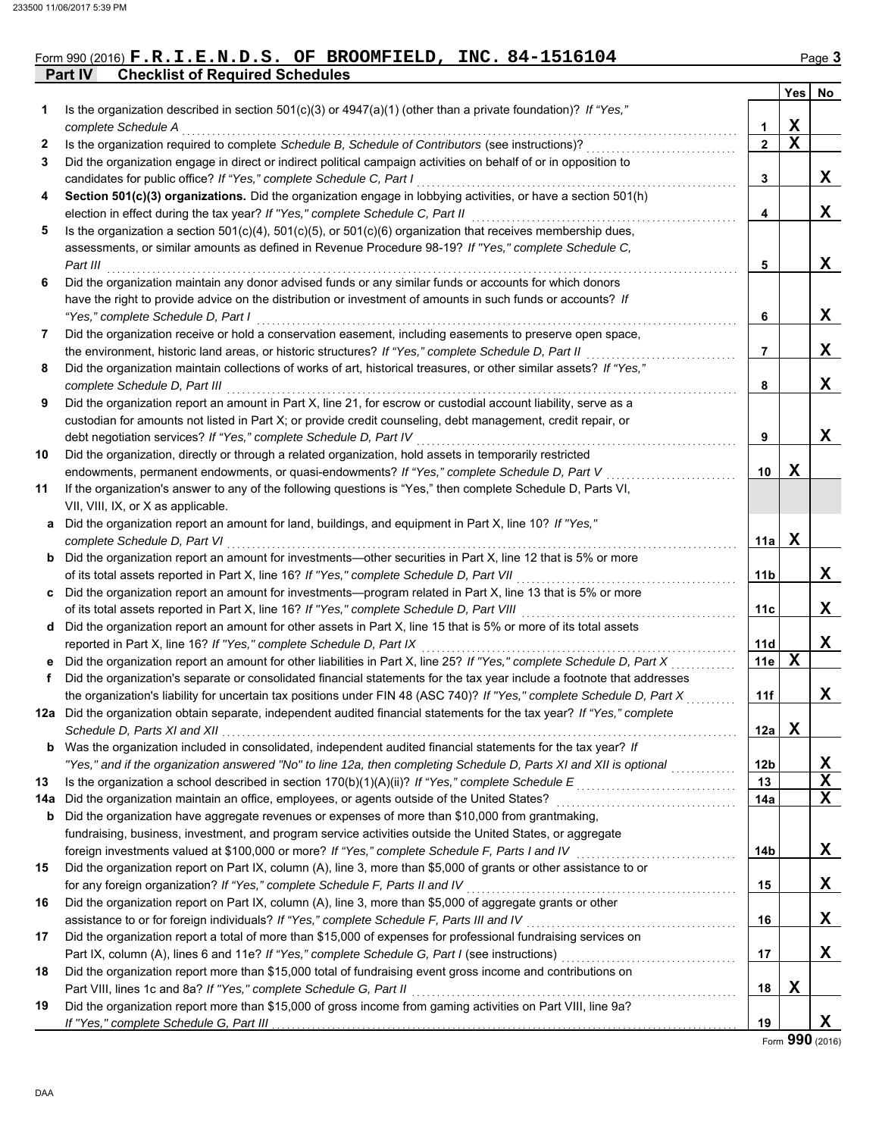### Form 990 (2016) **F.R.I.E.N.D.S. OF BROOMFIELD, INC. 84-1516104** Page 3

**Part IV Checklist of Required Schedules**

|     |                                                                                                                                                                                                         |                 | Yes | No          |
|-----|---------------------------------------------------------------------------------------------------------------------------------------------------------------------------------------------------------|-----------------|-----|-------------|
| 1   | Is the organization described in section 501(c)(3) or 4947(a)(1) (other than a private foundation)? If "Yes,"                                                                                           |                 |     |             |
|     | complete Schedule A                                                                                                                                                                                     | 1               | X   |             |
| 2   | Is the organization required to complete Schedule B, Schedule of Contributors (see instructions)?                                                                                                       | $\overline{2}$  | X   |             |
| 3   | Did the organization engage in direct or indirect political campaign activities on behalf of or in opposition to                                                                                        |                 |     |             |
|     | candidates for public office? If "Yes," complete Schedule C, Part I                                                                                                                                     | 3               |     | X           |
| 4   | Section 501(c)(3) organizations. Did the organization engage in lobbying activities, or have a section 501(h)                                                                                           |                 |     |             |
|     | election in effect during the tax year? If "Yes," complete Schedule C, Part II                                                                                                                          | 4               |     | X           |
| 5   | Is the organization a section $501(c)(4)$ , $501(c)(5)$ , or $501(c)(6)$ organization that receives membership dues,                                                                                    |                 |     |             |
|     | assessments, or similar amounts as defined in Revenue Procedure 98-19? If "Yes," complete Schedule C,                                                                                                   |                 |     |             |
|     | Part III                                                                                                                                                                                                | 5               |     | X           |
| 6   | Did the organization maintain any donor advised funds or any similar funds or accounts for which donors                                                                                                 |                 |     |             |
|     | have the right to provide advice on the distribution or investment of amounts in such funds or accounts? If                                                                                             |                 |     |             |
|     | "Yes," complete Schedule D, Part I                                                                                                                                                                      | 6               |     | X           |
| 7   | Did the organization receive or hold a conservation easement, including easements to preserve open space,                                                                                               |                 |     |             |
|     | the environment, historic land areas, or historic structures? If "Yes," complete Schedule D, Part II                                                                                                    | 7               |     | X           |
| 8   | Did the organization maintain collections of works of art, historical treasures, or other similar assets? If "Yes,"                                                                                     |                 |     |             |
|     | complete Schedule D, Part III                                                                                                                                                                           | 8               |     | X           |
| 9   | Did the organization report an amount in Part X, line 21, for escrow or custodial account liability, serve as a                                                                                         |                 |     |             |
|     | custodian for amounts not listed in Part X; or provide credit counseling, debt management, credit repair, or<br>debt negotiation services? If "Yes," complete Schedule D, Part IV                       |                 |     | X           |
|     |                                                                                                                                                                                                         | 9               |     |             |
| 10  | Did the organization, directly or through a related organization, hold assets in temporarily restricted<br>endowments, permanent endowments, or quasi-endowments? If "Yes," complete Schedule D, Part V | 10              | X   |             |
| 11  | If the organization's answer to any of the following questions is "Yes," then complete Schedule D, Parts VI,                                                                                            |                 |     |             |
|     | VII, VIII, IX, or X as applicable.                                                                                                                                                                      |                 |     |             |
| a   | Did the organization report an amount for land, buildings, and equipment in Part X, line 10? If "Yes,"                                                                                                  |                 |     |             |
|     | complete Schedule D, Part VI                                                                                                                                                                            | 11a             | X   |             |
| b   | Did the organization report an amount for investments—other securities in Part X, line 12 that is 5% or more                                                                                            |                 |     |             |
|     | of its total assets reported in Part X, line 16? If "Yes," complete Schedule D, Part VII                                                                                                                | 11b             |     | X           |
| C   | Did the organization report an amount for investments—program related in Part X, line 13 that is 5% or more                                                                                             |                 |     |             |
|     | of its total assets reported in Part X, line 16? If "Yes," complete Schedule D, Part VIII                                                                                                               | 11 <sub>c</sub> |     | x           |
| d   | Did the organization report an amount for other assets in Part X, line 15 that is 5% or more of its total assets                                                                                        |                 |     |             |
|     | reported in Part X, line 16? If "Yes," complete Schedule D, Part IX                                                                                                                                     | 11d             |     | X           |
| е   | Did the organization report an amount for other liabilities in Part X, line 25? If "Yes," complete Schedule D, Part X                                                                                   | 11e             | X   |             |
| f   | Did the organization's separate or consolidated financial statements for the tax year include a footnote that addresses                                                                                 |                 |     |             |
|     | the organization's liability for uncertain tax positions under FIN 48 (ASC 740)? If "Yes," complete Schedule D, Part X                                                                                  | 11f             |     | X           |
|     | 12a Did the organization obtain separate, independent audited financial statements for the tax year? If "Yes," complete                                                                                 |                 |     |             |
|     | Schedule D, Parts XI and XII                                                                                                                                                                            | 12a             | X   |             |
|     | <b>b</b> Was the organization included in consolidated, independent audited financial statements for the tax year? If                                                                                   |                 |     |             |
|     | "Yes," and if the organization answered "No" to line 12a, then completing Schedule D, Parts XI and XII is optional                                                                                      | 12 <sub>b</sub> |     | X           |
| 13  | Is the organization a school described in section $170(b)(1)(A)(ii)?$ If "Yes," complete Schedule E                                                                                                     | 13              |     | $\mathbf X$ |
| 14а | Did the organization maintain an office, employees, or agents outside of the United States?                                                                                                             | 14a             |     | X           |
| b   | Did the organization have aggregate revenues or expenses of more than \$10,000 from grantmaking,                                                                                                        |                 |     |             |
|     | fundraising, business, investment, and program service activities outside the United States, or aggregate                                                                                               |                 |     |             |
|     | foreign investments valued at \$100,000 or more? If "Yes," complete Schedule F, Parts I and IV                                                                                                          | 14 <sub>b</sub> |     | X           |
| 15  | Did the organization report on Part IX, column (A), line 3, more than \$5,000 of grants or other assistance to or                                                                                       |                 |     |             |
|     | for any foreign organization? If "Yes," complete Schedule F, Parts II and IV                                                                                                                            | 15              |     | X           |
| 16  | Did the organization report on Part IX, column (A), line 3, more than \$5,000 of aggregate grants or other                                                                                              |                 |     |             |
|     | assistance to or for foreign individuals? If "Yes," complete Schedule F, Parts III and IV                                                                                                               | 16              |     | X           |
| 17  | Did the organization report a total of more than \$15,000 of expenses for professional fundraising services on                                                                                          |                 |     |             |
|     |                                                                                                                                                                                                         | 17              |     | X           |
| 18  | Did the organization report more than \$15,000 total of fundraising event gross income and contributions on                                                                                             |                 |     |             |
|     | Part VIII, lines 1c and 8a? If "Yes," complete Schedule G, Part II                                                                                                                                      | 18              | Х   |             |
| 19  | Did the organization report more than \$15,000 of gross income from gaming activities on Part VIII, line 9a?                                                                                            |                 |     |             |
|     |                                                                                                                                                                                                         | 19              |     | X,          |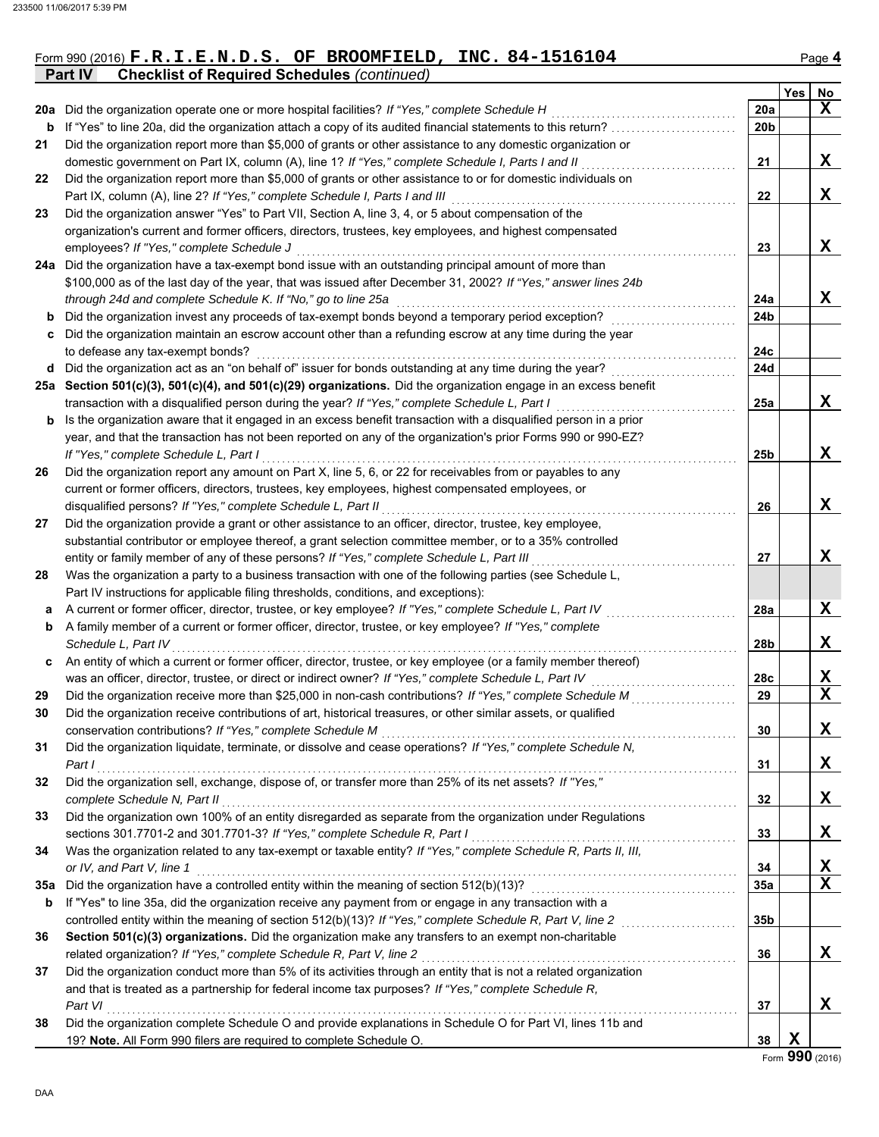|                                                            | Form 990 (2016) $F.R.I.E.N.D.S.$ OF BROOMFIELD, INC. 84-1516104 | $P$ age 4 |
|------------------------------------------------------------|-----------------------------------------------------------------|-----------|
| <b>Part IV</b> Checklist of Required Schedules (continued) |                                                                 |           |

|     |                                                                                                                  |                 | Yes | No                      |
|-----|------------------------------------------------------------------------------------------------------------------|-----------------|-----|-------------------------|
| 20a | Did the organization operate one or more hospital facilities? If "Yes," complete Schedule H                      | 20a             |     | X                       |
| b   | If "Yes" to line 20a, did the organization attach a copy of its audited financial statements to this return?     | 20 <sub>b</sub> |     |                         |
| 21  | Did the organization report more than \$5,000 of grants or other assistance to any domestic organization or      |                 |     |                         |
|     | domestic government on Part IX, column (A), line 1? If "Yes," complete Schedule I, Parts I and II                | 21              |     | X                       |
| 22  | Did the organization report more than \$5,000 of grants or other assistance to or for domestic individuals on    |                 |     |                         |
|     | Part IX, column (A), line 2? If "Yes," complete Schedule I, Parts I and III                                      | 22              |     | X                       |
| 23  | Did the organization answer "Yes" to Part VII, Section A, line 3, 4, or 5 about compensation of the              |                 |     |                         |
|     | organization's current and former officers, directors, trustees, key employees, and highest compensated          |                 |     |                         |
|     | employees? If "Yes," complete Schedule J                                                                         | 23              |     | X                       |
|     | 24a Did the organization have a tax-exempt bond issue with an outstanding principal amount of more than          |                 |     |                         |
|     | \$100,000 as of the last day of the year, that was issued after December 31, 2002? If "Yes," answer lines 24b    |                 |     |                         |
|     | through 24d and complete Schedule K. If "No," go to line 25a                                                     | 24a             |     | X                       |
|     | Did the organization invest any proceeds of tax-exempt bonds beyond a temporary period exception?                | 24 <sub>b</sub> |     |                         |
|     | Did the organization maintain an escrow account other than a refunding escrow at any time during the year        |                 |     |                         |
|     | to defease any tax-exempt bonds?                                                                                 | 24c             |     |                         |
| d   | Did the organization act as an "on behalf of" issuer for bonds outstanding at any time during the year?          | 24d             |     |                         |
|     | 25a Section 501(c)(3), 501(c)(4), and 501(c)(29) organizations. Did the organization engage in an excess benefit |                 |     |                         |
|     | transaction with a disqualified person during the year? If "Yes," complete Schedule L, Part I                    | 25a             |     | X                       |
| b   | Is the organization aware that it engaged in an excess benefit transaction with a disqualified person in a prior |                 |     |                         |
|     | year, and that the transaction has not been reported on any of the organization's prior Forms 990 or 990-EZ?     |                 |     |                         |
|     | If "Yes," complete Schedule L, Part I                                                                            | 25 <sub>b</sub> |     | X                       |
| 26  | Did the organization report any amount on Part X, line 5, 6, or 22 for receivables from or payables to any       |                 |     |                         |
|     | current or former officers, directors, trustees, key employees, highest compensated employees, or                |                 |     |                         |
|     | disqualified persons? If "Yes," complete Schedule L, Part II                                                     | 26              |     | X                       |
| 27  | Did the organization provide a grant or other assistance to an officer, director, trustee, key employee,         |                 |     |                         |
|     | substantial contributor or employee thereof, a grant selection committee member, or to a 35% controlled          |                 |     |                         |
|     | entity or family member of any of these persons? If "Yes," complete Schedule L, Part III                         | 27              |     | X                       |
| 28  | Was the organization a party to a business transaction with one of the following parties (see Schedule L,        |                 |     |                         |
|     | Part IV instructions for applicable filing thresholds, conditions, and exceptions):                              |                 |     |                         |
| а   | A current or former officer, director, trustee, or key employee? If "Yes," complete Schedule L, Part IV          | <b>28a</b>      |     | X                       |
| b   | A family member of a current or former officer, director, trustee, or key employee? If "Yes," complete           |                 |     |                         |
|     | Schedule L, Part IV                                                                                              | 28b             |     | X                       |
| C   | An entity of which a current or former officer, director, trustee, or key employee (or a family member thereof)  |                 |     |                         |
|     | was an officer, director, trustee, or direct or indirect owner? If "Yes," complete Schedule L, Part IV           | 28c             |     | X                       |
| 29  | Did the organization receive more than \$25,000 in non-cash contributions? If "Yes," complete Schedule M         | 29              |     | $\overline{\mathbf{x}}$ |
| 30  | Did the organization receive contributions of art, historical treasures, or other similar assets, or qualified   |                 |     |                         |
|     | conservation contributions? If "Yes," complete Schedule M                                                        | 30              |     | X                       |
| 31  | Did the organization liquidate, terminate, or dissolve and cease operations? If "Yes," complete Schedule N,      |                 |     |                         |
|     | Part I                                                                                                           | 31              |     | X                       |
| 32  | Did the organization sell, exchange, dispose of, or transfer more than 25% of its net assets? If "Yes,"          |                 |     |                         |
|     | complete Schedule N, Part II                                                                                     | 32              |     | X                       |
| 33  | Did the organization own 100% of an entity disregarded as separate from the organization under Regulations       |                 |     |                         |
|     | sections 301.7701-2 and 301.7701-3? If "Yes," complete Schedule R, Part I                                        | 33              |     | X                       |
| 34  | Was the organization related to any tax-exempt or taxable entity? If "Yes," complete Schedule R, Parts II, III,  |                 |     |                         |
|     | or IV, and Part V, line 1                                                                                        | 34              |     | X                       |
| 35a | Did the organization have a controlled entity within the meaning of section 512(b)(13)?                          | 35a             |     | $\mathbf x$             |
| b   | If "Yes" to line 35a, did the organization receive any payment from or engage in any transaction with a          |                 |     |                         |
|     | controlled entity within the meaning of section 512(b)(13)? If "Yes," complete Schedule R, Part V, line 2        | 35b             |     |                         |
| 36  | Section 501(c)(3) organizations. Did the organization make any transfers to an exempt non-charitable             |                 |     |                         |
|     | related organization? If "Yes," complete Schedule R, Part V, line 2                                              | 36              |     | X                       |
| 37  | Did the organization conduct more than 5% of its activities through an entity that is not a related organization |                 |     |                         |
|     | and that is treated as a partnership for federal income tax purposes? If "Yes," complete Schedule R,             |                 |     |                         |
|     | Part VI                                                                                                          | 37              |     | X                       |
| 38  | Did the organization complete Schedule O and provide explanations in Schedule O for Part VI, lines 11b and       |                 |     |                         |
|     | 19? Note. All Form 990 filers are required to complete Schedule O.                                               | 38              | X   |                         |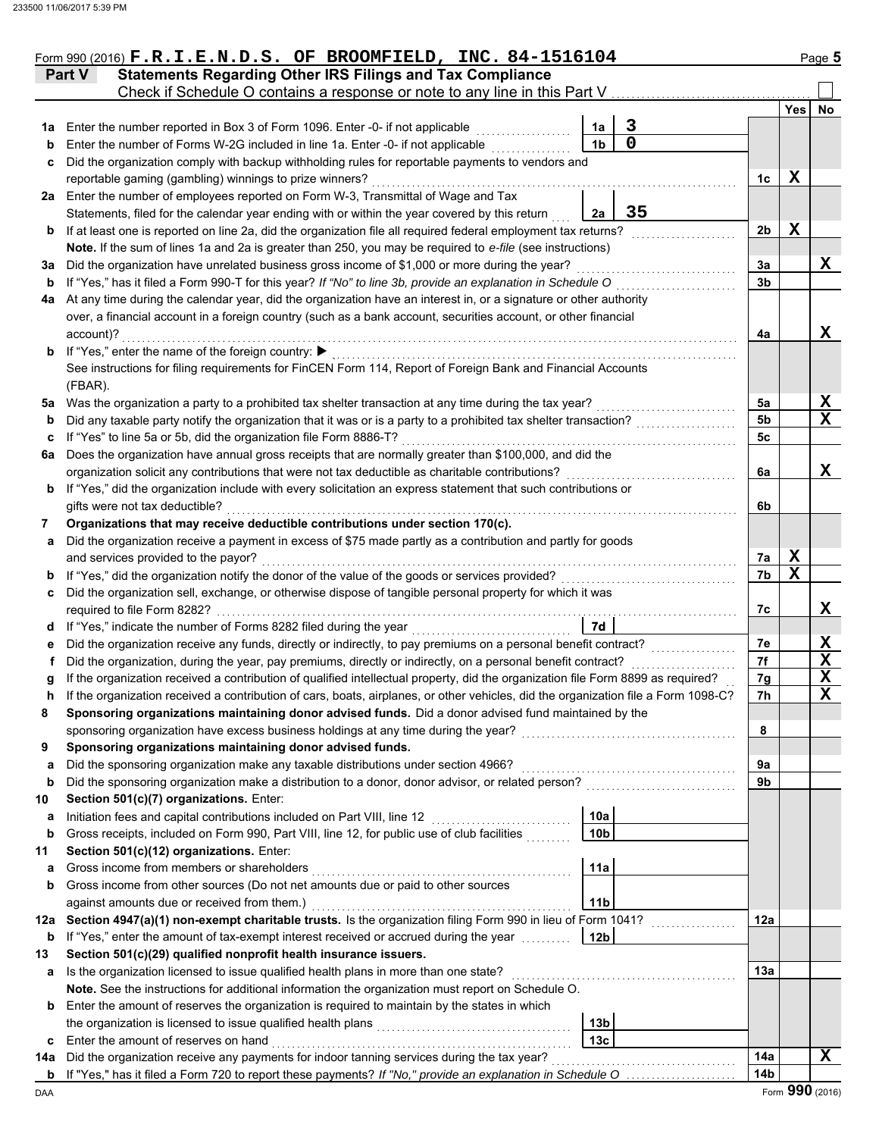|      | Form 990 (2016) $F.R.I.E.N.D.S.$ OF BROOMFIELD, INC. 84-1516104                                                                    |                 |                                                                                                                       |                |             | Page 5          |
|------|------------------------------------------------------------------------------------------------------------------------------------|-----------------|-----------------------------------------------------------------------------------------------------------------------|----------------|-------------|-----------------|
|      | <b>Statements Regarding Other IRS Filings and Tax Compliance</b><br><b>Part V</b>                                                  |                 |                                                                                                                       |                |             |                 |
|      |                                                                                                                                    |                 |                                                                                                                       |                |             |                 |
|      |                                                                                                                                    |                 |                                                                                                                       |                | Yes         | No              |
| 1а   | Enter the number reported in Box 3 of Form 1096. Enter -0- if not applicable                                                       | 1a              | 3                                                                                                                     |                |             |                 |
| b    | Enter the number of Forms W-2G included in line 1a. Enter -0- if not applicable                                                    | 1 <sub>b</sub>  | 0                                                                                                                     |                |             |                 |
| c    | Did the organization comply with backup withholding rules for reportable payments to vendors and                                   |                 |                                                                                                                       |                |             |                 |
|      | reportable gaming (gambling) winnings to prize winners?                                                                            |                 |                                                                                                                       | 1c             | X           |                 |
| 2a l | Enter the number of employees reported on Form W-3, Transmittal of Wage and Tax                                                    |                 |                                                                                                                       |                |             |                 |
|      | Statements, filed for the calendar year ending with or within the year covered by this return                                      | 2a              | 35                                                                                                                    |                |             |                 |
| b    | If at least one is reported on line 2a, did the organization file all required federal employment tax returns?                     |                 |                                                                                                                       | 2 <sub>b</sub> | X           |                 |
|      | Note. If the sum of lines 1a and 2a is greater than 250, you may be required to e-file (see instructions)                          |                 |                                                                                                                       |                |             |                 |
| За   | Did the organization have unrelated business gross income of \$1,000 or more during the year?                                      |                 |                                                                                                                       | За             |             | X               |
| b    | If "Yes," has it filed a Form 990-T for this year? If "No" to line 3b, provide an explanation in Schedule O                        |                 |                                                                                                                       | 3b             |             |                 |
| 4a   | At any time during the calendar year, did the organization have an interest in, or a signature or other authority                  |                 |                                                                                                                       |                |             |                 |
|      | over, a financial account in a foreign country (such as a bank account, securities account, or other financial                     |                 |                                                                                                                       |                |             |                 |
|      | account)?                                                                                                                          |                 |                                                                                                                       | 4a             |             | x               |
|      | <b>b</b> If "Yes," enter the name of the foreign country: ▶                                                                        |                 |                                                                                                                       |                |             |                 |
|      | See instructions for filing requirements for FinCEN Form 114, Report of Foreign Bank and Financial Accounts                        |                 |                                                                                                                       |                |             |                 |
|      | (FBAR).                                                                                                                            |                 |                                                                                                                       |                |             |                 |
|      | 5a Was the organization a party to a prohibited tax shelter transaction at any time during the tax year?                           |                 |                                                                                                                       | 5a             |             | Х               |
| b    | Did any taxable party notify the organization that it was or is a party to a prohibited tax shelter transaction?                   |                 |                                                                                                                       | 5b             |             | X               |
| c    | If "Yes" to line 5a or 5b, did the organization file Form 8886-T?                                                                  |                 |                                                                                                                       | 5c             |             |                 |
| 6a   | Does the organization have annual gross receipts that are normally greater than \$100,000, and did the                             |                 |                                                                                                                       |                |             |                 |
|      | organization solicit any contributions that were not tax deductible as charitable contributions?                                   |                 |                                                                                                                       | 6a             |             | x               |
| b    | If "Yes," did the organization include with every solicitation an express statement that such contributions or                     |                 |                                                                                                                       |                |             |                 |
|      | gifts were not tax deductible?                                                                                                     |                 |                                                                                                                       | 6b             |             |                 |
| 7    | Organizations that may receive deductible contributions under section 170(c).                                                      |                 |                                                                                                                       |                |             |                 |
| a    | Did the organization receive a payment in excess of \$75 made partly as a contribution and partly for goods                        |                 |                                                                                                                       |                |             |                 |
|      | and services provided to the payor?                                                                                                |                 |                                                                                                                       | 7a             | X           |                 |
| b    |                                                                                                                                    |                 |                                                                                                                       | 7b             | $\mathbf x$ |                 |
| c    | Did the organization sell, exchange, or otherwise dispose of tangible personal property for which it was                           |                 |                                                                                                                       |                |             |                 |
|      | required to file Form 8282?                                                                                                        |                 |                                                                                                                       | 7с             |             | x               |
| d    | If "Yes," indicate the number of Forms 8282 filed during the year<br>[[[[[[[[[[[[[[[[]]]]]]                                        | 7d              |                                                                                                                       |                |             |                 |
| е    | Did the organization receive any funds, directly or indirectly, to pay premiums on a personal benefit contract?                    |                 |                                                                                                                       | 7e             |             | X               |
| Ť.   | Did the organization, during the year, pay premiums, directly or indirectly, on a personal benefit contract?                       |                 |                                                                                                                       | 7f             |             | X               |
| g    | If the organization received a contribution of qualified intellectual property, did the organization file Form 8899 as required?   |                 |                                                                                                                       | 7g             |             | $\mathbf x$     |
| n    | If the organization received a contribution of cars, boats, airplanes, or other vehicles, did the organization file a Form 1098-C? |                 |                                                                                                                       | 7h             |             | X.              |
| 8    | Sponsoring organizations maintaining donor advised funds. Did a donor advised fund maintained by the                               |                 |                                                                                                                       |                |             |                 |
|      | sponsoring organization have excess business holdings at any time during the year?                                                 |                 |                                                                                                                       | 8              |             |                 |
| 9    | Sponsoring organizations maintaining donor advised funds.                                                                          |                 |                                                                                                                       |                |             |                 |
| a    | Did the sponsoring organization make any taxable distributions under section 4966?                                                 |                 |                                                                                                                       | 9a             |             |                 |
| b    |                                                                                                                                    |                 |                                                                                                                       | 9b             |             |                 |
| 10   | Section 501(c)(7) organizations. Enter:                                                                                            |                 |                                                                                                                       |                |             |                 |
| a    | Initiation fees and capital contributions included on Part VIII, line 12                                                           | 10a             |                                                                                                                       |                |             |                 |
| b    | Gross receipts, included on Form 990, Part VIII, line 12, for public use of club facilities                                        | 10 <sub>b</sub> |                                                                                                                       |                |             |                 |
| 11   | Section 501(c)(12) organizations. Enter:                                                                                           |                 |                                                                                                                       |                |             |                 |
| a    | Gross income from members or shareholders                                                                                          | 11a             |                                                                                                                       |                |             |                 |
| b    | Gross income from other sources (Do not net amounts due or paid to other sources                                                   |                 |                                                                                                                       |                |             |                 |
|      | against amounts due or received from them.)                                                                                        | 11 <sub>b</sub> |                                                                                                                       |                |             |                 |
| 12a  | Section 4947(a)(1) non-exempt charitable trusts. Is the organization filing Form 990 in lieu of Form 1041?                         |                 | .                                                                                                                     | 12a            |             |                 |
| b    | If "Yes," enter the amount of tax-exempt interest received or accrued during the year                                              | 12 <sub>b</sub> |                                                                                                                       |                |             |                 |
| 13   | Section 501(c)(29) qualified nonprofit health insurance issuers.                                                                   |                 |                                                                                                                       |                |             |                 |
| а    | Is the organization licensed to issue qualified health plans in more than one state?                                               |                 |                                                                                                                       | 13а            |             |                 |
|      | Note. See the instructions for additional information the organization must report on Schedule O.                                  |                 |                                                                                                                       |                |             |                 |
| b    | Enter the amount of reserves the organization is required to maintain by the states in which                                       |                 |                                                                                                                       |                |             |                 |
|      |                                                                                                                                    | 13 <sub>b</sub> |                                                                                                                       |                |             |                 |
| c    | Enter the amount of reserves on hand                                                                                               | 13 <sub>c</sub> |                                                                                                                       |                |             |                 |
| 14a  | Did the organization receive any payments for indoor tanning services during the tax year?                                         |                 | <u> 1986 - Johann Stoff, deutscher Stoff, der Stoff, der Stoff, der Stoff, der Stoff, der Stoff, der Stoff, der S</u> | 14a            |             | $\mathbf x$     |
| b    | If "Yes," has it filed a Form 720 to report these payments? If "No," provide an explanation in Schedule O                          |                 |                                                                                                                       | 14b            |             |                 |
| DAA  |                                                                                                                                    |                 |                                                                                                                       |                |             | Form 990 (2016) |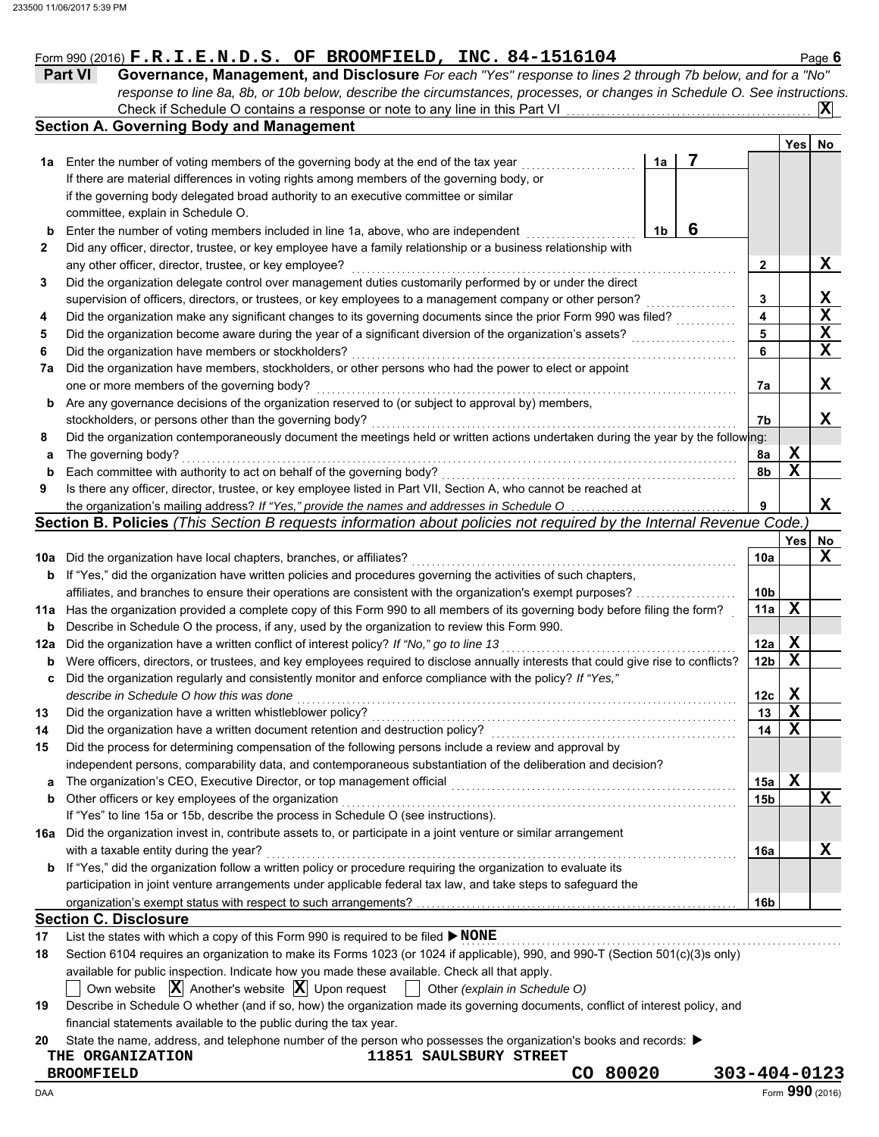#### Form 990 (2016)  $\mathbf{F} \cdot \mathbf{R} \cdot \mathbf{I} \cdot \mathbf{E} \cdot \mathbf{N} \cdot \mathbf{D} \cdot \mathbf{S}$  **.** OF BROOMFIELD, INC. 84-1516104 Page 6

| <b>Part VI</b> | Governance, Management, and Disclosure For each "Yes" response to lines 2 through 7b below, and for a "No"                |  |
|----------------|---------------------------------------------------------------------------------------------------------------------------|--|
|                | response to line 8a, 8b, or 10b below, describe the circumstances, processes, or changes in Schedule O. See instructions. |  |
|                |                                                                                                                           |  |
|                | Section A. Governing Body and Management                                                                                  |  |

|     |                                                                                                                                     |    |   |                         | Yes         | No                      |
|-----|-------------------------------------------------------------------------------------------------------------------------------------|----|---|-------------------------|-------------|-------------------------|
| 1a  | Enter the number of voting members of the governing body at the end of the tax year                                                 | 1a | 7 |                         |             |                         |
|     | If there are material differences in voting rights among members of the governing body, or                                          |    |   |                         |             |                         |
|     | if the governing body delegated broad authority to an executive committee or similar                                                |    |   |                         |             |                         |
|     | committee, explain in Schedule O.                                                                                                   |    |   |                         |             |                         |
| b   | Enter the number of voting members included in line 1a, above, who are independent                                                  | 1b | 6 |                         |             |                         |
| 2   | Did any officer, director, trustee, or key employee have a family relationship or a business relationship with                      |    |   |                         |             |                         |
|     | any other officer, director, trustee, or key employee?                                                                              |    |   | 2                       |             | X                       |
| 3   | Did the organization delegate control over management duties customarily performed by or under the direct                           |    |   |                         |             |                         |
|     | supervision of officers, directors, or trustees, or key employees to a management company or other person?                          |    |   | 3                       |             | X                       |
| 4   | Did the organization make any significant changes to its governing documents since the prior Form 990 was filed?                    |    |   | $\overline{\mathbf{4}}$ |             | $\mathbf x$             |
| 5   | Did the organization become aware during the year of a significant diversion of the organization's assets?                          |    |   | 5                       |             | $\overline{\mathbf{x}}$ |
| 6   | Did the organization have members or stockholders?                                                                                  |    |   | 6                       |             | $\mathbf x$             |
| 7a  | Did the organization have members, stockholders, or other persons who had the power to elect or appoint                             |    |   |                         |             |                         |
|     | one or more members of the governing body?                                                                                          |    |   | 7a                      |             | X                       |
| b   | Are any governance decisions of the organization reserved to (or subject to approval by) members,                                   |    |   |                         |             |                         |
|     | stockholders, or persons other than the governing body?                                                                             |    |   | 7b                      |             | X                       |
| 8   | Did the organization contemporaneously document the meetings held or written actions undertaken during the year by the following:   |    |   |                         |             |                         |
| a   | The governing body?                                                                                                                 |    |   | 8а                      | х           |                         |
| b   | Each committee with authority to act on behalf of the governing body?                                                               |    |   | 8b                      | $\mathbf X$ |                         |
| 9   | Is there any officer, director, trustee, or key employee listed in Part VII, Section A, who cannot be reached at                    |    |   |                         |             |                         |
|     |                                                                                                                                     |    |   | 9                       |             | X                       |
|     | Section B. Policies (This Section B requests information about policies not required by the Internal Revenue Code.)                 |    |   |                         |             |                         |
|     |                                                                                                                                     |    |   |                         | <b>Yes</b>  | No                      |
| 10a | Did the organization have local chapters, branches, or affiliates?                                                                  |    |   | 10a                     |             | x                       |
| b   | If "Yes," did the organization have written policies and procedures governing the activities of such chapters,                      |    |   |                         |             |                         |
|     | affiliates, and branches to ensure their operations are consistent with the organization's exempt purposes?                         |    |   | 10b                     |             |                         |
| 11a | Has the organization provided a complete copy of this Form 990 to all members of its governing body before filing the form?         |    |   | 11a                     | X           |                         |
| b   | Describe in Schedule O the process, if any, used by the organization to review this Form 990.                                       |    |   |                         |             |                         |
| 12a | Did the organization have a written conflict of interest policy? If "No," go to line 13                                             |    |   | 12a                     | X           |                         |
| b   | Were officers, directors, or trustees, and key employees required to disclose annually interests that could give rise to conflicts? |    |   | 12 <sub>b</sub>         | $\mathbf x$ |                         |
| C   | Did the organization regularly and consistently monitor and enforce compliance with the policy? If "Yes,"                           |    |   |                         |             |                         |
|     | describe in Schedule O how this was done                                                                                            |    |   | 12c                     | X           |                         |
| 13  | Did the organization have a written whistleblower policy?                                                                           |    |   | 13                      | $\mathbf x$ |                         |
| 14  | Did the organization have a written document retention and destruction policy?                                                      |    |   | 14                      | $\mathbf x$ |                         |
| 15  | Did the process for determining compensation of the following persons include a review and approval by                              |    |   |                         |             |                         |
|     | independent persons, comparability data, and contemporaneous substantiation of the deliberation and decision?                       |    |   |                         |             |                         |
|     |                                                                                                                                     |    |   | 15a                     | X           |                         |
| b   | Other officers or key employees of the organization                                                                                 |    |   | 15b                     |             | X                       |
|     | If "Yes" to line 15a or 15b, describe the process in Schedule O (see instructions).                                                 |    |   |                         |             |                         |
|     | 16a Did the organization invest in, contribute assets to, or participate in a joint venture or similar arrangement                  |    |   |                         |             |                         |
|     | with a taxable entity during the year?                                                                                              |    |   | 16a                     |             | Χ                       |
|     | <b>b</b> If "Yes," did the organization follow a written policy or procedure requiring the organization to evaluate its             |    |   |                         |             |                         |
|     | participation in joint venture arrangements under applicable federal tax law, and take steps to safeguard the                       |    |   |                         |             |                         |
|     |                                                                                                                                     |    |   | 16b                     |             |                         |
|     | <b>Section C. Disclosure</b>                                                                                                        |    |   |                         |             |                         |
| 17  | List the states with which a copy of this Form 990 is required to be filed ▶ NONE                                                   |    |   |                         |             |                         |

| 18 Section 6104 requires an organization to make its Forms 1023 (or 1024 if applicable), 990, and 990-T (Section 501(c)(3)s only) |  |  |  |  |  |  |  |  |
|-----------------------------------------------------------------------------------------------------------------------------------|--|--|--|--|--|--|--|--|
| available for public inspection. Indicate how you made these available. Check all that apply.                                     |  |  |  |  |  |  |  |  |
| Own website $ \mathbf{X} $ Another's website $ \mathbf{X} $ Upon request $\Box$ Other (explain in Schedule O)                     |  |  |  |  |  |  |  |  |

| 19 | Describe in Schedule O whether (and if so, how) the organization made its governing documents, conflict of interest policy, and |  |  |
|----|---------------------------------------------------------------------------------------------------------------------------------|--|--|
|    | financial statements available to the public during the tax year.                                                               |  |  |

**20** State the name, address, and telephone number of the person who possesses the organization's books and records:  $\blacktriangleright$ 

#### **THE ORGANIZATION 11851 SAULSBURY STREET**

**BROOMFIELD CO 80020 303-404-0123**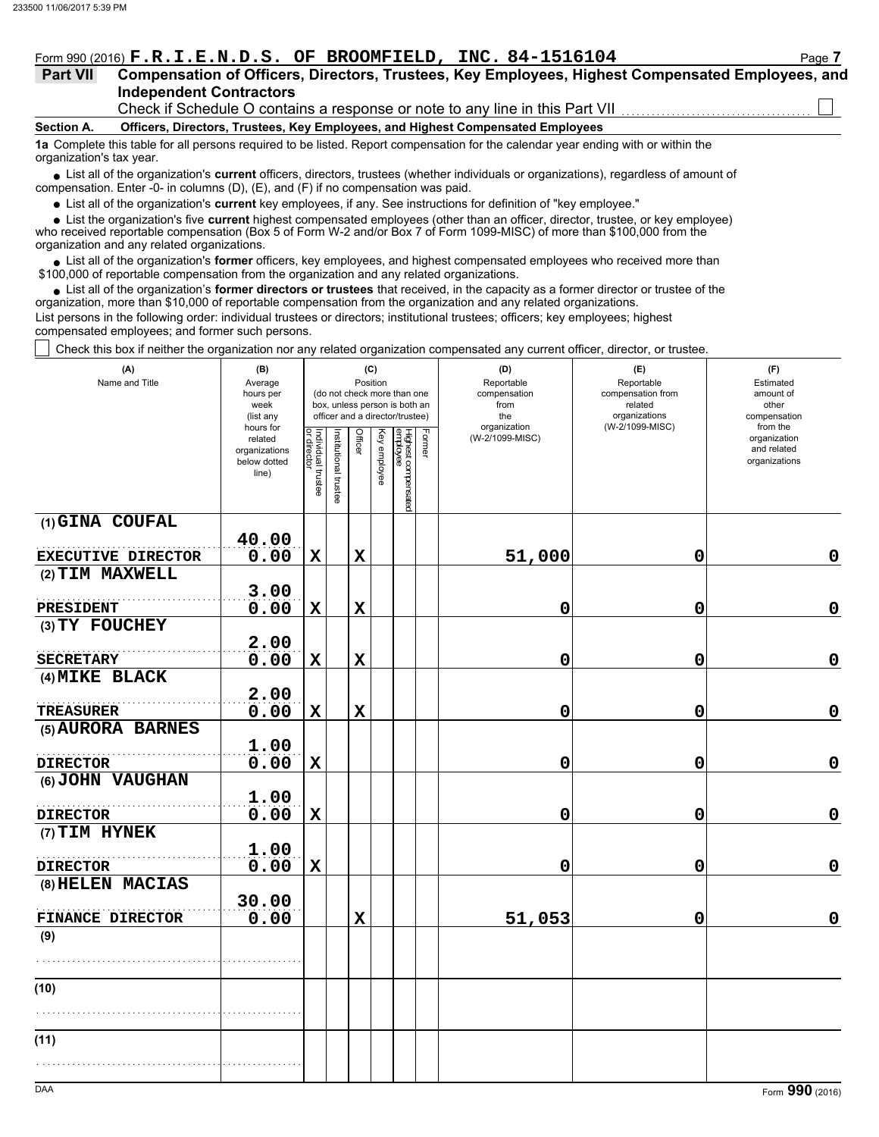#### Form 990 (2016)  $\mathbf{F} \cdot \mathbf{R} \cdot \mathbf{I} \cdot \mathbf{E} \cdot \mathbf{N} \cdot \mathbf{D} \cdot \mathbf{S}$  **OF BROOMFIELD, INC. 84-1516104** Page **7**

#### **Independent Contractors Part VII Compensation of Officers, Directors, Trustees, Key Employees, Highest Compensated Employees, and**

Check if Schedule O contains a response or note to any line in this Part VII

#### **Section A. Officers, Directors, Trustees, Key Employees, and Highest Compensated Employees**

**1a** Complete this table for all persons required to be listed. Report compensation for the calendar year ending with or within the organization's tax year.

■ List all of the organization's **current** officers, directors, trustees (whether individuals or organizations), regardless of amount of compensation. Enter -0- in columns (D), (E), and (F) if no compensation was paid.

List all of the organization's **current** key employees, if any. See instructions for definition of "key employee."

■ List all of the organization's **current** key employees, if any. See instructions for definition of "key employee."<br>■ List the organization's five **current** highest compensated employees (other than an officer, director,

who received reportable compensation (Box 5 of Form W-2 and/or Box 7 of Form 1099-MISC) of more than \$100,000 from the organization and any related organizations.

• List all of the organization's **former** officers, key employees, and highest compensated employees who received more than<br>00,000 of reportable compensation from the organization and any related erganizations. \$100,000 of reportable compensation from the organization and any related organizations.

• List all of the organization's **former directors or trustees** that received, in the capacity as a former director or trustee of the organization, more than \$10,000 of reportable compensation from the organization and any related organizations. List persons in the following order: individual trustees or directors; institutional trustees; officers; key employees; highest compensated employees; and former such persons.

Check this box if neither the organization nor any related organization compensated any current officer, director, or trustee.

| (A)<br>Name and Title                       | (B)<br>Average<br>hours per<br>week<br>(list any               | (C)<br>Position<br>(do not check more than one<br>box, unless person is both an<br>officer and a director/trustee) |                       |             |              |                                 |        | (D)<br>Reportable<br>compensation<br>from<br>the<br>organization | (E)<br>Reportable<br>compensation from<br>related<br>organizations<br>(W-2/1099-MISC) | (F)<br>Estimated<br>amount of<br>other<br>compensation   |  |
|---------------------------------------------|----------------------------------------------------------------|--------------------------------------------------------------------------------------------------------------------|-----------------------|-------------|--------------|---------------------------------|--------|------------------------------------------------------------------|---------------------------------------------------------------------------------------|----------------------------------------------------------|--|
|                                             | hours for<br>related<br>organizations<br>below dotted<br>line) | Individual trustee<br>or director                                                                                  | Institutional trustee | Officer     | Key employee | Highest compensated<br>employee | Former | (W-2/1099-MISC)                                                  |                                                                                       | from the<br>organization<br>and related<br>organizations |  |
| (1) GINA COUFAL                             |                                                                |                                                                                                                    |                       |             |              |                                 |        |                                                                  |                                                                                       |                                                          |  |
| EXECUTIVE DIRECTOR                          | 40.00<br>0.00                                                  | $\mathbf X$                                                                                                        |                       | $\mathbf X$ |              |                                 |        | 51,000                                                           | 0                                                                                     | 0                                                        |  |
| (2) TIM MAXWELL                             |                                                                |                                                                                                                    |                       |             |              |                                 |        |                                                                  |                                                                                       |                                                          |  |
|                                             | 3.00                                                           |                                                                                                                    |                       |             |              |                                 |        |                                                                  |                                                                                       |                                                          |  |
| <b>PRESIDENT</b><br>$(3) TY$ FOUCHEY        | 0.00                                                           | $\mathbf X$                                                                                                        |                       | $\mathbf x$ |              |                                 |        | 0                                                                | 0                                                                                     | 0                                                        |  |
| <b>SECRETARY</b>                            | 2.00<br>0.00                                                   | $\mathbf X$                                                                                                        |                       | $\mathbf x$ |              |                                 |        | 0                                                                | 0                                                                                     | 0                                                        |  |
| (4) MIKE BLACK                              |                                                                |                                                                                                                    |                       |             |              |                                 |        |                                                                  |                                                                                       |                                                          |  |
|                                             | 2.00                                                           |                                                                                                                    |                       |             |              |                                 |        |                                                                  |                                                                                       |                                                          |  |
| <b>TREASURER</b>                            | 0.00                                                           | $\mathbf X$                                                                                                        |                       | $\mathbf x$ |              |                                 |        | 0                                                                | 0                                                                                     | $\mathbf 0$                                              |  |
| (5) AURORA BARNES                           | 1.00                                                           |                                                                                                                    |                       |             |              |                                 |        |                                                                  |                                                                                       |                                                          |  |
| <b>DIRECTOR</b>                             | 0.00                                                           | $\mathbf X$                                                                                                        |                       |             |              |                                 |        | 0                                                                | 0                                                                                     | $\mathbf 0$                                              |  |
| (6) JOHN VAUGHAN                            | 1.00                                                           |                                                                                                                    |                       |             |              |                                 |        |                                                                  |                                                                                       |                                                          |  |
| <b>DIRECTOR</b>                             | 0.00                                                           | $\mathbf X$                                                                                                        |                       |             |              |                                 |        | 0                                                                | 0                                                                                     | 0                                                        |  |
| (7) TIM HYNEK                               | 1.00                                                           |                                                                                                                    |                       |             |              |                                 |        |                                                                  |                                                                                       |                                                          |  |
| <b>DIRECTOR</b>                             | 0.00                                                           | $\mathbf X$                                                                                                        |                       |             |              |                                 |        | 0                                                                | 0                                                                                     | $\mathbf 0$                                              |  |
| (8) HELEN MACIAS<br><b>FINANCE DIRECTOR</b> | 30.00<br>0.00                                                  |                                                                                                                    |                       | $\mathbf x$ |              |                                 |        | 51,053                                                           | 0                                                                                     | $\mathbf 0$                                              |  |
| (9)                                         |                                                                |                                                                                                                    |                       |             |              |                                 |        |                                                                  |                                                                                       |                                                          |  |
|                                             |                                                                |                                                                                                                    |                       |             |              |                                 |        |                                                                  |                                                                                       |                                                          |  |
| (10)                                        |                                                                |                                                                                                                    |                       |             |              |                                 |        |                                                                  |                                                                                       |                                                          |  |
|                                             |                                                                |                                                                                                                    |                       |             |              |                                 |        |                                                                  |                                                                                       |                                                          |  |
| (11)                                        |                                                                |                                                                                                                    |                       |             |              |                                 |        |                                                                  |                                                                                       |                                                          |  |
|                                             |                                                                |                                                                                                                    |                       |             |              |                                 |        |                                                                  |                                                                                       |                                                          |  |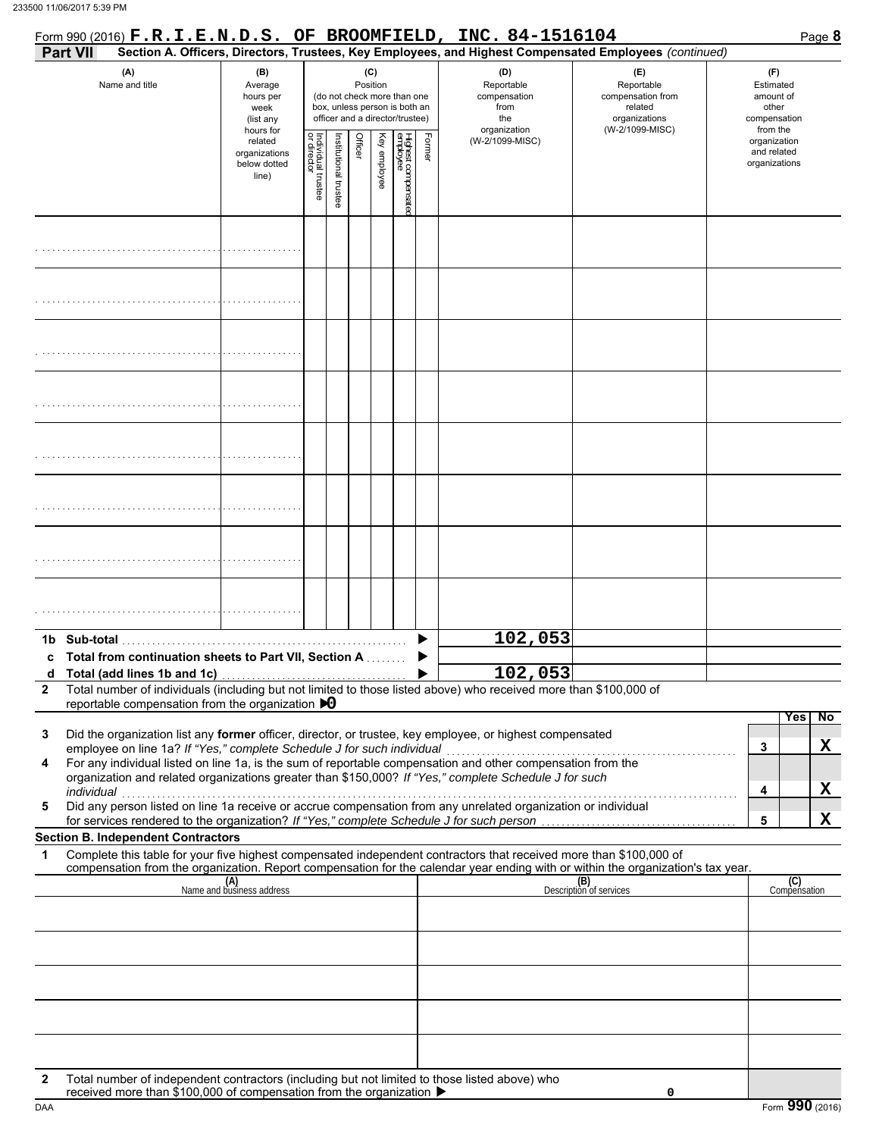| <b>Part VII</b> |                                                                                                                                                                                  |                                                                |                                                                                                 |                       |         |                 |                                 |        | Form 990 (2016) F.R.I.E.N.D.S. OF BROOMFIELD, INC. 84-1516104<br>Section A. Officers, Directors, Trustees, Key Employees, and Highest Compensated Employees (continued)                                                                                                                                                                                                                                                                                        |                                                                    | Page 8                                                   |
|-----------------|----------------------------------------------------------------------------------------------------------------------------------------------------------------------------------|----------------------------------------------------------------|-------------------------------------------------------------------------------------------------|-----------------------|---------|-----------------|---------------------------------|--------|----------------------------------------------------------------------------------------------------------------------------------------------------------------------------------------------------------------------------------------------------------------------------------------------------------------------------------------------------------------------------------------------------------------------------------------------------------------|--------------------------------------------------------------------|----------------------------------------------------------|
|                 | (A)<br>Name and title                                                                                                                                                            | (B)<br>Average<br>hours per<br>week<br>(list any               | (do not check more than one<br>box, unless person is both an<br>officer and a director/trustee) |                       |         | (C)<br>Position |                                 |        | (D)<br>Reportable<br>compensation<br>from<br>the                                                                                                                                                                                                                                                                                                                                                                                                               | (E)<br>Reportable<br>compensation from<br>related<br>organizations | (F)<br>Estimated<br>amount of<br>other<br>compensation   |
|                 |                                                                                                                                                                                  | hours for<br>related<br>organizations<br>below dotted<br>line) | Individual trustee<br>or director                                                               | Institutional trustee | Officer | Key employee    | Highest compensatec<br>employee | Former | organization<br>(W-2/1099-MISC)                                                                                                                                                                                                                                                                                                                                                                                                                                | (W-2/1099-MISC)                                                    | from the<br>organization<br>and related<br>organizations |
|                 |                                                                                                                                                                                  |                                                                |                                                                                                 |                       |         |                 |                                 |        |                                                                                                                                                                                                                                                                                                                                                                                                                                                                |                                                                    |                                                          |
|                 |                                                                                                                                                                                  |                                                                |                                                                                                 |                       |         |                 |                                 |        |                                                                                                                                                                                                                                                                                                                                                                                                                                                                |                                                                    |                                                          |
|                 |                                                                                                                                                                                  |                                                                |                                                                                                 |                       |         |                 |                                 |        |                                                                                                                                                                                                                                                                                                                                                                                                                                                                |                                                                    |                                                          |
|                 |                                                                                                                                                                                  |                                                                |                                                                                                 |                       |         |                 |                                 |        |                                                                                                                                                                                                                                                                                                                                                                                                                                                                |                                                                    |                                                          |
|                 |                                                                                                                                                                                  |                                                                |                                                                                                 |                       |         |                 |                                 |        |                                                                                                                                                                                                                                                                                                                                                                                                                                                                |                                                                    |                                                          |
|                 |                                                                                                                                                                                  |                                                                |                                                                                                 |                       |         |                 |                                 |        |                                                                                                                                                                                                                                                                                                                                                                                                                                                                |                                                                    |                                                          |
|                 |                                                                                                                                                                                  |                                                                |                                                                                                 |                       |         |                 |                                 |        |                                                                                                                                                                                                                                                                                                                                                                                                                                                                |                                                                    |                                                          |
|                 |                                                                                                                                                                                  |                                                                |                                                                                                 |                       |         |                 |                                 |        |                                                                                                                                                                                                                                                                                                                                                                                                                                                                |                                                                    |                                                          |
|                 | Total from continuation sheets to Part VII, Section A                                                                                                                            |                                                                |                                                                                                 |                       |         |                 |                                 |        | 102,053                                                                                                                                                                                                                                                                                                                                                                                                                                                        |                                                                    |                                                          |
| $\mathbf{2}$    | reportable compensation from the organization $\bigtriangledown 0$                                                                                                               |                                                                |                                                                                                 |                       |         |                 |                                 |        | 102,053<br>Total number of individuals (including but not limited to those listed above) who received more than \$100,000 of                                                                                                                                                                                                                                                                                                                                   |                                                                    |                                                          |
| 3<br>4<br>5     | employee on line 1a? If "Yes," complete Schedule J for such individual<br>individual<br>for services rendered to the organization? If "Yes," complete Schedule J for such person |                                                                |                                                                                                 |                       |         |                 |                                 |        | Did the organization list any former officer, director, or trustee, key employee, or highest compensated<br>For any individual listed on line 1a, is the sum of reportable compensation and other compensation from the<br>organization and related organizations greater than \$150,000? If "Yes," complete Schedule J for such<br>marviquar<br>Did any person listed on line 1a receive or accrue compensation from any unrelated organization or individual |                                                                    | No<br>Yes<br>X<br>3<br>X<br>4<br>X<br>5                  |
|                 | <b>Section B. Independent Contractors</b>                                                                                                                                        |                                                                |                                                                                                 |                       |         |                 |                                 |        |                                                                                                                                                                                                                                                                                                                                                                                                                                                                |                                                                    |                                                          |
| 1               |                                                                                                                                                                                  |                                                                |                                                                                                 |                       |         |                 |                                 |        | Complete this table for your five highest compensated independent contractors that received more than \$100,000 of<br>compensation from the organization. Report compensation for the calendar year ending with or within the organization's tax year.                                                                                                                                                                                                         |                                                                    |                                                          |
|                 |                                                                                                                                                                                  | (A)<br>Name and business address                               |                                                                                                 |                       |         |                 |                                 |        |                                                                                                                                                                                                                                                                                                                                                                                                                                                                | (B)<br>Description of services                                     | (C)<br>Compensation                                      |
|                 |                                                                                                                                                                                  |                                                                |                                                                                                 |                       |         |                 |                                 |        |                                                                                                                                                                                                                                                                                                                                                                                                                                                                |                                                                    |                                                          |
|                 |                                                                                                                                                                                  |                                                                |                                                                                                 |                       |         |                 |                                 |        |                                                                                                                                                                                                                                                                                                                                                                                                                                                                |                                                                    |                                                          |
|                 |                                                                                                                                                                                  |                                                                |                                                                                                 |                       |         |                 |                                 |        |                                                                                                                                                                                                                                                                                                                                                                                                                                                                |                                                                    |                                                          |
| 2               | Total number of independent contractors (including but not limited to those listed above) who<br>received more than \$100,000 of compensation from the organization ▶            |                                                                |                                                                                                 |                       |         |                 |                                 |        |                                                                                                                                                                                                                                                                                                                                                                                                                                                                | 0                                                                  |                                                          |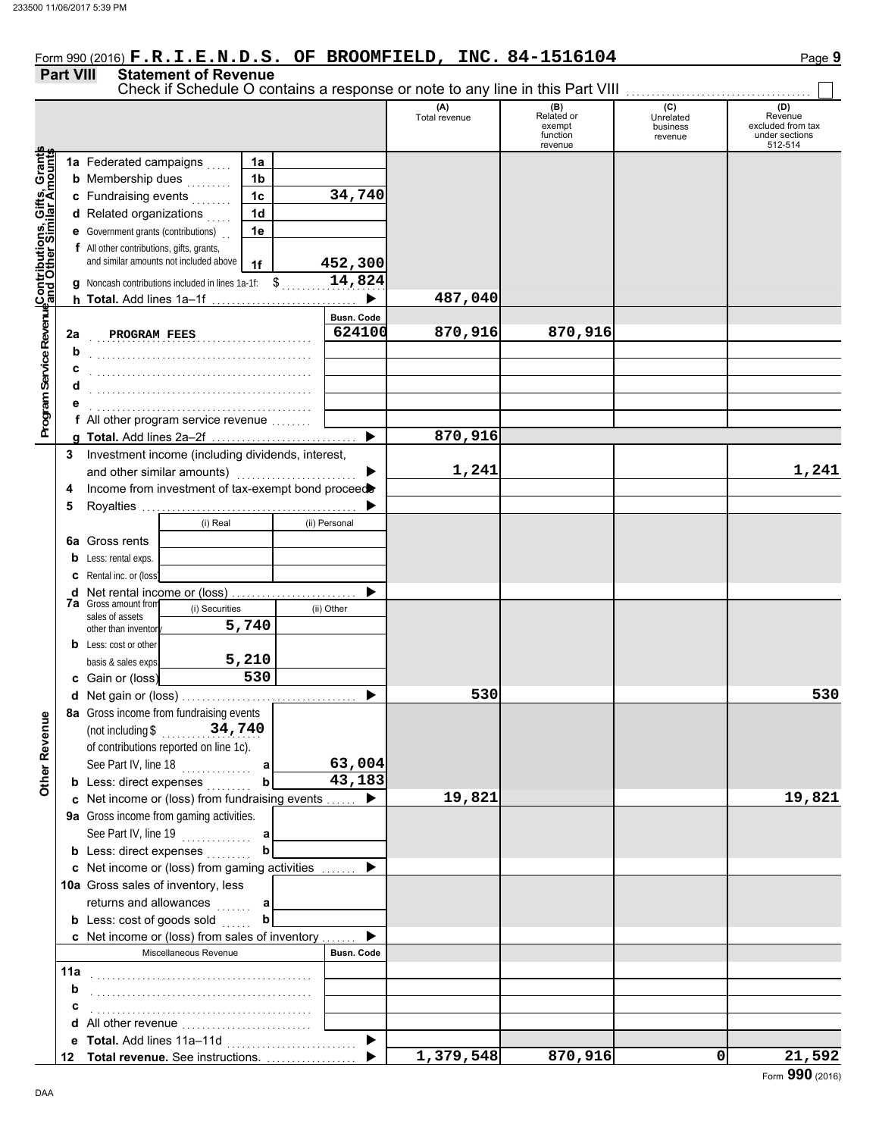### Form 990 (2016) **F.R.I.E.N.D.S. OF BROOMFIELD, INC. 84-1516104** Page **9**

Check if Schedule O contains a response or note to any line in this Part VIII

#### **Part VIII Statement of Revenue**

#### **(A) (B) (C) (C) (D)**<br>Total revenue Related or Unrelated Reven Total revenue Related or Unrelated Revenue excluded from tax exempt business function revenue under sections 512-514 revenue **Contributions, Gifts, Grants and Other Similar Amounts Program Service Revenue** Grant **1a** Federated campaigns . . . . . **1a 1b b** Membership dues  $\ldots$ Gifts,<br>Lar An **34,740 1c c** Fundraising events . . . . . . . . **1d d** Related organizations . . . . . Program Service RevenueContributions, **1e e** Government grants (contributions) . . **f** All other contributions, gifts, grants, and similar amounts not included above **452,300 1f 14,824 g** Noncash contributions included in lines 1a-1f:  $\updownarrow$ **487,040**  $\blacktriangleright$ **h Total.** Add lines 1a–1f . . . . . . . . . . . . . . . . . . . . . . . . . . . . . **Busn. Code** . . . . . . . . . . . . . . . . . . . . . . . . . . . . . . . . . . . . . . . . . . . . **PROGRAM FEES 624100 870,916 870,916 2a b** . . . . . . . . . . . . . . . . . . . . . . . . . . . . . . . . . . . . . . . . . . . . **c** . . . . . . . . . . . . . . . . . . . . . . . . . . . . . . . . . . . . . . . . . . . . **d** . . . . . . . . . . . . . . . . . . . . . . . . . . . . . . . . . . . . . . . . . . . . **e** . . . . . . . . . . . . . . . . . . . . . . . . . . . . . . . . . . . . . . . . . . . . **f** All other program service revenue . . . . . . . . **870,916 g Total.** Add lines 2a–2f . . . . . . . . . . . . . . . . . . . . . . . . . . . . . **3** Investment income (including dividends, interest, and other similar amounts)  $\blacksquare$ **1,241 1,241 4** Income from investment of tax-exempt bond proceed **5** Royalties . . . . . . . . . . . . . . . . . . . . . . . . . . . . . . . . . . . . . . . . . . . b (i) Real (ii) Personal **6a** Gross rents **b** Less: rental exps. **c** Rental inc. or (loss) ь **d** Net rental income or (loss) . . . . . . . . . . . . . . . . . . . . . . . . . **7a** Gross amount from (i) Securities (ii) Other sales of assets **5,740** other than inventor **b** Less: cost or other **5,210** basis & sales exps. **530 c** Gain or (loss) **530 530 d** Net gain or (loss) . . . . . . . . . . . . . . . . . . . . . . . . . . . . . . . . . . . **8a** Gross income from fundraising events **Other Revenue Other Revenue** (not including \$ . . . . . . . . . . . . . . . . . . . . **34,740** of contributions reported on line 1c). See Part IV, line 18 . . . . . . . . . . . . . . **63,004 a b 43,183 b** Less: direct expenses . . . . . . . . **19,821 19,821 c** Net income or (loss) from fundraising events . . . . . . ▶ **9a** Gross income from gaming activities. See Part IV, line 19 . . . . . . . . . . . . . . **a b b** Less: direct expenses  $\ldots$ ▶ Net income or (loss) from gaming activities . . . . . . . **c** 10a Gross sales of inventory, less returns and allowances **a b b** Less: cost of goods sold  $\ldots$ ь Net income or (loss) from sales of inventory . . . . . . . **c** Miscellaneous Revenue **Busn. Code 11a** . . . . . . . . . . . . . . . . . . . . . . . . . . . . . . . . . . . . . . . . . . . . **b c** . . . . . . . . . . . . . . . . . . . . . . . . . . . . . . . . . . . . . . . . . . . . **d** All other revenue . . . . . . . . . . . . . . . . . . . . . . . . . .  $\blacktriangleright$ **e Total.** Add lines 11a–11d . . . . . . . . . . . . . . . . . . . . . . . . . . **1,379,548 870,916 0 21,592** ь **Total revenue.** See instructions. . . . . . . . . . . . . . . . . . . **12**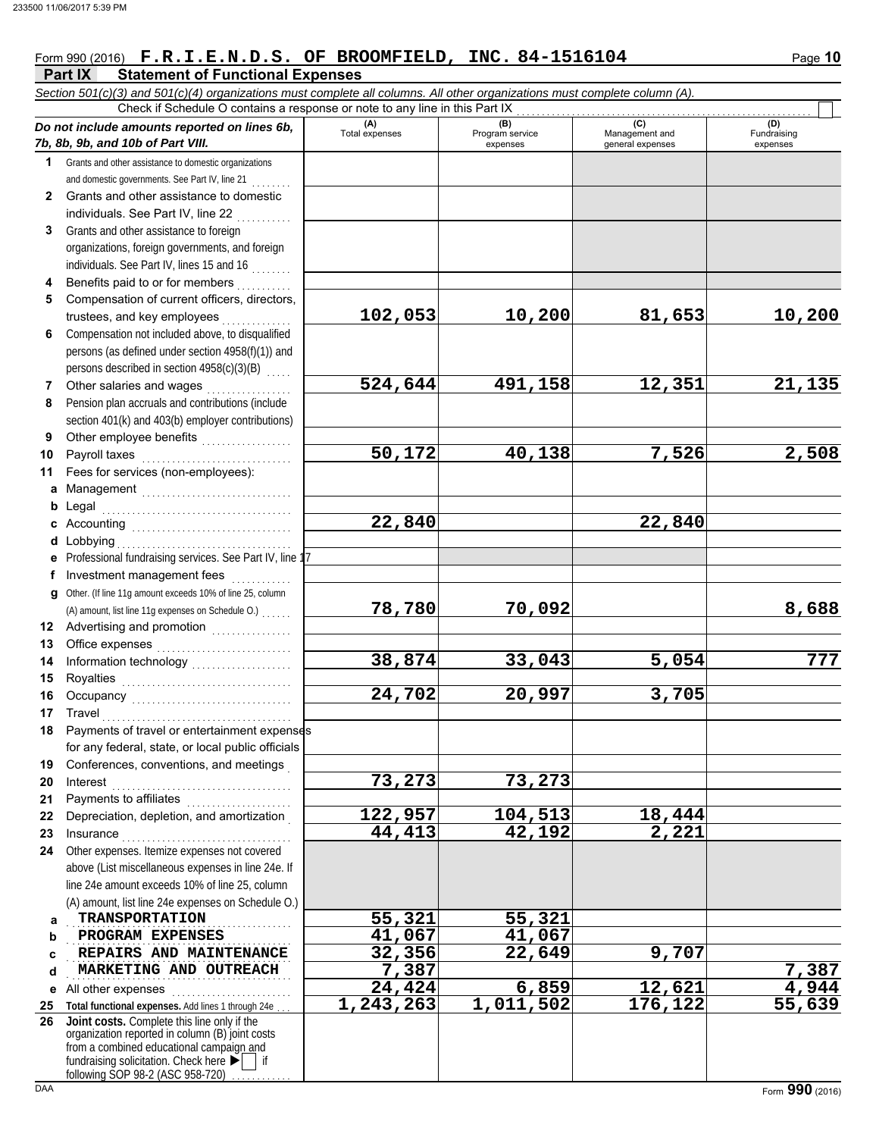### Form 990 (2016) Page **10 F.R.I.E.N.D.S. OF BROOMFIELD, INC. 84-1516104**

|              | Part IX<br><b>Statement of Functional Expenses</b>                                                                                         |                        |                 |                       |                        |
|--------------|--------------------------------------------------------------------------------------------------------------------------------------------|------------------------|-----------------|-----------------------|------------------------|
|              | Section 501(c)(3) and 501(c)(4) organizations must complete all columns. All other organizations must complete column (A).                 |                        |                 |                       |                        |
|              | Check if Schedule O contains a response or note to any line in this Part IX                                                                | (A)                    | (B)             | (C)                   | (D)                    |
|              | Do not include amounts reported on lines 6b,<br>7b, 8b, 9b, and 10b of Part VIII.                                                          | Total expenses         | Program service | Management and        | Fundraising            |
| 1            | Grants and other assistance to domestic organizations                                                                                      |                        | expenses        | general expenses      | expenses               |
|              | and domestic governments. See Part IV, line 21                                                                                             |                        |                 |                       |                        |
| $\mathbf{2}$ | Grants and other assistance to domestic                                                                                                    |                        |                 |                       |                        |
|              | individuals. See Part IV, line 22                                                                                                          |                        |                 |                       |                        |
| 3            | Grants and other assistance to foreign                                                                                                     |                        |                 |                       |                        |
|              | organizations, foreign governments, and foreign                                                                                            |                        |                 |                       |                        |
|              | individuals. See Part IV, lines 15 and 16                                                                                                  |                        |                 |                       |                        |
| 4            | Benefits paid to or for members                                                                                                            |                        |                 |                       |                        |
| 5            | Compensation of current officers, directors,                                                                                               |                        |                 |                       |                        |
|              | trustees, and key employees                                                                                                                | 102,053                | 10,200          | 81,653                | 10,200                 |
| 6            | Compensation not included above, to disqualified                                                                                           |                        |                 |                       |                        |
|              | persons (as defined under section 4958(f)(1)) and                                                                                          |                        |                 |                       |                        |
|              | persons described in section 4958(c)(3)(B)                                                                                                 |                        |                 |                       |                        |
| 7            | Other salaries and wages                                                                                                                   | 524,644                | 491,158         | 12,351                | 21, 135                |
| 8            | Pension plan accruals and contributions (include                                                                                           |                        |                 |                       |                        |
|              | section 401(k) and 403(b) employer contributions)                                                                                          |                        |                 |                       |                        |
| 9            | Other employee benefits                                                                                                                    |                        |                 |                       |                        |
| 10           | Payroll taxes                                                                                                                              | 50,172                 | 40,138          | 7,526                 | 2,508                  |
| 11           | Fees for services (non-employees):                                                                                                         |                        |                 |                       |                        |
| a            |                                                                                                                                            |                        |                 |                       |                        |
| b            | Legal                                                                                                                                      |                        |                 |                       |                        |
|              |                                                                                                                                            | $\overline{22}$ , 840  |                 | $\overline{22}$ , 840 |                        |
| d            | Lobbying                                                                                                                                   |                        |                 |                       |                        |
|              | Professional fundraising services. See Part IV, line 1                                                                                     |                        |                 |                       |                        |
| f            | Investment management fees                                                                                                                 |                        |                 |                       |                        |
|              | g Other. (If line 11g amount exceeds 10% of line 25, column                                                                                |                        |                 |                       |                        |
|              | (A) amount, list line 11g expenses on Schedule O.)                                                                                         | 78,780                 | 70,092          |                       | 8,688                  |
| 12           | Advertising and promotion [1] [1] Advertising and promotion                                                                                |                        |                 |                       |                        |
| 13           |                                                                                                                                            | 38,874                 | 33,043          | 5,054                 | 777                    |
| 14           | Information technology<br>                                                                                                                 |                        |                 |                       |                        |
| 15<br>16     | Royalties                                                                                                                                  | 24,702                 | 20,997          | 3,705                 |                        |
|              | 17 Travel                                                                                                                                  |                        |                 |                       |                        |
| 18           | Payments of travel or entertainment expenses                                                                                               |                        |                 |                       |                        |
|              | for any federal, state, or local public officials                                                                                          |                        |                 |                       |                        |
| 19           | Conferences, conventions, and meetings                                                                                                     |                        |                 |                       |                        |
| 20           | Interest                                                                                                                                   | 73,273                 | 73,273          |                       |                        |
| 21           | Payments to affiliates [11] [11] Payments to affiliates                                                                                    |                        |                 |                       |                        |
| 22           | Depreciation, depletion, and amortization                                                                                                  | 122,957                | 104,513         | 18,444                |                        |
| 23           | Insurance <b>Committee Committee Committee Committee Committee</b>                                                                         | 44,413                 | 42,192          | 2,221                 |                        |
| 24           | Other expenses. Itemize expenses not covered                                                                                               |                        |                 |                       |                        |
|              | above (List miscellaneous expenses in line 24e. If                                                                                         |                        |                 |                       |                        |
|              | line 24e amount exceeds 10% of line 25, column                                                                                             |                        |                 |                       |                        |
|              | (A) amount, list line 24e expenses on Schedule O.)                                                                                         |                        |                 |                       |                        |
| a            | <b>TRANSPORTATION</b>                                                                                                                      | 55, 321                | 55,321          |                       |                        |
| b            | PROGRAM EXPENSES                                                                                                                           | 41,067                 | 41,067          |                       |                        |
| c            | REPAIRS AND MAINTENANCE                                                                                                                    | 32,356                 | 22,649          | 9,707                 |                        |
| d            | MARKETING AND OUTREACH                                                                                                                     | 7,387                  |                 |                       | 7,387                  |
| е            | All other expenses                                                                                                                         | 24,424                 | 6,859           | 12,621                | $\frac{4,944}{55,639}$ |
| 25           | Total functional expenses. Add lines 1 through 24e                                                                                         | $\overline{1,243,263}$ | 1,011,502       | 176,122               |                        |
| 26           | Joint costs. Complete this line only if the<br>organization reported in column (B) joint costs<br>from a combined educational campaign and |                        |                 |                       |                        |
|              | fundraising solicitation. Check here $\blacktriangleright$<br>following SOP 98-2 (ASC 958-720)                                             |                        |                 |                       |                        |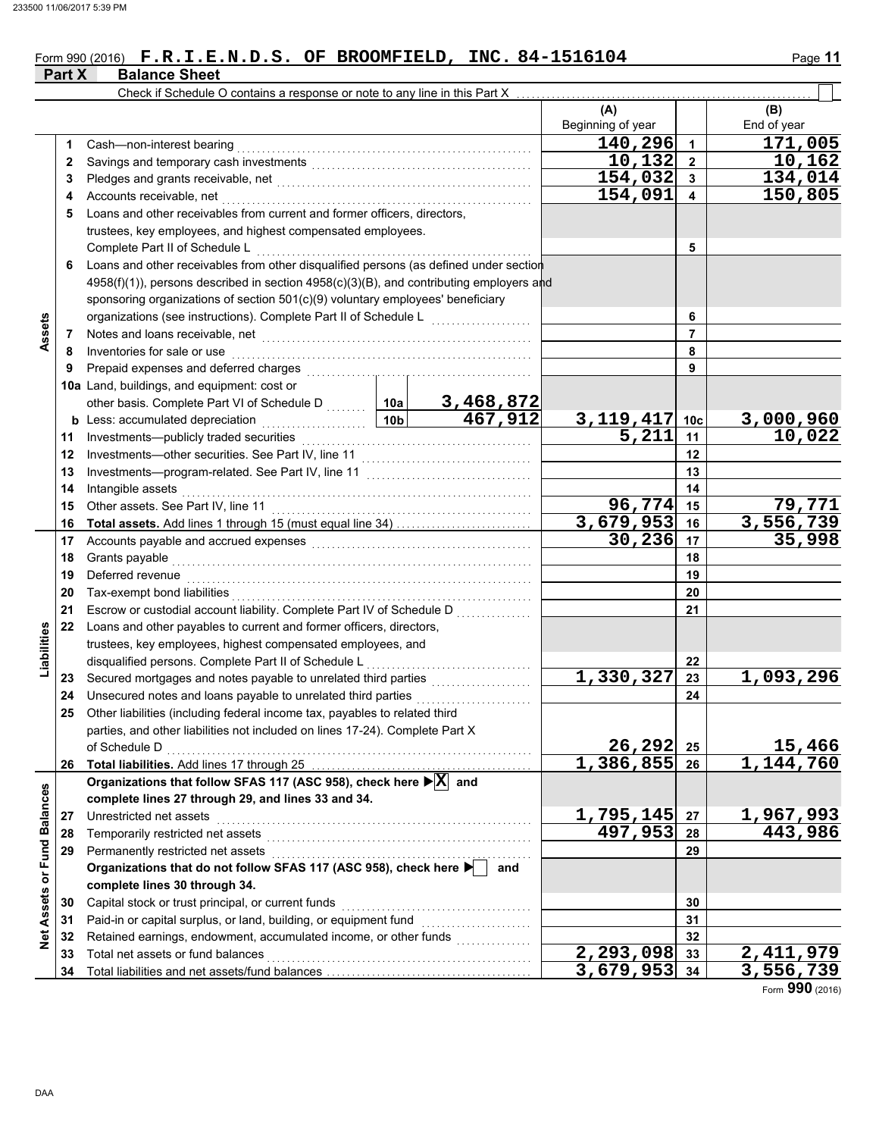### Form 990 (2016) **F.R.I.E.N.D.S. OF BROOMFIELD, INC. 84-1516104** Page 11

|                             | Part X | <b>Balance Sheet</b>                                                                                                                                                                                                           |                 |                                         |                           |                         |                           |
|-----------------------------|--------|--------------------------------------------------------------------------------------------------------------------------------------------------------------------------------------------------------------------------------|-----------------|-----------------------------------------|---------------------------|-------------------------|---------------------------|
|                             |        | Check if Schedule O contains a response or note to any line in this Part X                                                                                                                                                     |                 |                                         |                           |                         |                           |
|                             |        |                                                                                                                                                                                                                                |                 |                                         | (A)                       |                         | (B)                       |
|                             |        |                                                                                                                                                                                                                                |                 |                                         | Beginning of year         |                         | End of year               |
|                             | 1.     | Cash-non-interest bearing                                                                                                                                                                                                      |                 |                                         | 140,296                   | $\overline{1}$          | 171,005                   |
|                             | 2      | Savings and temporary cash investments [11] [11] contract the same state of the same state of the same state of the state of the state of the state of the state of the state of the state of the state of the state of the st |                 |                                         | 10, 132                   | $\overline{2}$          | 10,162                    |
|                             | 3      |                                                                                                                                                                                                                                |                 |                                         | 154,032                   | $\mathbf{3}$            | 134,014                   |
|                             | 4      | Accounts receivable, net                                                                                                                                                                                                       |                 |                                         | 154,091                   | $\overline{\mathbf{4}}$ | 150,805                   |
|                             | 5      | Loans and other receivables from current and former officers, directors,                                                                                                                                                       |                 |                                         |                           |                         |                           |
|                             |        | trustees, key employees, and highest compensated employees.                                                                                                                                                                    |                 |                                         |                           |                         |                           |
|                             |        | Complete Part II of Schedule L                                                                                                                                                                                                 |                 |                                         |                           | 5                       |                           |
|                             | 6      | Loans and other receivables from other disqualified persons (as defined under section                                                                                                                                          |                 |                                         |                           |                         |                           |
|                             |        | 4958(f)(1)), persons described in section 4958(c)(3)(B), and contributing employers and                                                                                                                                        |                 |                                         |                           |                         |                           |
|                             |        | sponsoring organizations of section 501(c)(9) voluntary employees' beneficiary                                                                                                                                                 |                 |                                         |                           |                         |                           |
|                             |        | organizations (see instructions). Complete Part II of Schedule L                                                                                                                                                               |                 | <u> 1986 - Johann Barnett, martin a</u> |                           | 6                       |                           |
| Assets                      | 7      |                                                                                                                                                                                                                                |                 |                                         |                           | $\overline{7}$          |                           |
|                             | 8      | Inventories for sale or use                                                                                                                                                                                                    |                 |                                         |                           | 8                       |                           |
|                             | 9      | Prepaid expenses and deferred charges                                                                                                                                                                                          |                 |                                         |                           | 9                       |                           |
|                             |        | 10a Land, buildings, and equipment: cost or                                                                                                                                                                                    |                 |                                         |                           |                         |                           |
|                             |        | other basis. Complete Part VI of Schedule D  10a                                                                                                                                                                               |                 |                                         |                           |                         |                           |
|                             |        | <b>b</b> Less: accumulated depreciation<br>.                                                                                                                                                                                   | 10 <sub>b</sub> | $\frac{3,468,872}{467,912}$             |                           | 10 <sub>c</sub>         | 3,000,960                 |
|                             | 11     | Investments-publicly traded securities                                                                                                                                                                                         |                 |                                         | $\frac{3,119,417}{5,211}$ | 11                      | 10,022                    |
|                             | 12     | Investments-other securities. See Part IV, line 11                                                                                                                                                                             |                 |                                         | 12                        |                         |                           |
|                             | 13     |                                                                                                                                                                                                                                |                 |                                         |                           | 13                      |                           |
|                             | 14     | Intangible assets                                                                                                                                                                                                              |                 |                                         |                           | 14                      |                           |
|                             | 15     | Other assets. See Part IV, line 11                                                                                                                                                                                             |                 |                                         | 96,774                    | 15                      | 79,771                    |
|                             | 16     |                                                                                                                                                                                                                                |                 |                                         | 3,679,953                 | 16                      | 3,556,739                 |
|                             | 17     | Accounts payable and accrued expenses [[11] [11] Accounts payable and accrued expenses [[11] Accounts are not                                                                                                                  |                 |                                         | 30, 236                   | 17                      | 35,998                    |
|                             | 18     | Grants payable                                                                                                                                                                                                                 |                 |                                         |                           | 18                      |                           |
|                             | 19     | Deferred revenue                                                                                                                                                                                                               |                 |                                         |                           | 19                      |                           |
|                             | 20     | Tax-exempt bond liabilities                                                                                                                                                                                                    |                 |                                         |                           | 20                      |                           |
|                             | 21     | Escrow or custodial account liability. Complete Part IV of Schedule D                                                                                                                                                          |                 |                                         |                           | 21                      |                           |
|                             | 22     | Loans and other payables to current and former officers, directors,                                                                                                                                                            |                 |                                         |                           |                         |                           |
| Liabilities                 |        | trustees, key employees, highest compensated employees, and                                                                                                                                                                    |                 |                                         |                           |                         |                           |
|                             |        | disqualified persons. Complete Part II of Schedule L                                                                                                                                                                           |                 |                                         |                           | 22                      |                           |
|                             | 23     | Secured mortgages and notes payable to unrelated third parties                                                                                                                                                                 |                 |                                         | 1,330,327                 | 23                      | $\overline{1}$ ,093,296   |
|                             | 24     | Unsecured notes and loans payable to unrelated third parties                                                                                                                                                                   |                 |                                         |                           | 24                      |                           |
|                             | 25     | Other liabilities (including federal income tax, payables to related third                                                                                                                                                     |                 |                                         |                           |                         |                           |
|                             |        | parties, and other liabilities not included on lines 17-24). Complete Part X                                                                                                                                                   |                 |                                         |                           |                         |                           |
|                             |        | of Schedule D                                                                                                                                                                                                                  |                 |                                         | $26, 292$ 25              |                         | 15,466                    |
|                             |        |                                                                                                                                                                                                                                |                 |                                         | $1,386,855$ 26            |                         | 1,144,760                 |
|                             |        | Organizations that follow SFAS 117 (ASC 958), check here $\blacktriangleright$ $\boxed{\text{X}}$ and                                                                                                                          |                 |                                         |                           |                         |                           |
|                             |        | complete lines 27 through 29, and lines 33 and 34.                                                                                                                                                                             |                 |                                         |                           |                         |                           |
|                             | 27     | Unrestricted net assets                                                                                                                                                                                                        |                 |                                         | 1,795,145                 | 27                      | 1,967,993                 |
|                             | 28     | Temporarily restricted net assets                                                                                                                                                                                              |                 |                                         | 497,953                   | 28                      | 443,986                   |
|                             | 29     | Permanently restricted net assets                                                                                                                                                                                              |                 |                                         |                           | 29                      |                           |
|                             |        | Organizations that do not follow SFAS 117 (ASC 958), check here ▶                                                                                                                                                              |                 | and                                     |                           |                         |                           |
| Net Assets or Fund Balances |        | complete lines 30 through 34.                                                                                                                                                                                                  |                 |                                         |                           |                         |                           |
|                             | 30     | Capital stock or trust principal, or current funds                                                                                                                                                                             |                 |                                         |                           | 30                      |                           |
|                             | 31     | Paid-in or capital surplus, or land, building, or equipment fund                                                                                                                                                               |                 |                                         |                           | 31                      |                           |
|                             | 32     |                                                                                                                                                                                                                                |                 |                                         |                           | 32                      |                           |
|                             | 33     | Total net assets or fund balances                                                                                                                                                                                              |                 |                                         | $\overline{2,}$ 293,098   | 33                      | $\overline{2}$ , 411, 979 |
|                             | 34     |                                                                                                                                                                                                                                |                 |                                         | $3,679,953$ 34            |                         | 3,556,739                 |

Form **990** (2016)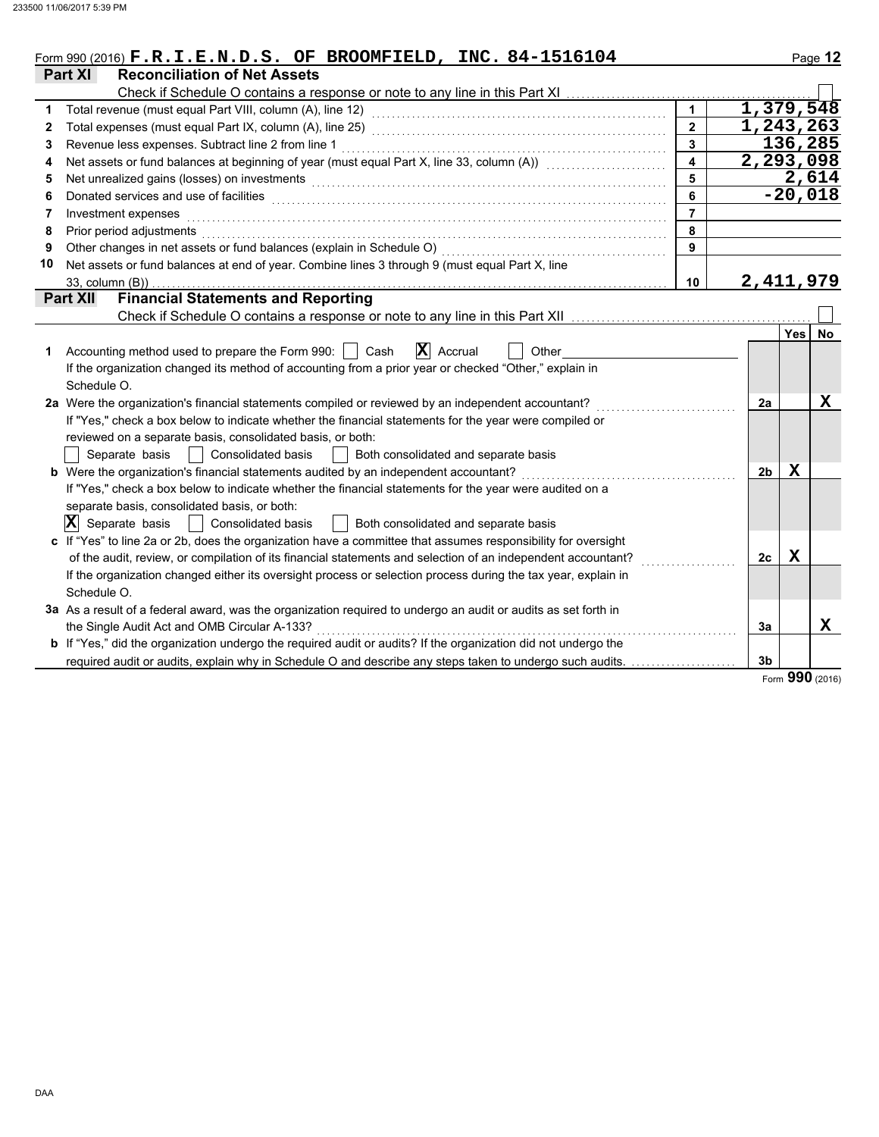|              | Form 990 (2016) F.R.I.E.N.D.S. OF BROOMFIELD, INC. 84-1516104                                                         |                         |                |       | Page 12     |
|--------------|-----------------------------------------------------------------------------------------------------------------------|-------------------------|----------------|-------|-------------|
|              | <b>Part XI</b><br><b>Reconciliation of Net Assets</b>                                                                 |                         |                |       |             |
|              | Check if Schedule O contains a response or note to any line in this Part XI                                           |                         |                |       |             |
| 1            |                                                                                                                       |                         | 1,379,548      |       |             |
| $\mathbf{2}$ |                                                                                                                       | $\overline{2}$          | 1,243,263      |       |             |
| 3            | Revenue less expenses. Subtract line 2 from line 1                                                                    | 3                       |                |       | 136,285     |
| 4            | Net assets or fund balances at beginning of year (must equal Part X, line 33, column (A))                             | $\overline{\mathbf{4}}$ | 2, 293, 098    |       |             |
| 5            | Net unrealized gains (losses) on investments                                                                          | 5                       |                |       | 2,614       |
| 6            | Donated services and use of facilities                                                                                | 6                       |                |       | $-20,018$   |
| 7            | Investment expenses                                                                                                   | $\overline{7}$          |                |       |             |
| 8            | Prior period adjustments                                                                                              | 8                       |                |       |             |
| 9            | Other changes in net assets or fund balances (explain in Schedule O)                                                  | 9                       |                |       |             |
| 10           | Net assets or fund balances at end of year. Combine lines 3 through 9 (must equal Part X, line                        |                         |                |       |             |
|              | 33, column (B))                                                                                                       | 10                      | 2,411,979      |       |             |
|              | <b>Financial Statements and Reporting</b><br><b>Part XII</b>                                                          |                         |                |       |             |
|              | Check if Schedule O contains a response or note to any line in this Part XII                                          |                         |                |       |             |
|              |                                                                                                                       |                         |                | Yes I | No.         |
| 1            | $ \mathbf{X} $ Accrual<br>Accounting method used to prepare the Form 990:<br>Cash<br>Other                            |                         |                |       |             |
|              | If the organization changed its method of accounting from a prior year or checked "Other," explain in                 |                         |                |       |             |
|              | Schedule O.                                                                                                           |                         |                |       |             |
|              | 2a Were the organization's financial statements compiled or reviewed by an independent accountant?                    |                         | 2a             |       | X           |
|              | If "Yes," check a box below to indicate whether the financial statements for the year were compiled or                |                         |                |       |             |
|              | reviewed on a separate basis, consolidated basis, or both:                                                            |                         |                |       |             |
|              | Separate basis<br><b>Consolidated basis</b><br>Both consolidated and separate basis                                   |                         |                |       |             |
|              | <b>b</b> Were the organization's financial statements audited by an independent accountant?                           |                         | 2 <sub>b</sub> | x     |             |
|              | If "Yes," check a box below to indicate whether the financial statements for the year were audited on a               |                         |                |       |             |
|              | separate basis, consolidated basis, or both:                                                                          |                         |                |       |             |
|              | $ \mathbf{X} $ Separate basis<br><b>Consolidated basis</b><br>Both consolidated and separate basis                    |                         |                |       |             |
|              | c If "Yes" to line 2a or 2b, does the organization have a committee that assumes responsibility for oversight         |                         |                |       |             |
|              | of the audit, review, or compilation of its financial statements and selection of an independent accountant?          |                         | 2c             | X     |             |
|              | If the organization changed either its oversight process or selection process during the tax year, explain in         |                         |                |       |             |
|              | Schedule O.                                                                                                           |                         |                |       |             |
|              | 3a As a result of a federal award, was the organization required to undergo an audit or audits as set forth in        |                         |                |       |             |
|              | the Single Audit Act and OMB Circular A-133?                                                                          |                         | 3a             |       | $\mathbf x$ |
|              | <b>b</b> If "Yes," did the organization undergo the required audit or audits? If the organization did not undergo the |                         |                |       |             |
|              | required audit or audits, explain why in Schedule O and describe any steps taken to undergo such audits.              |                         | 3 <sub>b</sub> |       |             |
|              |                                                                                                                       |                         |                | nnn   |             |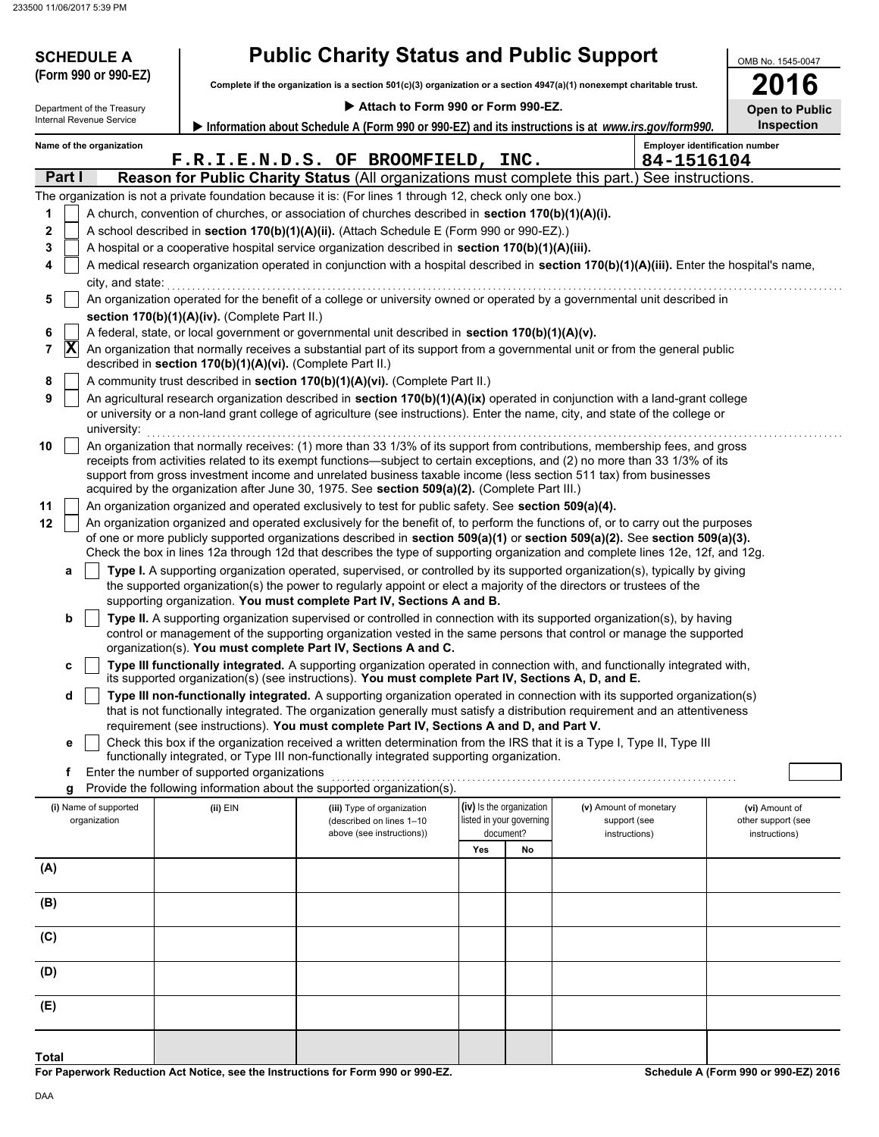| <b>SCHEDULE A</b>                     |                                                            | <b>Public Charity Status and Public Support</b>                                                                                                                                                |                          |                          |                                                                                                                                                                                                                                                                                                                                                                                                            | OMB No. 1545-0047                     |
|---------------------------------------|------------------------------------------------------------|------------------------------------------------------------------------------------------------------------------------------------------------------------------------------------------------|--------------------------|--------------------------|------------------------------------------------------------------------------------------------------------------------------------------------------------------------------------------------------------------------------------------------------------------------------------------------------------------------------------------------------------------------------------------------------------|---------------------------------------|
| (Form 990 or 990-EZ)                  |                                                            | Complete if the organization is a section 501(c)(3) organization or a section 4947(a)(1) nonexempt charitable trust.                                                                           |                          |                          |                                                                                                                                                                                                                                                                                                                                                                                                            | 016                                   |
| Department of the Treasury            |                                                            | Attach to Form 990 or Form 990-EZ.                                                                                                                                                             |                          |                          |                                                                                                                                                                                                                                                                                                                                                                                                            | <b>Open to Public</b>                 |
| Internal Revenue Service              |                                                            |                                                                                                                                                                                                |                          |                          | Information about Schedule A (Form 990 or 990-EZ) and its instructions is at www.irs.gov/form990.                                                                                                                                                                                                                                                                                                          | <b>Inspection</b>                     |
| Name of the organization              |                                                            |                                                                                                                                                                                                |                          |                          |                                                                                                                                                                                                                                                                                                                                                                                                            | <b>Employer identification number</b> |
|                                       |                                                            | F.R.I.E.N.D.S. OF BROOMFIELD, INC.                                                                                                                                                             |                          | 84-1516104               |                                                                                                                                                                                                                                                                                                                                                                                                            |                                       |
| Part I                                |                                                            |                                                                                                                                                                                                |                          |                          | Reason for Public Charity Status (All organizations must complete this part.) See instructions.                                                                                                                                                                                                                                                                                                            |                                       |
|                                       |                                                            | The organization is not a private foundation because it is: (For lines 1 through 12, check only one box.)                                                                                      |                          |                          |                                                                                                                                                                                                                                                                                                                                                                                                            |                                       |
| 1                                     |                                                            | A church, convention of churches, or association of churches described in section 170(b)(1)(A)(i).                                                                                             |                          |                          |                                                                                                                                                                                                                                                                                                                                                                                                            |                                       |
| $\mathbf 2$<br>3                      |                                                            | A school described in section 170(b)(1)(A)(ii). (Attach Schedule E (Form 990 or 990-EZ).)<br>A hospital or a cooperative hospital service organization described in section 170(b)(1)(A)(iii). |                          |                          |                                                                                                                                                                                                                                                                                                                                                                                                            |                                       |
| 4                                     |                                                            |                                                                                                                                                                                                |                          |                          | A medical research organization operated in conjunction with a hospital described in section 170(b)(1)(A)(iii). Enter the hospital's name,                                                                                                                                                                                                                                                                 |                                       |
| city, and state:                      |                                                            |                                                                                                                                                                                                |                          |                          |                                                                                                                                                                                                                                                                                                                                                                                                            |                                       |
| 5                                     |                                                            |                                                                                                                                                                                                |                          |                          | An organization operated for the benefit of a college or university owned or operated by a governmental unit described in                                                                                                                                                                                                                                                                                  |                                       |
|                                       | section 170(b)(1)(A)(iv). (Complete Part II.)              |                                                                                                                                                                                                |                          |                          |                                                                                                                                                                                                                                                                                                                                                                                                            |                                       |
| 6                                     |                                                            | A federal, state, or local government or governmental unit described in section 170(b)(1)(A)(v).                                                                                               |                          |                          |                                                                                                                                                                                                                                                                                                                                                                                                            |                                       |
| $ \mathbf{X} $<br>7                   | described in section 170(b)(1)(A)(vi). (Complete Part II.) |                                                                                                                                                                                                |                          |                          | An organization that normally receives a substantial part of its support from a governmental unit or from the general public                                                                                                                                                                                                                                                                               |                                       |
| 8                                     |                                                            | A community trust described in section 170(b)(1)(A)(vi). (Complete Part II.)                                                                                                                   |                          |                          |                                                                                                                                                                                                                                                                                                                                                                                                            |                                       |
| 9<br>university:                      |                                                            |                                                                                                                                                                                                |                          |                          | An agricultural research organization described in section 170(b)(1)(A)(ix) operated in conjunction with a land-grant college<br>or university or a non-land grant college of agriculture (see instructions). Enter the name, city, and state of the college or                                                                                                                                            |                                       |
| 10                                    |                                                            |                                                                                                                                                                                                |                          |                          | An organization that normally receives: (1) more than 33 1/3% of its support from contributions, membership fees, and gross<br>receipts from activities related to its exempt functions—subject to certain exceptions, and (2) no more than 33 1/3% of its<br>support from gross investment income and unrelated business taxable income (less section 511 tax) from businesses                            |                                       |
|                                       |                                                            | acquired by the organization after June 30, 1975. See section 509(a)(2). (Complete Part III.)                                                                                                  |                          |                          |                                                                                                                                                                                                                                                                                                                                                                                                            |                                       |
| 11                                    |                                                            | An organization organized and operated exclusively to test for public safety. See section 509(a)(4).                                                                                           |                          |                          |                                                                                                                                                                                                                                                                                                                                                                                                            |                                       |
| 12                                    |                                                            |                                                                                                                                                                                                |                          |                          | An organization organized and operated exclusively for the benefit of, to perform the functions of, or to carry out the purposes<br>of one or more publicly supported organizations described in section $509(a)(1)$ or section $509(a)(2)$ . See section $509(a)(3)$ .<br>Check the box in lines 12a through 12d that describes the type of supporting organization and complete lines 12e, 12f, and 12g. |                                       |
| а                                     |                                                            |                                                                                                                                                                                                |                          |                          | Type I. A supporting organization operated, supervised, or controlled by its supported organization(s), typically by giving                                                                                                                                                                                                                                                                                |                                       |
|                                       |                                                            | the supported organization(s) the power to regularly appoint or elect a majority of the directors or trustees of the<br>supporting organization. You must complete Part IV, Sections A and B.  |                          |                          |                                                                                                                                                                                                                                                                                                                                                                                                            |                                       |
| b                                     |                                                            |                                                                                                                                                                                                |                          |                          | Type II. A supporting organization supervised or controlled in connection with its supported organization(s), by having<br>control or management of the supporting organization vested in the same persons that control or manage the supported                                                                                                                                                            |                                       |
|                                       |                                                            | organization(s). You must complete Part IV, Sections A and C.                                                                                                                                  |                          |                          |                                                                                                                                                                                                                                                                                                                                                                                                            |                                       |
| c                                     |                                                            | its supported organization(s) (see instructions). You must complete Part IV, Sections A, D, and E.                                                                                             |                          |                          | Type III functionally integrated. A supporting organization operated in connection with, and functionally integrated with,                                                                                                                                                                                                                                                                                 |                                       |
| d                                     |                                                            |                                                                                                                                                                                                |                          |                          | Type III non-functionally integrated. A supporting organization operated in connection with its supported organization(s)<br>that is not functionally integrated. The organization generally must satisfy a distribution requirement and an attentiveness                                                                                                                                                  |                                       |
|                                       |                                                            | requirement (see instructions). You must complete Part IV, Sections A and D, and Part V.                                                                                                       |                          |                          |                                                                                                                                                                                                                                                                                                                                                                                                            |                                       |
| е                                     |                                                            | functionally integrated, or Type III non-functionally integrated supporting organization.                                                                                                      |                          |                          | Check this box if the organization received a written determination from the IRS that it is a Type I, Type II, Type III                                                                                                                                                                                                                                                                                    |                                       |
| f                                     | Enter the number of supported organizations                |                                                                                                                                                                                                |                          |                          |                                                                                                                                                                                                                                                                                                                                                                                                            |                                       |
| g                                     |                                                            | Provide the following information about the supported organization(s).                                                                                                                         |                          |                          |                                                                                                                                                                                                                                                                                                                                                                                                            |                                       |
| (i) Name of supported<br>organization | (ii) EIN                                                   | (iii) Type of organization<br>(described on lines 1-10                                                                                                                                         | (iv) Is the organization | listed in your governing | (v) Amount of monetary<br>support (see                                                                                                                                                                                                                                                                                                                                                                     | (vi) Amount of<br>other support (see  |
|                                       |                                                            | above (see instructions))                                                                                                                                                                      |                          | document?                | instructions)                                                                                                                                                                                                                                                                                                                                                                                              | instructions)                         |
|                                       |                                                            |                                                                                                                                                                                                | Yes                      | No                       |                                                                                                                                                                                                                                                                                                                                                                                                            |                                       |
| (A)                                   |                                                            |                                                                                                                                                                                                |                          |                          |                                                                                                                                                                                                                                                                                                                                                                                                            |                                       |
| (B)                                   |                                                            |                                                                                                                                                                                                |                          |                          |                                                                                                                                                                                                                                                                                                                                                                                                            |                                       |
| (C)                                   |                                                            |                                                                                                                                                                                                |                          |                          |                                                                                                                                                                                                                                                                                                                                                                                                            |                                       |
| (D)                                   |                                                            |                                                                                                                                                                                                |                          |                          |                                                                                                                                                                                                                                                                                                                                                                                                            |                                       |
| (E)                                   |                                                            |                                                                                                                                                                                                |                          |                          |                                                                                                                                                                                                                                                                                                                                                                                                            |                                       |
|                                       |                                                            |                                                                                                                                                                                                |                          |                          |                                                                                                                                                                                                                                                                                                                                                                                                            |                                       |

**For Paperwork Reduction Act Notice, see the Instructions for Form 990 or 990-EZ.**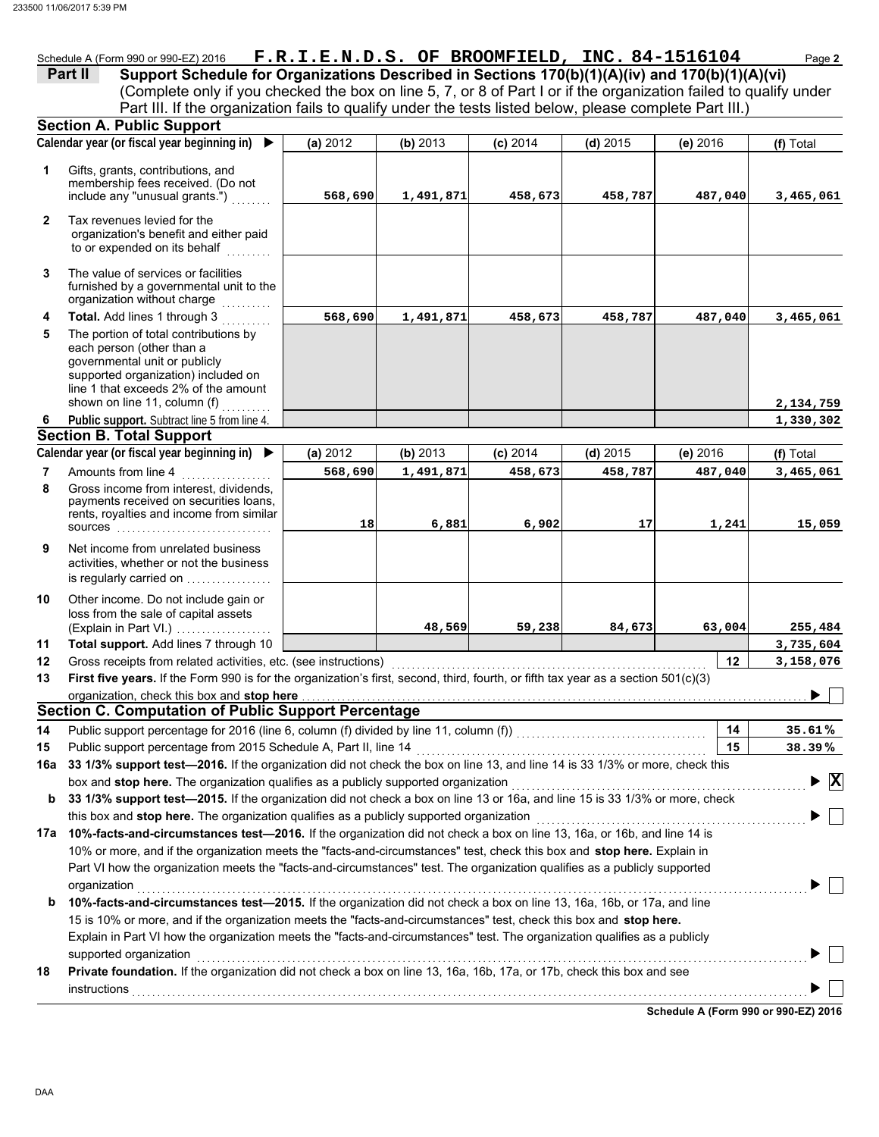### Schedule A (Form 990 or 990-EZ) 2016 **F.R.I.E.N.D.S. OF BROOMFIELD, INC. 84-1516104** Page 2

(Complete only if you checked the box on line 5, 7, or 8 of Part I or if the organization failed to qualify under **Part II** Support Schedule for Organizations Described in Sections 170(b)(1)(A)(iv) and 170(b)(1)(A)(vi) Part III. If the organization fails to qualify under the tests listed below, please complete Part III.)

|              | <b>Section A. Public Support</b>                                                                                                                                                                                                                                                                                                                                          |          |           |            |            |            |                                               |
|--------------|---------------------------------------------------------------------------------------------------------------------------------------------------------------------------------------------------------------------------------------------------------------------------------------------------------------------------------------------------------------------------|----------|-----------|------------|------------|------------|-----------------------------------------------|
|              | Calendar year (or fiscal year beginning in)<br>▶                                                                                                                                                                                                                                                                                                                          | (a) 2012 | (b) 2013  | $(c)$ 2014 | $(d)$ 2015 | $(e)$ 2016 | (f) Total                                     |
| 1            | Gifts, grants, contributions, and<br>membership fees received. (Do not<br>include any "unusual grants.")                                                                                                                                                                                                                                                                  | 568,690  | 1,491,871 | 458,673    | 458,787    | 487,040    | 3,465,061                                     |
| $\mathbf{2}$ | Tax revenues levied for the<br>organization's benefit and either paid<br>to or expended on its behalf                                                                                                                                                                                                                                                                     |          |           |            |            |            |                                               |
| 3            | The value of services or facilities<br>furnished by a governmental unit to the<br>organization without charge                                                                                                                                                                                                                                                             |          |           |            |            |            |                                               |
| 4            | Total. Add lines 1 through 3                                                                                                                                                                                                                                                                                                                                              | 568,690  | 1,491,871 | 458,673    | 458,787    | 487,040    | 3,465,061                                     |
| 5            | The portion of total contributions by<br>each person (other than a<br>governmental unit or publicly<br>supported organization) included on<br>line 1 that exceeds 2% of the amount                                                                                                                                                                                        |          |           |            |            |            |                                               |
|              | shown on line 11, column (f)                                                                                                                                                                                                                                                                                                                                              |          |           |            |            |            | 2,134,759                                     |
| 6            | Public support. Subtract line 5 from line 4.                                                                                                                                                                                                                                                                                                                              |          |           |            |            |            | 1,330,302                                     |
|              | <b>Section B. Total Support</b>                                                                                                                                                                                                                                                                                                                                           |          |           |            |            |            |                                               |
|              | Calendar year (or fiscal year beginning in) $\blacktriangleright$                                                                                                                                                                                                                                                                                                         | (a) 2012 | (b) 2013  | $(c)$ 2014 | $(d)$ 2015 | (e) 2016   | (f) Total                                     |
| 7            | Amounts from line 4                                                                                                                                                                                                                                                                                                                                                       | 568,690  | 1,491,871 | 458,673    | 458,787    | 487,040    | 3,465,061                                     |
| 8            | Gross income from interest, dividends,<br>payments received on securities loans,<br>rents, royalties and income from similar                                                                                                                                                                                                                                              | 18       | 6,881     | 6,902      | 17         | 1,241      | 15,059                                        |
| 9            | Net income from unrelated business<br>activities, whether or not the business<br>is regularly carried on                                                                                                                                                                                                                                                                  |          |           |            |            |            |                                               |
| 10           | Other income. Do not include gain or<br>loss from the sale of capital assets<br>(Explain in Part VI.)                                                                                                                                                                                                                                                                     |          | 48,569    | 59,238     | 84,673     | 63,004     | 255,484                                       |
| 11           | Total support. Add lines 7 through 10                                                                                                                                                                                                                                                                                                                                     |          |           |            |            |            | 3,735,604                                     |
| 12           | Gross receipts from related activities, etc. (see instructions)                                                                                                                                                                                                                                                                                                           |          |           |            |            | 12         | 3,158,076                                     |
| 13           | First five years. If the Form 990 is for the organization's first, second, third, fourth, or fifth tax year as a section 501(c)(3)                                                                                                                                                                                                                                        |          |           |            |            |            |                                               |
|              | organization, check this box and stop here                                                                                                                                                                                                                                                                                                                                |          |           |            |            |            |                                               |
|              | <b>Section C. Computation of Public Support Percentage</b>                                                                                                                                                                                                                                                                                                                |          |           |            |            |            |                                               |
| 14           |                                                                                                                                                                                                                                                                                                                                                                           |          |           |            |            | 14         | 35.61%                                        |
| 15           | Public support percentage from 2015 Schedule A, Part II, line 14                                                                                                                                                                                                                                                                                                          |          |           |            |            | 15         | 38.39%                                        |
|              | 16a 33 1/3% support test—2016. If the organization did not check the box on line 13, and line 14 is 33 1/3% or more, check this                                                                                                                                                                                                                                           |          |           |            |            |            |                                               |
|              | box and stop here. The organization qualifies as a publicly supported organization                                                                                                                                                                                                                                                                                        |          |           |            |            |            | $\blacktriangleright$ $\overline{\mathtt{x}}$ |
|              | b 33 1/3% support test-2015. If the organization did not check a box on line 13 or 16a, and line 15 is 33 1/3% or more, check                                                                                                                                                                                                                                             |          |           |            |            |            |                                               |
|              | this box and stop here. The organization qualifies as a publicly supported organization                                                                                                                                                                                                                                                                                   |          |           |            |            |            |                                               |
| 17a          | 10%-facts-and-circumstances test-2016. If the organization did not check a box on line 13, 16a, or 16b, and line 14 is                                                                                                                                                                                                                                                    |          |           |            |            |            |                                               |
|              | 10% or more, and if the organization meets the "facts-and-circumstances" test, check this box and stop here. Explain in                                                                                                                                                                                                                                                   |          |           |            |            |            |                                               |
|              | Part VI how the organization meets the "facts-and-circumstances" test. The organization qualifies as a publicly supported                                                                                                                                                                                                                                                 |          |           |            |            |            |                                               |
|              | organization                                                                                                                                                                                                                                                                                                                                                              |          |           |            |            |            |                                               |
| b            | 10%-facts-and-circumstances test-2015. If the organization did not check a box on line 13, 16a, 16b, or 17a, and line<br>15 is 10% or more, and if the organization meets the "facts-and-circumstances" test, check this box and stop here.<br>Explain in Part VI how the organization meets the "facts-and-circumstances" test. The organization qualifies as a publicly |          |           |            |            |            |                                               |
|              | supported organization                                                                                                                                                                                                                                                                                                                                                    |          |           |            |            |            |                                               |
| 18           | Private foundation. If the organization did not check a box on line 13, 16a, 16b, 17a, or 17b, check this box and see                                                                                                                                                                                                                                                     |          |           |            |            |            |                                               |
|              |                                                                                                                                                                                                                                                                                                                                                                           |          |           |            |            |            |                                               |
|              |                                                                                                                                                                                                                                                                                                                                                                           |          |           |            |            |            |                                               |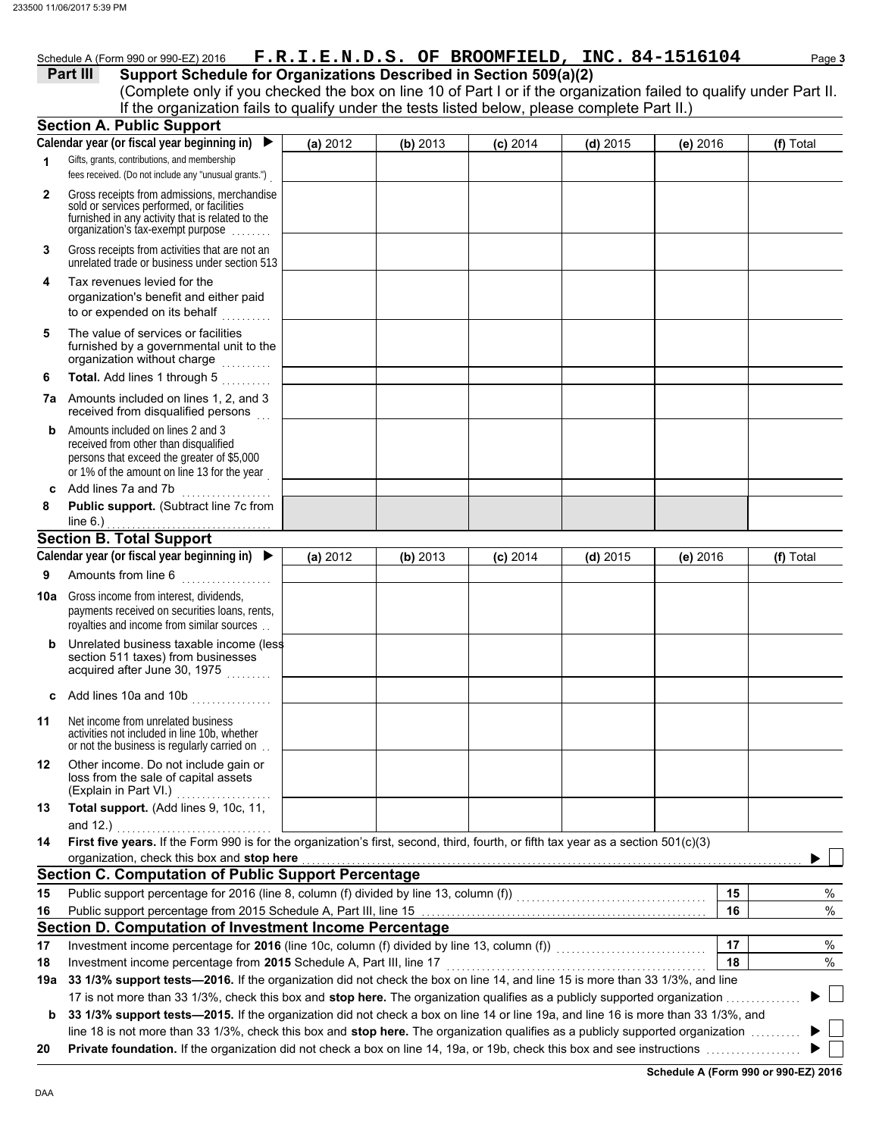| Schedule A (Form 990 or 990-EZ) 2016 |  | F.R.I.E.N.D.S. OF BROOMFIELD, INC. 84-1516104 | Page <b>3</b> |
|--------------------------------------|--|-----------------------------------------------|---------------|
|                                      |  |                                               |               |

#### **Part III Support Schedule for Organizations Described in Section 509(a)(2)**

(Complete only if you checked the box on line 10 of Part I or if the organization failed to qualify under Part II. If the organization fails to qualify under the tests listed below, please complete Part II.)

|     | <b>Section A. Public Support</b>                                                                                                                                        |          |          |            |            |          |           |
|-----|-------------------------------------------------------------------------------------------------------------------------------------------------------------------------|----------|----------|------------|------------|----------|-----------|
|     | Calendar year (or fiscal year beginning in)<br>▶                                                                                                                        | (a) 2012 | (b) 2013 | $(c)$ 2014 | $(d)$ 2015 | (e) 2016 | (f) Total |
| 1   | Gifts, grants, contributions, and membership                                                                                                                            |          |          |            |            |          |           |
|     | fees received. (Do not include any "unusual grants.")                                                                                                                   |          |          |            |            |          |           |
| 2   | Gross receipts from admissions, merchandise<br>sold or services performed, or facilities                                                                                |          |          |            |            |          |           |
|     | furnished in any activity that is related to the                                                                                                                        |          |          |            |            |          |           |
|     | organization's tax-exempt purpose                                                                                                                                       |          |          |            |            |          |           |
| 3   | Gross receipts from activities that are not an<br>unrelated trade or business under section 513                                                                         |          |          |            |            |          |           |
| 4   | Tax revenues levied for the<br>organization's benefit and either paid<br>to or expended on its behalf<br>a a a a a a a a a                                              |          |          |            |            |          |           |
| 5   | The value of services or facilities<br>furnished by a governmental unit to the<br>organization without charge<br>.                                                      |          |          |            |            |          |           |
| 6   | Total. Add lines 1 through 5                                                                                                                                            |          |          |            |            |          |           |
|     | 7a Amounts included on lines 1, 2, and 3<br>received from disqualified persons                                                                                          |          |          |            |            |          |           |
| b   | Amounts included on lines 2 and 3<br>received from other than disqualified<br>persons that exceed the greater of \$5,000<br>or 1% of the amount on line 13 for the year |          |          |            |            |          |           |
|     | c Add lines 7a and 7b                                                                                                                                                   |          |          |            |            |          |           |
| 8   | Public support. (Subtract line 7c from                                                                                                                                  |          |          |            |            |          |           |
|     | line $6.$ )                                                                                                                                                             |          |          |            |            |          |           |
|     | <b>Section B. Total Support</b>                                                                                                                                         |          |          |            |            |          |           |
|     | Calendar year (or fiscal year beginning in)                                                                                                                             | (a) 2012 | (b) 2013 | $(c)$ 2014 | $(d)$ 2015 | (e) 2016 | (f) Total |
| 9   | Amounts from line 6                                                                                                                                                     |          |          |            |            |          |           |
| 10a | Gross income from interest, dividends,<br>payments received on securities loans, rents,<br>royalties and income from similar sources                                    |          |          |            |            |          |           |
| b   | Unrelated business taxable income (less<br>section 511 taxes) from businesses<br>acquired after June 30, 1975                                                           |          |          |            |            |          |           |
|     | c Add lines 10a and 10b $\ldots$                                                                                                                                        |          |          |            |            |          |           |
| 11  | Net income from unrelated business<br>activities not included in line 10b, whether<br>or not the business is regularly carried on                                       |          |          |            |            |          |           |
| 12  | Other income. Do not include gain or<br>loss from the sale of capital assets<br>(Explain in Part VI.)                                                                   |          |          |            |            |          |           |
| 13  | Total support. (Add lines 9, 10c, 11,                                                                                                                                   |          |          |            |            |          |           |
|     | and $12.$ )                                                                                                                                                             |          |          |            |            |          |           |
| 14  | First five years. If the Form 990 is for the organization's first, second, third, fourth, or fifth tax year as a section 501(c)(3)                                      |          |          |            |            |          |           |
|     | organization, check this box and stop here                                                                                                                              |          |          |            |            |          |           |
|     | <b>Section C. Computation of Public Support Percentage</b>                                                                                                              |          |          |            |            |          |           |
| 15  | Public support percentage for 2016 (line 8, column (f) divided by line 13, column (f)) [[[[[[[[[[[[[[[[[[[[[[                                                           |          |          |            |            | 15       | %         |
| 16  |                                                                                                                                                                         |          |          |            |            | 16       | %         |
|     | Section D. Computation of Investment Income Percentage                                                                                                                  |          |          |            |            |          |           |
| 17  | Investment income percentage for 2016 (line 10c, column (f) divided by line 13, column (f)) [[[[[[[[[[[[[[[[[                                                           |          |          |            |            | 17       | %         |
| 18  | Investment income percentage from 2015 Schedule A, Part III, line 17                                                                                                    |          |          |            |            | 18       | %         |
| 19a | 33 1/3% support tests-2016. If the organization did not check the box on line 14, and line 15 is more than 33 1/3%, and line                                            |          |          |            |            |          |           |
|     | 17 is not more than 33 1/3%, check this box and stop here. The organization qualifies as a publicly supported organization                                              |          |          |            |            |          |           |
| b   | 33 1/3% support tests-2015. If the organization did not check a box on line 14 or line 19a, and line 16 is more than 33 1/3%, and                                       |          |          |            |            |          |           |
|     | line 18 is not more than 33 1/3%, check this box and stop here. The organization qualifies as a publicly supported organization                                         |          |          |            |            |          |           |
| 20  |                                                                                                                                                                         |          |          |            |            |          |           |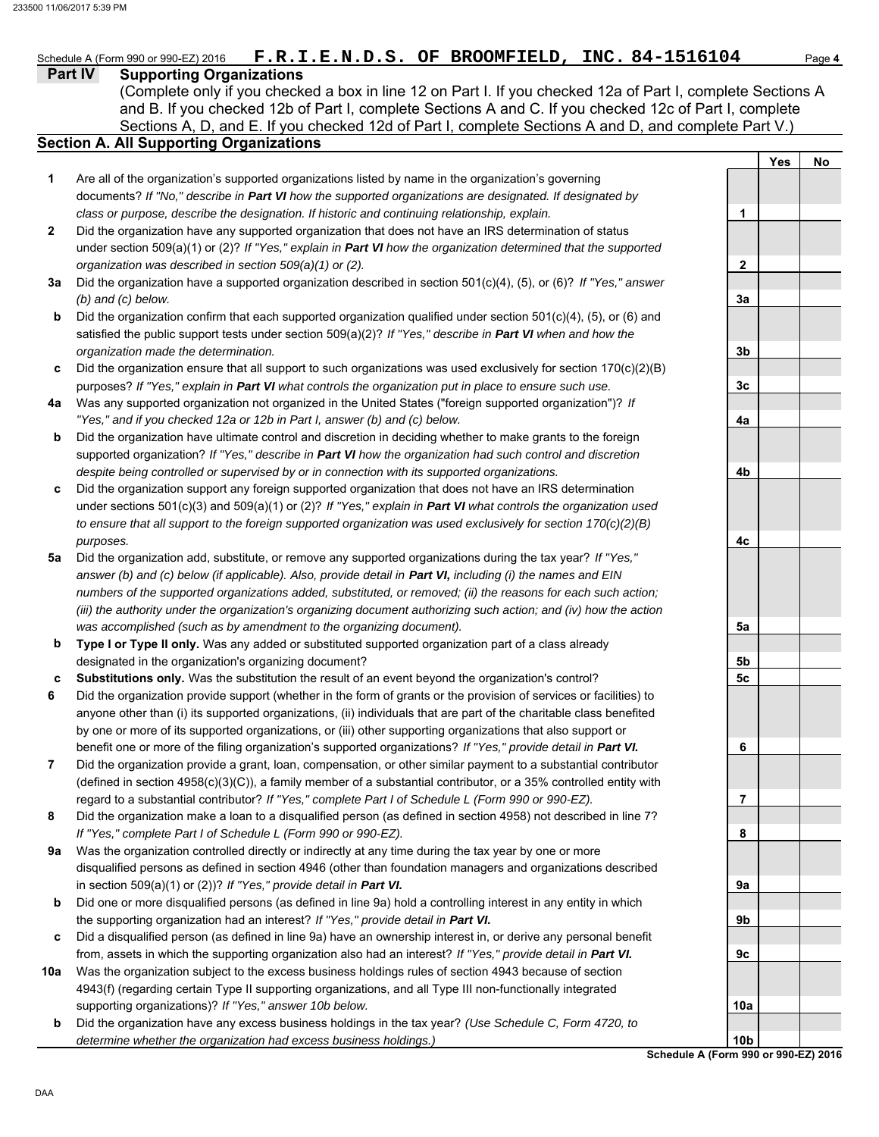**Yes No**

**1**

**2**

**3a**

**3b**

**3c**

**4a**

**4b**

**4c**

**5a**

**5b 5c**

**6**

**7**

**8**

**9a**

**9b**

**9c**

**10a**

**Part IV Supporting Organizations** Sections A, D, and E. If you checked 12d of Part I, complete Sections A and D, and complete Part V.) Schedule A (Form 990 or 990-EZ) 2016 **F.R.I.E.N.D.S. OF BROOMFIELD, INC. 84-1516104** Page 4 **Section A. All Supporting Organizations** (Complete only if you checked a box in line 12 on Part I. If you checked 12a of Part I, complete Sections A and B. If you checked 12b of Part I, complete Sections A and C. If you checked 12c of Part I, complete Are all of the organization's supported organizations listed by name in the organization's governing documents? *If "No," describe in Part VI how the supported organizations are designated. If designated by class or purpose, describe the designation. If historic and continuing relationship, explain.* Did the organization have any supported organization that does not have an IRS determination of status under section 509(a)(1) or (2)? *If "Yes," explain in Part VI how the organization determined that the supported organization was described in section 509(a)(1) or (2).* **1 2 3a** Did the organization have a supported organization described in section 501(c)(4), (5), or (6)? *If "Yes," answer* **b c** Did the organization ensure that all support to such organizations was used exclusively for section 170(c)(2)(B) **4a** Was any supported organization not organized in the United States ("foreign supported organization")? *If* **b c** Did the organization support any foreign supported organization that does not have an IRS determination **5a** Did the organization add, substitute, or remove any supported organizations during the tax year? *If "Yes,"* **b c 6 7 8 9a b c 10a** *(b) and (c) below.* Did the organization confirm that each supported organization qualified under section 501(c)(4), (5), or (6) and satisfied the public support tests under section 509(a)(2)? *If "Yes," describe in Part VI when and how the organization made the determination.* purposes? *If "Yes," explain in Part VI what controls the organization put in place to ensure such use. "Yes," and if you checked 12a or 12b in Part I, answer (b) and (c) below.* Did the organization have ultimate control and discretion in deciding whether to make grants to the foreign supported organization? *If "Yes," describe in Part VI how the organization had such control and discretion despite being controlled or supervised by or in connection with its supported organizations.* under sections 501(c)(3) and 509(a)(1) or (2)? *If "Yes," explain in Part VI what controls the organization used to ensure that all support to the foreign supported organization was used exclusively for section 170(c)(2)(B) purposes. answer (b) and (c) below (if applicable). Also, provide detail in Part VI, including (i) the names and EIN numbers of the supported organizations added, substituted, or removed; (ii) the reasons for each such action; (iii) the authority under the organization's organizing document authorizing such action; and (iv) how the action was accomplished (such as by amendment to the organizing document).* **Type I or Type II only.** Was any added or substituted supported organization part of a class already designated in the organization's organizing document? **Substitutions only.** Was the substitution the result of an event beyond the organization's control? Did the organization provide support (whether in the form of grants or the provision of services or facilities) to anyone other than (i) its supported organizations, (ii) individuals that are part of the charitable class benefited by one or more of its supported organizations, or (iii) other supporting organizations that also support or benefit one or more of the filing organization's supported organizations? *If "Yes," provide detail in Part VI.* Did the organization provide a grant, loan, compensation, or other similar payment to a substantial contributor (defined in section 4958(c)(3)(C)), a family member of a substantial contributor, or a 35% controlled entity with regard to a substantial contributor? *If "Yes," complete Part I of Schedule L (Form 990 or 990-EZ).* Did the organization make a loan to a disqualified person (as defined in section 4958) not described in line 7? *If "Yes," complete Part I of Schedule L (Form 990 or 990-EZ).* Was the organization controlled directly or indirectly at any time during the tax year by one or more disqualified persons as defined in section 4946 (other than foundation managers and organizations described in section 509(a)(1) or (2))? *If "Yes," provide detail in Part VI.* Did one or more disqualified persons (as defined in line 9a) hold a controlling interest in any entity in which the supporting organization had an interest? *If "Yes," provide detail in Part VI.* Did a disqualified person (as defined in line 9a) have an ownership interest in, or derive any personal benefit from, assets in which the supporting organization also had an interest? *If "Yes," provide detail in Part VI.* Was the organization subject to the excess business holdings rules of section 4943 because of section 4943(f) (regarding certain Type II supporting organizations, and all Type III non-functionally integrated supporting organizations)? *If "Yes," answer 10b below.*

Did the organization have any excess business holdings in the tax year? *(Use Schedule C, Form 4720, to* 

*determine whether the organization had excess business holdings.)*

**Schedule A (Form 990 or 990-EZ) 2016 10b**

**b**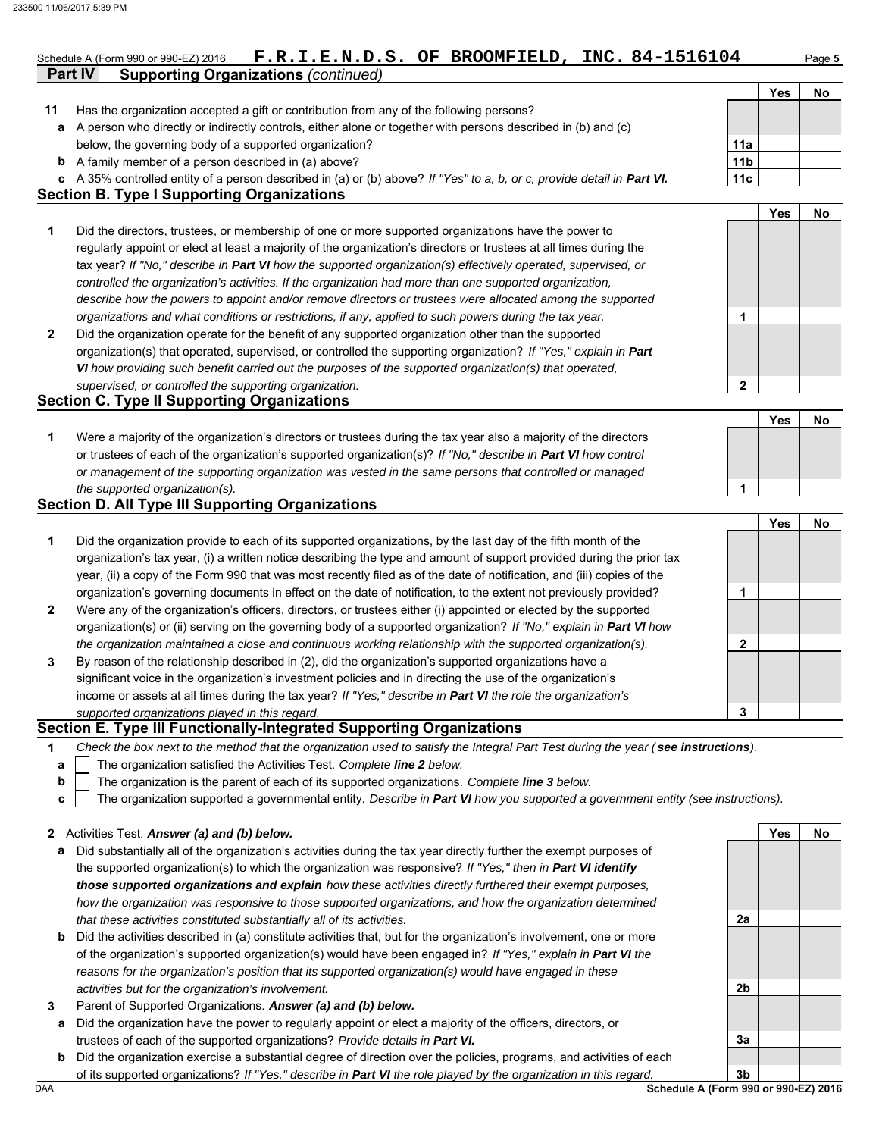|        | <b>Supporting Organizations (continued)</b><br>Part IV                                                                        |                  |     |    |
|--------|-------------------------------------------------------------------------------------------------------------------------------|------------------|-----|----|
|        |                                                                                                                               |                  | Yes | No |
| 11     | Has the organization accepted a gift or contribution from any of the following persons?                                       |                  |     |    |
| а      | A person who directly or indirectly controls, either alone or together with persons described in (b) and (c)                  |                  |     |    |
|        | below, the governing body of a supported organization?                                                                        | 11a              |     |    |
|        | <b>b</b> A family member of a person described in (a) above?                                                                  | 11 <sub>b</sub>  |     |    |
|        | c A 35% controlled entity of a person described in (a) or (b) above? If "Yes" to a, b, or c, provide detail in Part VI.       | 11c              |     |    |
|        | <b>Section B. Type I Supporting Organizations</b>                                                                             |                  |     |    |
|        |                                                                                                                               |                  | Yes |    |
|        | Did the directors, trustees, or membership of one or more supported organizations have the power to                           |                  |     |    |
|        | regularly appoint or elect at least a majority of the organization's directors or trustees at all times during the            |                  |     |    |
|        | tax year? If "No," describe in Part VI how the supported organization(s) effectively operated, supervised, or                 |                  |     |    |
|        | controlled the organization's activities. If the organization had more than one supported organization,                       |                  |     |    |
|        | describe how the powers to appoint and/or remove directors or trustees were allocated among the supported                     |                  |     |    |
|        | organizations and what conditions or restrictions, if any, applied to such powers during the tax year.                        | 1                |     |    |
|        | Did the organization operate for the benefit of any supported organization other than the supported                           |                  |     |    |
|        | organization(s) that operated, supervised, or controlled the supporting organization? If "Yes," explain in Part               |                  |     |    |
|        | VI how providing such benefit carried out the purposes of the supported organization(s) that operated,                        |                  |     |    |
|        | supervised, or controlled the supporting organization.                                                                        | $\boldsymbol{2}$ |     |    |
|        | <b>Section C. Type II Supporting Organizations</b>                                                                            |                  |     |    |
| 1      |                                                                                                                               |                  | Yes |    |
|        | Were a majority of the organization's directors or trustees during the tax year also a majority of the directors              |                  |     |    |
|        | or trustees of each of the organization's supported organization(s)? If "No," describe in Part VI how control                 |                  |     |    |
|        | or management of the supporting organization was vested in the same persons that controlled or managed                        |                  |     |    |
|        | the supported organization(s).                                                                                                | 1                |     |    |
|        | <b>Section D. All Type III Supporting Organizations</b>                                                                       |                  |     |    |
|        |                                                                                                                               |                  | Yes |    |
|        | Did the organization provide to each of its supported organizations, by the last day of the fifth month of the                |                  |     |    |
|        | organization's tax year, (i) a written notice describing the type and amount of support provided during the prior tax         |                  |     |    |
|        | year, (ii) a copy of the Form 990 that was most recently filed as of the date of notification, and (iii) copies of the        |                  |     |    |
|        | organization's governing documents in effect on the date of notification, to the extent not previously provided?              | 1                |     |    |
|        | Were any of the organization's officers, directors, or trustees either (i) appointed or elected by the supported              |                  |     |    |
|        | organization(s) or (ii) serving on the governing body of a supported organization? If "No," explain in Part VI how            |                  |     |    |
|        |                                                                                                                               | 2                |     |    |
|        | the organization maintained a close and continuous working relationship with the supported organization(s).                   |                  |     |    |
| 2<br>3 | By reason of the relationship described in (2), did the organization's supported organizations have a                         |                  |     |    |
|        | significant voice in the organization's investment policies and in directing the use of the organization's                    |                  |     |    |
|        | income or assets at all times during the tax year? If "Yes," describe in Part VI the role the organization's                  |                  |     |    |
|        | supported organizations played in this regard.<br><b>Section E. Type III Functionally-Integrated Supporting Organizations</b> | 3                |     |    |

- The organization is the parent of each of its supported organizations. *Complete line 3 below.*
- The organization supported a governmental entity. *Describe in Part VI how you supported a government entity (see instructions).* **c**

|  | 2 Activities Test. Answer (a) and (b) below. |  |  |  |  |  |  |  |
|--|----------------------------------------------|--|--|--|--|--|--|--|
|--|----------------------------------------------|--|--|--|--|--|--|--|

- **a** Did substantially all of the organization's activities during the tax year directly further the exempt purposes of the supported organization(s) to which the organization was responsive? *If "Yes," then in Part VI identify those supported organizations and explain how these activities directly furthered their exempt purposes, how the organization was responsive to those supported organizations, and how the organization determined that these activities constituted substantially all of its activities.*
- **b** Did the activities described in (a) constitute activities that, but for the organization's involvement, one or more of the organization's supported organization(s) would have been engaged in? *If "Yes," explain in Part VI the reasons for the organization's position that its supported organization(s) would have engaged in these activities but for the organization's involvement.*
- **3** Parent of Supported Organizations. *Answer (a) and (b) below.*
- **a** Did the organization have the power to regularly appoint or elect a majority of the officers, directors, or trustees of each of the supported organizations? *Provide details in Part VI.*
- **b** Did the organization exercise a substantial degree of direction over the policies, programs, and activities of each of its supported organizations? *If "Yes," describe in Part VI the role played by the organization in this regard.*

**2a 2b 3a 3b**

**Yes No**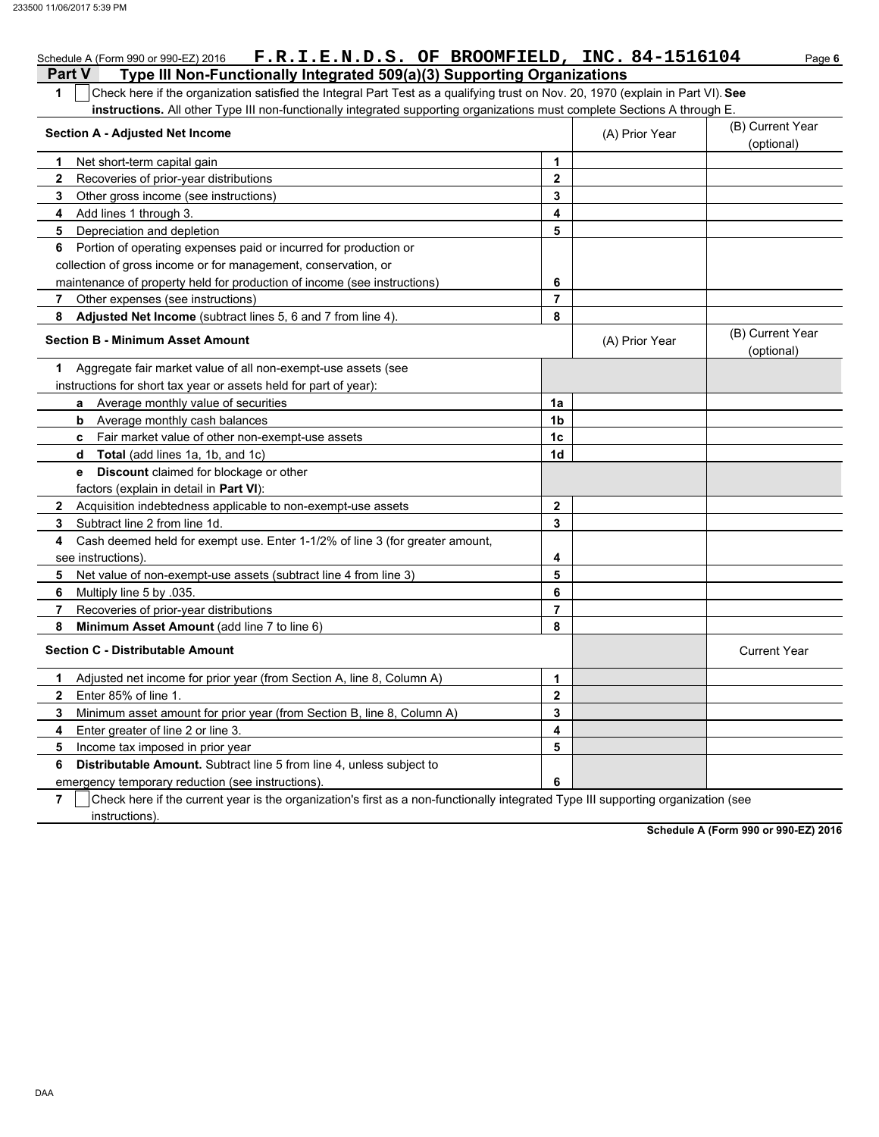| Schedule A (Form 990 or 990-EZ) 2016 F.R.I.E.N.D.S. OF BROOMFIELD, INC. 84-1516104                                                              |                |                | Page 6                         |
|-------------------------------------------------------------------------------------------------------------------------------------------------|----------------|----------------|--------------------------------|
| Type III Non-Functionally Integrated 509(a)(3) Supporting Organizations<br><b>Part V</b>                                                        |                |                |                                |
| Check here if the organization satisfied the Integral Part Test as a qualifying trust on Nov. 20, 1970 (explain in Part VI). See<br>$\mathbf 1$ |                |                |                                |
| instructions. All other Type III non-functionally integrated supporting organizations must complete Sections A through E.                       |                |                |                                |
| <b>Section A - Adjusted Net Income</b>                                                                                                          |                | (A) Prior Year | (B) Current Year               |
|                                                                                                                                                 |                |                | (optional)                     |
| 1<br>Net short-term capital gain                                                                                                                | 1              |                |                                |
| Recoveries of prior-year distributions<br>2                                                                                                     | $\overline{2}$ |                |                                |
| Other gross income (see instructions)<br>3                                                                                                      | 3              |                |                                |
| Add lines 1 through 3.<br>4                                                                                                                     | 4              |                |                                |
| 5<br>Depreciation and depletion                                                                                                                 | 5              |                |                                |
| Portion of operating expenses paid or incurred for production or<br>6                                                                           |                |                |                                |
| collection of gross income or for management, conservation, or                                                                                  |                |                |                                |
| maintenance of property held for production of income (see instructions)                                                                        | 6              |                |                                |
| Other expenses (see instructions)<br>$\overline{7}$                                                                                             | $\overline{7}$ |                |                                |
| 8<br>Adjusted Net Income (subtract lines 5, 6 and 7 from line 4).                                                                               | 8              |                |                                |
| <b>Section B - Minimum Asset Amount</b>                                                                                                         |                | (A) Prior Year | (B) Current Year<br>(optional) |
| Aggregate fair market value of all non-exempt-use assets (see<br>1                                                                              |                |                |                                |
| instructions for short tax year or assets held for part of year):                                                                               |                |                |                                |
| Average monthly value of securities<br>a                                                                                                        | 1a             |                |                                |
| Average monthly cash balances<br>b                                                                                                              | 1b             |                |                                |
| Fair market value of other non-exempt-use assets<br>c.                                                                                          | 1 <sub>c</sub> |                |                                |
| Total (add lines 1a, 1b, and 1c)<br>d                                                                                                           | 1 <sub>d</sub> |                |                                |
| <b>Discount</b> claimed for blockage or other<br>e                                                                                              |                |                |                                |
| factors (explain in detail in Part VI):                                                                                                         |                |                |                                |
| Acquisition indebtedness applicable to non-exempt-use assets<br>$\mathbf{2}$                                                                    | $\overline{2}$ |                |                                |
| Subtract line 2 from line 1d.<br>3                                                                                                              | 3              |                |                                |
| Cash deemed held for exempt use. Enter 1-1/2% of line 3 (for greater amount,<br>4                                                               |                |                |                                |
| see instructions)                                                                                                                               | 4              |                |                                |
| Net value of non-exempt-use assets (subtract line 4 from line 3)<br>5                                                                           | 5              |                |                                |
| Multiply line 5 by .035.<br>6                                                                                                                   | 6              |                |                                |
| 7<br>Recoveries of prior-year distributions                                                                                                     | $\overline{7}$ |                |                                |
| 8<br>Minimum Asset Amount (add line 7 to line 6)                                                                                                | 8              |                |                                |
| <b>Section C - Distributable Amount</b>                                                                                                         |                |                | <b>Current Year</b>            |
| Adjusted net income for prior year (from Section A, line 8, Column A)<br>1                                                                      | 1              |                |                                |
| Enter 85% of line 1.<br>$\mathbf{2}$                                                                                                            | $\overline{2}$ |                |                                |
| Minimum asset amount for prior year (from Section B, line 8, Column A)<br>3                                                                     | 3              |                |                                |
| Enter greater of line 2 or line 3.<br>4                                                                                                         | 4              |                |                                |
| 5<br>Income tax imposed in prior year                                                                                                           | 5              |                |                                |
| <b>Distributable Amount.</b> Subtract line 5 from line 4, unless subject to<br>6                                                                |                |                |                                |
| emergency temporary reduction (see instructions)                                                                                                | 6              |                |                                |

**7**  $\,$   $\,$   $\,$   $\,$   $\,$   $\,$  Check here if the current year is the organization's first as a non-functionally integrated Type III supporting organization (see instructions).

**Schedule A (Form 990 or 990-EZ) 2016**

DAA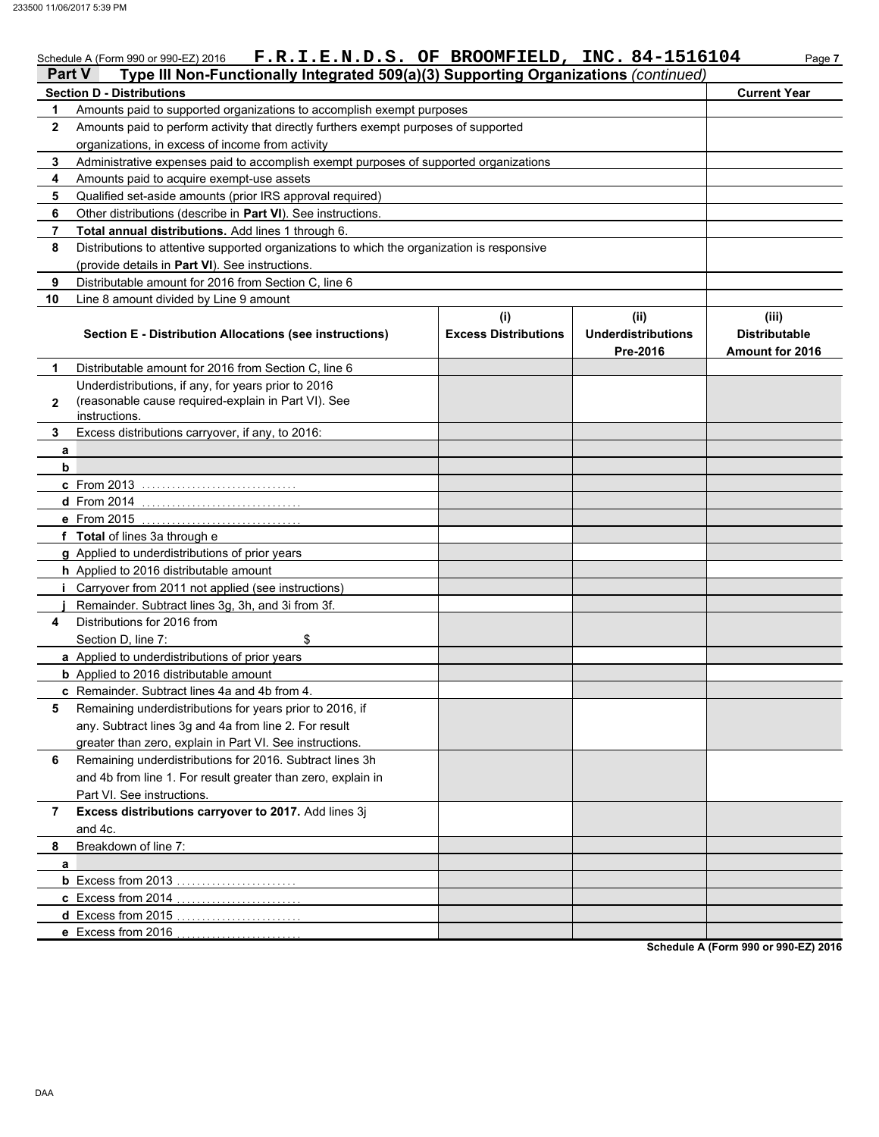## Schedule A (Form 990 or 990-EZ) 2016 **F.R.I.E.N.D.S. OF BROOMFIELD, INC. 84-1516104** Page 7

| Part V         | Type III Non-Functionally Integrated 509(a)(3) Supporting Organizations (continued)                        |                                    |                                               |                                                  |
|----------------|------------------------------------------------------------------------------------------------------------|------------------------------------|-----------------------------------------------|--------------------------------------------------|
|                | <b>Section D - Distributions</b>                                                                           |                                    |                                               | <b>Current Year</b>                              |
| 1              | Amounts paid to supported organizations to accomplish exempt purposes                                      |                                    |                                               |                                                  |
| $\mathbf{2}$   | Amounts paid to perform activity that directly furthers exempt purposes of supported                       |                                    |                                               |                                                  |
|                | organizations, in excess of income from activity                                                           |                                    |                                               |                                                  |
| 3              | Administrative expenses paid to accomplish exempt purposes of supported organizations                      |                                    |                                               |                                                  |
| 4              | Amounts paid to acquire exempt-use assets                                                                  |                                    |                                               |                                                  |
| 5              | Qualified set-aside amounts (prior IRS approval required)                                                  |                                    |                                               |                                                  |
| 6              | Other distributions (describe in Part VI). See instructions.                                               |                                    |                                               |                                                  |
| 7              | Total annual distributions. Add lines 1 through 6.                                                         |                                    |                                               |                                                  |
| 8              | Distributions to attentive supported organizations to which the organization is responsive                 |                                    |                                               |                                                  |
|                | (provide details in Part VI). See instructions.                                                            |                                    |                                               |                                                  |
| 9              | Distributable amount for 2016 from Section C. line 6                                                       |                                    |                                               |                                                  |
| 10             | Line 8 amount divided by Line 9 amount                                                                     |                                    |                                               |                                                  |
|                | <b>Section E - Distribution Allocations (see instructions)</b>                                             | (i)<br><b>Excess Distributions</b> | (ii)<br><b>Underdistributions</b><br>Pre-2016 | (iii)<br><b>Distributable</b><br>Amount for 2016 |
| 1              | Distributable amount for 2016 from Section C. line 6                                                       |                                    |                                               |                                                  |
|                | Underdistributions, if any, for years prior to 2016<br>(reasonable cause required-explain in Part VI). See |                                    |                                               |                                                  |
| 2              | instructions.                                                                                              |                                    |                                               |                                                  |
| 3              | Excess distributions carryover, if any, to 2016:                                                           |                                    |                                               |                                                  |
| a              |                                                                                                            |                                    |                                               |                                                  |
| b              |                                                                                                            |                                    |                                               |                                                  |
|                | c From 2013                                                                                                |                                    |                                               |                                                  |
|                | <b>d</b> From 2014                                                                                         |                                    |                                               |                                                  |
|                | e From 2015                                                                                                |                                    |                                               |                                                  |
|                | f Total of lines 3a through e                                                                              |                                    |                                               |                                                  |
|                | g Applied to underdistributions of prior years                                                             |                                    |                                               |                                                  |
|                | h Applied to 2016 distributable amount                                                                     |                                    |                                               |                                                  |
|                | i Carryover from 2011 not applied (see instructions)                                                       |                                    |                                               |                                                  |
|                | Remainder. Subtract lines 3g, 3h, and 3i from 3f.                                                          |                                    |                                               |                                                  |
| 4              | Distributions for 2016 from                                                                                |                                    |                                               |                                                  |
|                | Section D. line 7:<br>\$                                                                                   |                                    |                                               |                                                  |
|                | a Applied to underdistributions of prior years                                                             |                                    |                                               |                                                  |
|                | <b>b</b> Applied to 2016 distributable amount                                                              |                                    |                                               |                                                  |
|                | c Remainder. Subtract lines 4a and 4b from 4.                                                              |                                    |                                               |                                                  |
|                | 5 Remaining underdistributions for years prior to 2016, if                                                 |                                    |                                               |                                                  |
|                | any. Subtract lines 3g and 4a from line 2. For result                                                      |                                    |                                               |                                                  |
|                | greater than zero, explain in Part VI. See instructions.                                                   |                                    |                                               |                                                  |
| 6              | Remaining underdistributions for 2016. Subtract lines 3h                                                   |                                    |                                               |                                                  |
|                | and 4b from line 1. For result greater than zero, explain in                                               |                                    |                                               |                                                  |
|                | Part VI. See instructions.                                                                                 |                                    |                                               |                                                  |
| $\overline{7}$ | Excess distributions carryover to 2017. Add lines 3j                                                       |                                    |                                               |                                                  |
|                | and 4c.                                                                                                    |                                    |                                               |                                                  |
| 8              | Breakdown of line 7:                                                                                       |                                    |                                               |                                                  |
| a              |                                                                                                            |                                    |                                               |                                                  |
|                |                                                                                                            |                                    |                                               |                                                  |
|                | c Excess from 2014                                                                                         |                                    |                                               |                                                  |
|                | d Excess from 2015                                                                                         |                                    |                                               |                                                  |
|                | e Excess from 2016                                                                                         |                                    |                                               | Schodule A (Form 000 or 000 EZ) 2016             |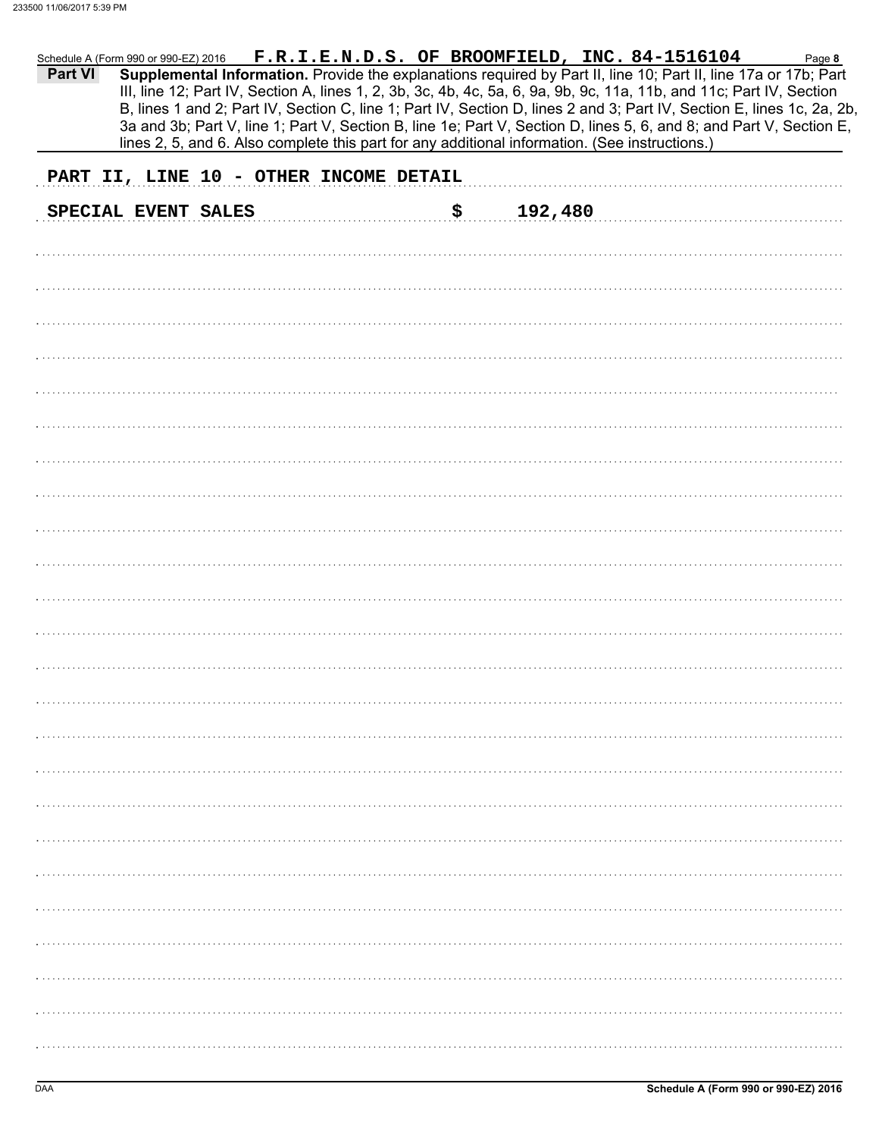|         |                     |                                        |     |                                                                                                | Schedule A (Form 990 or 990-EZ) 2016 F.R.I.E.N.D.S. OF BROOMFIELD, INC. 84-1516104                                                                                                                                                      | Page 8 |
|---------|---------------------|----------------------------------------|-----|------------------------------------------------------------------------------------------------|-----------------------------------------------------------------------------------------------------------------------------------------------------------------------------------------------------------------------------------------|--------|
| Part VI |                     |                                        |     |                                                                                                | Supplemental Information. Provide the explanations required by Part II, line 10; Part II, line 17a or 17b; Part<br>III, line 12; Part IV, Section A, lines 1, 2, 3b, 3c, 4b, 4c, 5a, 6, 9a, 9b, 9c, 11a, 11b, and 11c; Part IV, Section |        |
|         |                     |                                        |     |                                                                                                | B, lines 1 and 2; Part IV, Section C, line 1; Part IV, Section D, lines 2 and 3; Part IV, Section E, lines 1c, 2a, 2b,                                                                                                                  |        |
|         |                     |                                        |     |                                                                                                | 3a and 3b; Part V, line 1; Part V, Section B, line 1e; Part V, Section D, lines 5, 6, and 8; and Part V, Section E,                                                                                                                     |        |
|         |                     |                                        |     | lines 2, 5, and 6. Also complete this part for any additional information. (See instructions.) |                                                                                                                                                                                                                                         |        |
|         |                     | PART II, LINE 10 - OTHER INCOME DETAIL |     |                                                                                                |                                                                                                                                                                                                                                         |        |
|         | SPECIAL EVENT SALES |                                        | \$. | 192,480                                                                                        |                                                                                                                                                                                                                                         |        |
|         |                     |                                        |     |                                                                                                |                                                                                                                                                                                                                                         |        |
|         |                     |                                        |     |                                                                                                |                                                                                                                                                                                                                                         |        |
|         |                     |                                        |     |                                                                                                |                                                                                                                                                                                                                                         |        |
|         |                     |                                        |     |                                                                                                |                                                                                                                                                                                                                                         |        |
|         |                     |                                        |     |                                                                                                |                                                                                                                                                                                                                                         |        |
|         |                     |                                        |     |                                                                                                |                                                                                                                                                                                                                                         |        |
|         |                     |                                        |     |                                                                                                |                                                                                                                                                                                                                                         |        |
|         |                     |                                        |     |                                                                                                |                                                                                                                                                                                                                                         |        |
|         |                     |                                        |     |                                                                                                |                                                                                                                                                                                                                                         |        |
|         |                     |                                        |     |                                                                                                |                                                                                                                                                                                                                                         |        |
|         |                     |                                        |     |                                                                                                |                                                                                                                                                                                                                                         |        |
|         |                     |                                        |     |                                                                                                |                                                                                                                                                                                                                                         |        |
|         |                     |                                        |     |                                                                                                |                                                                                                                                                                                                                                         |        |
|         |                     |                                        |     |                                                                                                |                                                                                                                                                                                                                                         |        |
|         |                     |                                        |     |                                                                                                |                                                                                                                                                                                                                                         |        |
|         |                     |                                        |     |                                                                                                |                                                                                                                                                                                                                                         |        |
|         |                     |                                        |     |                                                                                                |                                                                                                                                                                                                                                         |        |
|         |                     |                                        |     |                                                                                                |                                                                                                                                                                                                                                         |        |
|         |                     |                                        |     |                                                                                                |                                                                                                                                                                                                                                         |        |
|         |                     |                                        |     |                                                                                                |                                                                                                                                                                                                                                         |        |
|         |                     |                                        |     |                                                                                                |                                                                                                                                                                                                                                         |        |
|         |                     |                                        |     |                                                                                                |                                                                                                                                                                                                                                         |        |
|         |                     |                                        |     |                                                                                                |                                                                                                                                                                                                                                         |        |
|         |                     |                                        |     |                                                                                                |                                                                                                                                                                                                                                         |        |
|         |                     |                                        |     |                                                                                                |                                                                                                                                                                                                                                         |        |
|         |                     |                                        |     |                                                                                                |                                                                                                                                                                                                                                         |        |
|         |                     |                                        |     |                                                                                                |                                                                                                                                                                                                                                         |        |
|         |                     |                                        |     |                                                                                                |                                                                                                                                                                                                                                         |        |
|         |                     |                                        |     |                                                                                                |                                                                                                                                                                                                                                         |        |
|         |                     |                                        |     |                                                                                                |                                                                                                                                                                                                                                         |        |
|         |                     |                                        |     |                                                                                                |                                                                                                                                                                                                                                         |        |
|         |                     |                                        |     |                                                                                                |                                                                                                                                                                                                                                         |        |
|         |                     |                                        |     |                                                                                                |                                                                                                                                                                                                                                         |        |
|         |                     |                                        |     |                                                                                                |                                                                                                                                                                                                                                         |        |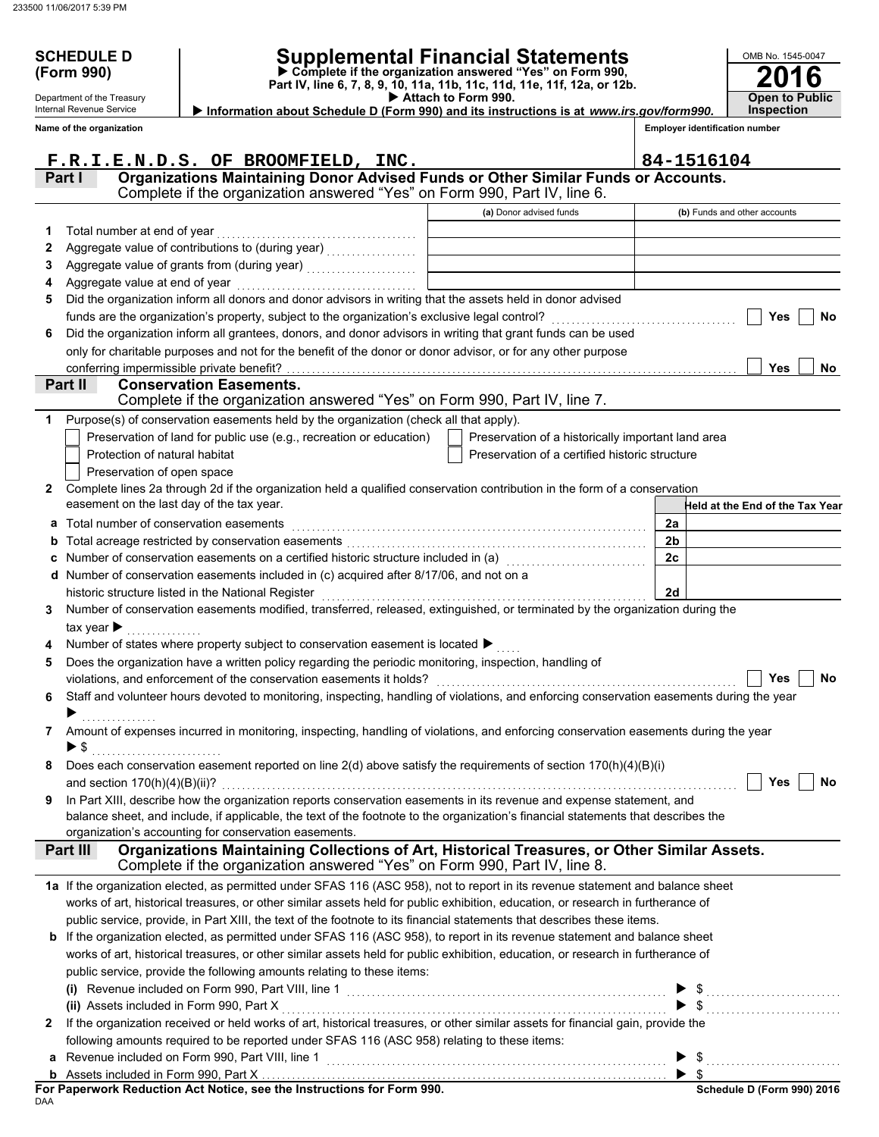Department of the Treasury Internal Revenue Service

# **SCHEDULE D Supplemental Financial Statements**

 **Attach to Form 990. (Form 990) Part IV, line 6, 7, 8, 9, 10, 11a, 11b, 11c, 11d, 11e, 11f, 12a, or 12b. Complete if the organization answered "Yes" on Form 990, Information about Schedule D (Form 990) and its instructions is at** *www.irs.gov/form990.*

**2016 Open to Public Inspection**

OMB No. 1545-0047

**Employer identification number**

|              | Name of the organization         |                                                                                                                                                                                    |                                                    | <b>Employer identification number</b> |
|--------------|----------------------------------|------------------------------------------------------------------------------------------------------------------------------------------------------------------------------------|----------------------------------------------------|---------------------------------------|
|              |                                  | F.R.I.E.N.D.S. OF BROOMFIELD, INC.                                                                                                                                                 |                                                    | 84-1516104                            |
|              | Part I                           | Organizations Maintaining Donor Advised Funds or Other Similar Funds or Accounts.<br>Complete if the organization answered "Yes" on Form 990, Part IV, line 6.                     |                                                    |                                       |
|              |                                  |                                                                                                                                                                                    | (a) Donor advised funds                            | (b) Funds and other accounts          |
| 1            | Total number at end of year      |                                                                                                                                                                                    |                                                    |                                       |
| 2            |                                  |                                                                                                                                                                                    |                                                    |                                       |
| З            |                                  |                                                                                                                                                                                    |                                                    |                                       |
| 4            |                                  |                                                                                                                                                                                    |                                                    |                                       |
| 5            |                                  | Did the organization inform all donors and donor advisors in writing that the assets held in donor advised                                                                         |                                                    |                                       |
|              |                                  | funds are the organization's property, subject to the organization's exclusive legal control? [[[[[[[[[[[[[[[[                                                                     |                                                    | Yes<br>No                             |
| 6            |                                  | Did the organization inform all grantees, donors, and donor advisors in writing that grant funds can be used                                                                       |                                                    |                                       |
|              |                                  | only for charitable purposes and not for the benefit of the donor or donor advisor, or for any other purpose                                                                       |                                                    |                                       |
|              |                                  |                                                                                                                                                                                    |                                                    | Yes<br>No                             |
|              | Part II                          | <b>Conservation Easements.</b><br>Complete if the organization answered "Yes" on Form 990, Part IV, line 7.                                                                        |                                                    |                                       |
| 1            |                                  | Purpose(s) of conservation easements held by the organization (check all that apply).                                                                                              |                                                    |                                       |
|              |                                  | Preservation of land for public use (e.g., recreation or education)                                                                                                                | Preservation of a historically important land area |                                       |
|              |                                  | Protection of natural habitat                                                                                                                                                      | Preservation of a certified historic structure     |                                       |
|              |                                  | Preservation of open space                                                                                                                                                         |                                                    |                                       |
| $\mathbf{2}$ |                                  | Complete lines 2a through 2d if the organization held a qualified conservation contribution in the form of a conservation                                                          |                                                    |                                       |
|              |                                  | easement on the last day of the tax year.                                                                                                                                          |                                                    | Held at the End of the Tax Year       |
| a            |                                  | Total number of conservation easements                                                                                                                                             |                                                    | 2a                                    |
| b            |                                  |                                                                                                                                                                                    |                                                    | 2 <sub>b</sub>                        |
| c            |                                  | Number of conservation easements on a certified historic structure included in (a) [11] Number of conservation                                                                     |                                                    | 2c                                    |
| d            |                                  | Number of conservation easements included in (c) acquired after 8/17/06, and not on a                                                                                              |                                                    |                                       |
|              |                                  | historic structure listed in the National Register<br>Number of conservation easements modified, transferred, released, extinguished, or terminated by the organization during the |                                                    | 2d                                    |
| 3.           | tax year $\blacktriangleright$   |                                                                                                                                                                                    |                                                    |                                       |
|              |                                  | Number of states where property subject to conservation easement is located ▶                                                                                                      |                                                    |                                       |
| 5            |                                  | Does the organization have a written policy regarding the periodic monitoring, inspection, handling of                                                                             |                                                    |                                       |
|              |                                  | violations, and enforcement of the conservation easements it holds?                                                                                                                |                                                    | Yes<br>No                             |
| 6            |                                  | Staff and volunteer hours devoted to monitoring, inspecting, handling of violations, and enforcing conservation easements during the year                                          |                                                    |                                       |
|              |                                  |                                                                                                                                                                                    |                                                    |                                       |
|              |                                  | Amount of expenses incurred in monitoring, inspecting, handling of violations, and enforcing conservation easements during the year                                                |                                                    |                                       |
|              | $\blacktriangleright$ \$         |                                                                                                                                                                                    |                                                    |                                       |
|              |                                  | Does each conservation easement reported on line 2(d) above satisfy the requirements of section 170(h)(4)(B)(i)                                                                    |                                                    |                                       |
|              | and section $170(h)(4)(B)(ii)$ ? |                                                                                                                                                                                    |                                                    | Yes<br>No                             |
| 9            |                                  | In Part XIII, describe how the organization reports conservation easements in its revenue and expense statement, and                                                               |                                                    |                                       |
|              |                                  | balance sheet, and include, if applicable, the text of the footnote to the organization's financial statements that describes the                                                  |                                                    |                                       |
|              |                                  | organization's accounting for conservation easements.                                                                                                                              |                                                    |                                       |
|              | Part III                         | Organizations Maintaining Collections of Art, Historical Treasures, or Other Similar Assets.<br>Complete if the organization answered "Yes" on Form 990, Part IV, line 8.          |                                                    |                                       |
|              |                                  | 1a If the organization elected, as permitted under SFAS 116 (ASC 958), not to report in its revenue statement and balance sheet                                                    |                                                    |                                       |
|              |                                  | works of art, historical treasures, or other similar assets held for public exhibition, education, or research in furtherance of                                                   |                                                    |                                       |
|              |                                  | public service, provide, in Part XIII, the text of the footnote to its financial statements that describes these items.                                                            |                                                    |                                       |
|              |                                  | <b>b</b> If the organization elected, as permitted under SFAS 116 (ASC 958), to report in its revenue statement and balance sheet                                                  |                                                    |                                       |
|              |                                  | works of art, historical treasures, or other similar assets held for public exhibition, education, or research in furtherance of                                                   |                                                    |                                       |
|              |                                  | public service, provide the following amounts relating to these items:                                                                                                             |                                                    |                                       |
|              |                                  | (i) Revenue included on Form 990, Part VIII, line 1 <b>Construct Construct Construct Construct</b> Construct Construct                                                             |                                                    | $\$\$                                 |
|              |                                  | (ii) Assets included in Form 990, Part X                                                                                                                                           |                                                    |                                       |
| 2            |                                  | If the organization received or held works of art, historical treasures, or other similar assets for financial gain, provide the                                                   |                                                    |                                       |
|              |                                  | following amounts required to be reported under SFAS 116 (ASC 958) relating to these items:                                                                                        |                                                    |                                       |
| а            |                                  | Revenue included on Form 990, Part VIII, line 1                                                                                                                                    |                                                    | $\blacktriangleright$ s               |
|              |                                  |                                                                                                                                                                                    |                                                    |                                       |

DAA **For Paperwork Reduction Act Notice, see the Instructions for Form 990.**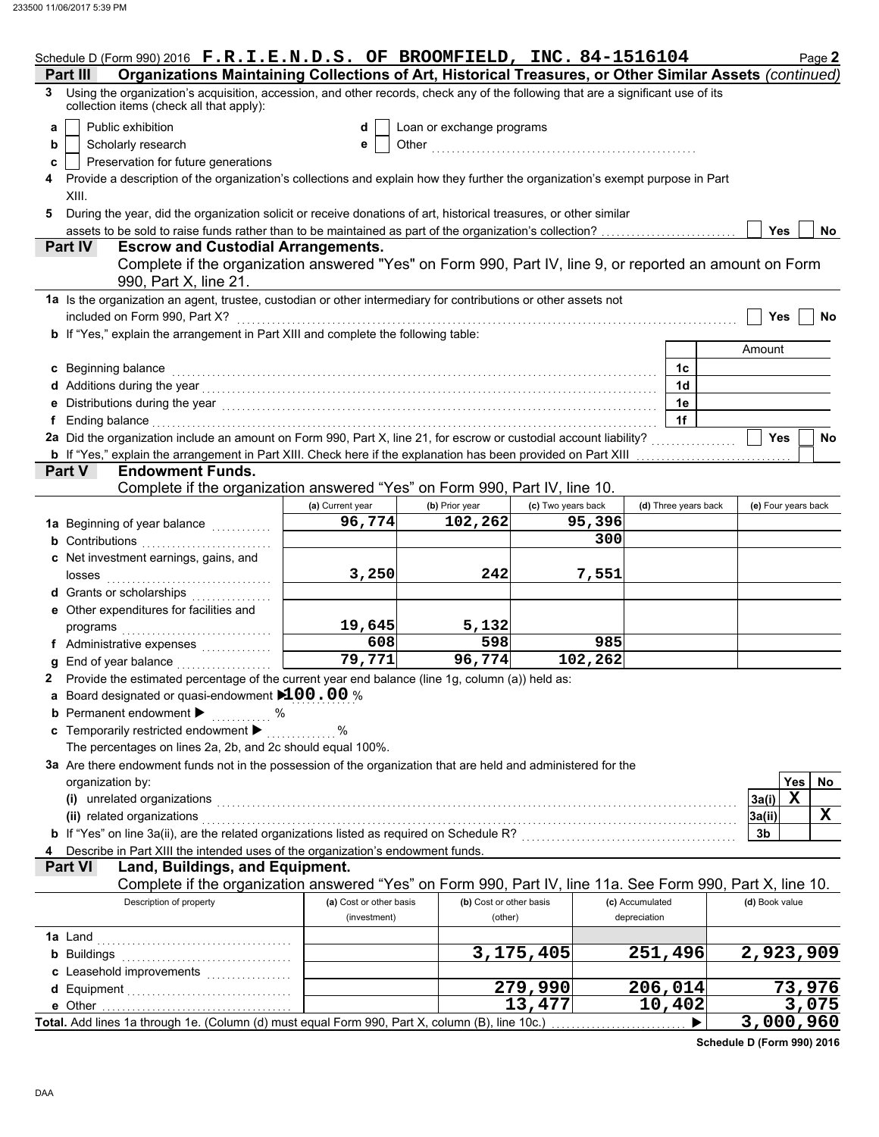|   | Schedule D (Form 990) 2016 F.R.I.E.N.D.S. OF BROOMFIELD, INC. 84-1516104                                                                                                                                                         |                         |                           |                    |                      | Page 2              |
|---|----------------------------------------------------------------------------------------------------------------------------------------------------------------------------------------------------------------------------------|-------------------------|---------------------------|--------------------|----------------------|---------------------|
|   | Organizations Maintaining Collections of Art, Historical Treasures, or Other Similar Assets (continued)<br>Part III                                                                                                              |                         |                           |                    |                      |                     |
| 3 | Using the organization's acquisition, accession, and other records, check any of the following that are a significant use of its<br>collection items (check all that apply):                                                     |                         |                           |                    |                      |                     |
| a | Public exhibition                                                                                                                                                                                                                | d                       | Loan or exchange programs |                    |                      |                     |
| b | Scholarly research                                                                                                                                                                                                               | е                       | Other                     |                    |                      |                     |
| c | Preservation for future generations                                                                                                                                                                                              |                         |                           |                    |                      |                     |
|   | Provide a description of the organization's collections and explain how they further the organization's exempt purpose in Part                                                                                                   |                         |                           |                    |                      |                     |
|   | XIII.                                                                                                                                                                                                                            |                         |                           |                    |                      |                     |
|   | During the year, did the organization solicit or receive donations of art, historical treasures, or other similar                                                                                                                |                         |                           |                    |                      |                     |
|   | assets to be sold to raise funds rather than to be maintained as part of the organization's collection?                                                                                                                          |                         |                           |                    |                      | <b>Yes</b><br>No    |
|   | <b>Escrow and Custodial Arrangements.</b><br>Part IV                                                                                                                                                                             |                         |                           |                    |                      |                     |
|   | Complete if the organization answered "Yes" on Form 990, Part IV, line 9, or reported an amount on Form                                                                                                                          |                         |                           |                    |                      |                     |
|   | 990, Part X, line 21.                                                                                                                                                                                                            |                         |                           |                    |                      |                     |
|   | 1a Is the organization an agent, trustee, custodian or other intermediary for contributions or other assets not                                                                                                                  |                         |                           |                    |                      |                     |
|   | included on Form 990, Part X?                                                                                                                                                                                                    |                         |                           |                    |                      | Yes<br>No           |
|   | <b>b</b> If "Yes," explain the arrangement in Part XIII and complete the following table:                                                                                                                                        |                         |                           |                    |                      |                     |
|   |                                                                                                                                                                                                                                  |                         |                           |                    |                      | Amount              |
|   | c Beginning balance                                                                                                                                                                                                              |                         |                           |                    | 1c                   |                     |
|   | d Additions during the year<br>experience and the contract contract of the set of the set of the set of the set of the set of the set of the set of the set of the set of the set of the set of the set of the set of the set of |                         |                           |                    | 1 <sub>d</sub>       |                     |
|   | e Distributions during the year<br>interactions: interactions: interactions: interactions: interactions: interactions: interactions: interactions: interactions: interactions: interactions: interactions: interactions: interac |                         |                           |                    | 1e                   |                     |
| f | Ending balance with a continuum and contact the contract of the contract of the contract of the contract of the contract of the contract of the contract of the contract of the contract of the contract of the contract of th   |                         |                           |                    | 1f                   |                     |
|   | 2a Did the organization include an amount on Form 990, Part X, line 21, for escrow or custodial account liability?                                                                                                               |                         |                           |                    |                      | <b>Yes</b><br>No    |
|   | <b>b</b> If "Yes," explain the arrangement in Part XIII. Check here if the explanation has been provided on Part XIII                                                                                                            |                         |                           |                    |                      |                     |
|   | Part V<br><b>Endowment Funds.</b>                                                                                                                                                                                                |                         |                           |                    |                      |                     |
|   | Complete if the organization answered "Yes" on Form 990, Part IV, line 10.                                                                                                                                                       |                         |                           |                    |                      |                     |
|   |                                                                                                                                                                                                                                  |                         |                           |                    |                      |                     |
|   |                                                                                                                                                                                                                                  | (a) Current year        | (b) Prior year            | (c) Two years back | (d) Three years back | (e) Four years back |
|   | 1a Beginning of year balance <i>minimizing</i>                                                                                                                                                                                   | $\overline{96,774}$     | 102,262                   | 95,396             |                      |                     |
|   | <b>b</b> Contributions                                                                                                                                                                                                           |                         |                           | 300                |                      |                     |
|   | c Net investment earnings, gains, and                                                                                                                                                                                            |                         |                           |                    |                      |                     |
|   | losses                                                                                                                                                                                                                           | 3,250                   | 242                       | 7,551              |                      |                     |
|   | d Grants or scholarships                                                                                                                                                                                                         |                         |                           |                    |                      |                     |
|   | e Other expenditures for facilities and                                                                                                                                                                                          |                         |                           |                    |                      |                     |
|   | programs                                                                                                                                                                                                                         | 19,645                  | 5,132                     |                    |                      |                     |
|   | f Administrative expenses                                                                                                                                                                                                        | 608                     | 598                       | 985                |                      |                     |
|   | <b>g</b> End of year balance                                                                                                                                                                                                     | 79,771                  | 96,774                    | 102, 262           |                      |                     |
|   | Provide the estimated percentage of the current year end balance (line 1g, column (a)) held as:                                                                                                                                  |                         |                           |                    |                      |                     |
|   | Board designated or quasi-endowment $100.00$ %                                                                                                                                                                                   |                         |                           |                    |                      |                     |
|   | <b>b</b> Permanent endowment $\blacktriangleright$<br>%                                                                                                                                                                          |                         |                           |                    |                      |                     |
|   | c Temporarily restricted endowment >                                                                                                                                                                                             | $\%$                    |                           |                    |                      |                     |
|   | The percentages on lines 2a, 2b, and 2c should equal 100%.                                                                                                                                                                       |                         |                           |                    |                      |                     |
|   | 3a Are there endowment funds not in the possession of the organization that are held and administered for the                                                                                                                    |                         |                           |                    |                      |                     |
|   | organization by:                                                                                                                                                                                                                 |                         |                           |                    |                      | Yes<br>No           |
|   |                                                                                                                                                                                                                                  |                         |                           |                    |                      | $\mathbf x$         |
|   | (i) unrelated organizations                                                                                                                                                                                                      |                         |                           |                    |                      | 3a(i)               |
|   | (ii) related organizations                                                                                                                                                                                                       |                         |                           |                    |                      | X<br>3a(ii)         |
|   | b If "Yes" on line 3a(ii), are the related organizations listed as required on Schedule R? [[[[[[[[[[[[[[[[[[[                                                                                                                   |                         |                           |                    |                      | 3b                  |
|   | Describe in Part XIII the intended uses of the organization's endowment funds.                                                                                                                                                   |                         |                           |                    |                      |                     |
|   | Land, Buildings, and Equipment.<br><b>Part VI</b>                                                                                                                                                                                |                         |                           |                    |                      |                     |
|   | Complete if the organization answered "Yes" on Form 990, Part IV, line 11a. See Form 990, Part X, line 10.                                                                                                                       |                         |                           |                    |                      |                     |
|   | Description of property                                                                                                                                                                                                          | (a) Cost or other basis | (b) Cost or other basis   |                    | (c) Accumulated      | (d) Book value      |
|   |                                                                                                                                                                                                                                  | (investment)            | (other)                   |                    | depreciation         |                     |
|   | <b>1a</b> Land                                                                                                                                                                                                                   |                         |                           |                    |                      |                     |
|   | <b>b</b> Buildings                                                                                                                                                                                                               |                         |                           | 3,175,405          | 251,496              | 2,923,909           |
|   |                                                                                                                                                                                                                                  |                         |                           |                    |                      |                     |
|   |                                                                                                                                                                                                                                  |                         |                           | 279,990            | 206,014              | 73,976              |
|   |                                                                                                                                                                                                                                  |                         |                           | 13,477             | 10,402               | 3,075               |
|   | Total. Add lines 1a through 1e. (Column (d) must equal Form 990, Part X, column (B), line 10c.)                                                                                                                                  |                         |                           |                    |                      | 3,000,960           |
|   |                                                                                                                                                                                                                                  |                         |                           |                    |                      |                     |

**Schedule D (Form 990) 2016**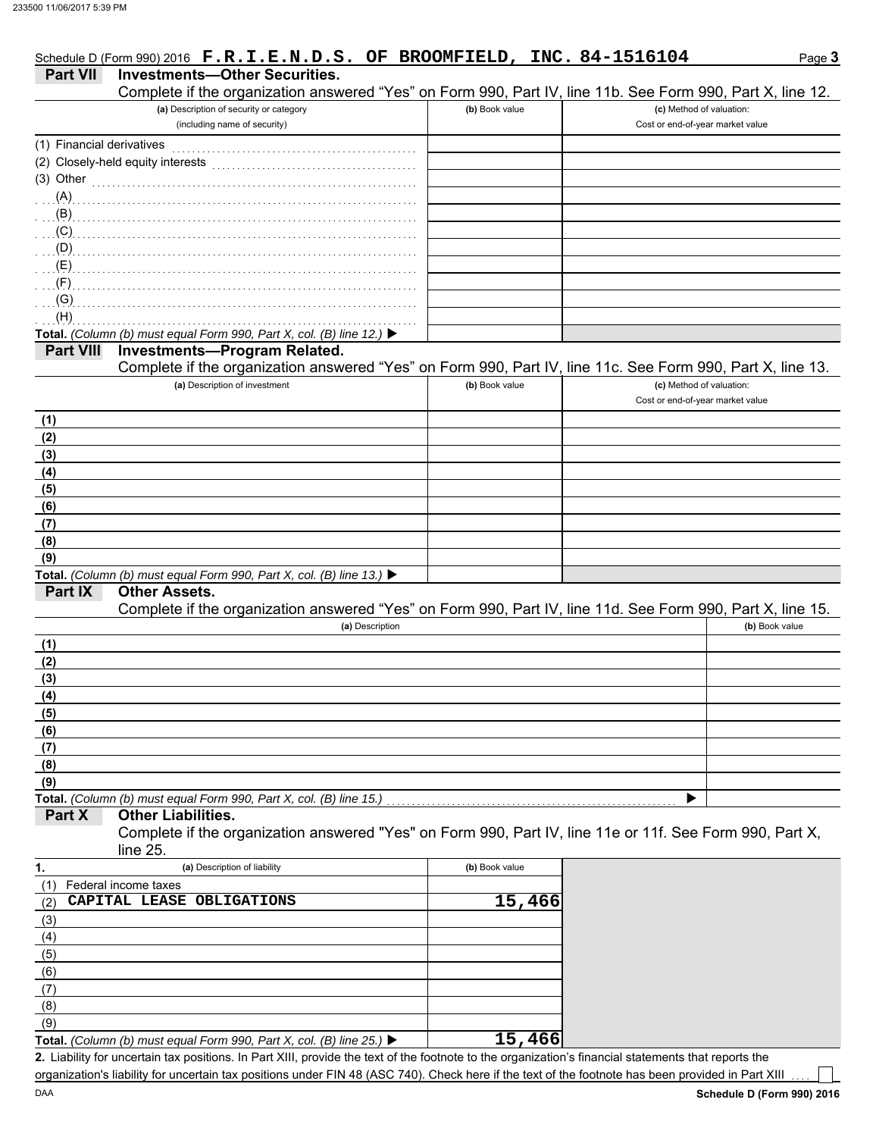|                           | Schedule D (Form 990) 2016 F.R.I.E.N.D.S. OF BROOMFIELD, INC. 84-1516104                                                                                                                                                                                                                                                           |                |                                                              | Page 3         |
|---------------------------|------------------------------------------------------------------------------------------------------------------------------------------------------------------------------------------------------------------------------------------------------------------------------------------------------------------------------------|----------------|--------------------------------------------------------------|----------------|
| <b>Part VII</b>           | <b>Investments-Other Securities.</b>                                                                                                                                                                                                                                                                                               |                |                                                              |                |
|                           | Complete if the organization answered "Yes" on Form 990, Part IV, line 11b. See Form 990, Part X, line 12.                                                                                                                                                                                                                         |                |                                                              |                |
|                           | (a) Description of security or category<br>(including name of security)                                                                                                                                                                                                                                                            | (b) Book value | (c) Method of valuation:<br>Cost or end-of-year market value |                |
| (1) Financial derivatives |                                                                                                                                                                                                                                                                                                                                    |                |                                                              |                |
|                           | (2) Closely-held equity interests                                                                                                                                                                                                                                                                                                  |                |                                                              |                |
| $(3)$ Other               |                                                                                                                                                                                                                                                                                                                                    |                |                                                              |                |
| (A)                       |                                                                                                                                                                                                                                                                                                                                    |                |                                                              |                |
|                           |                                                                                                                                                                                                                                                                                                                                    |                |                                                              |                |
|                           | $\overline{a}$ (C) $\overline{a}$ (C) $\overline{a}$ (C) $\overline{a}$ (C) $\overline{a}$ (C) $\overline{a}$ (C) $\overline{a}$ (C) $\overline{a}$ (C) $\overline{a}$ (C) $\overline{a}$ (C) $\overline{a}$ (C) $\overline{a}$ (C) $\overline{a}$ (C) $\overline{a}$ (C) $\overline{a}$ (C) $\overline{a}$ (C) $\overline{a}$ (C) |                |                                                              |                |
|                           |                                                                                                                                                                                                                                                                                                                                    |                |                                                              |                |
|                           |                                                                                                                                                                                                                                                                                                                                    |                |                                                              |                |
|                           |                                                                                                                                                                                                                                                                                                                                    |                |                                                              |                |
| (G)<br>(H)                |                                                                                                                                                                                                                                                                                                                                    |                |                                                              |                |
|                           | Total. (Column (b) must equal Form 990, Part X, col. (B) line 12.) ▶                                                                                                                                                                                                                                                               |                |                                                              |                |
| <b>Part VIII</b>          | <b>Investments-Program Related.</b>                                                                                                                                                                                                                                                                                                |                |                                                              |                |
|                           | Complete if the organization answered "Yes" on Form 990, Part IV, line 11c. See Form 990, Part X, line 13.                                                                                                                                                                                                                         |                |                                                              |                |
|                           | (a) Description of investment                                                                                                                                                                                                                                                                                                      | (b) Book value | (c) Method of valuation:                                     |                |
|                           |                                                                                                                                                                                                                                                                                                                                    |                | Cost or end-of-year market value                             |                |
| (1)                       |                                                                                                                                                                                                                                                                                                                                    |                |                                                              |                |
| (2)                       |                                                                                                                                                                                                                                                                                                                                    |                |                                                              |                |
| (3)                       |                                                                                                                                                                                                                                                                                                                                    |                |                                                              |                |
| (4)<br>(5)                |                                                                                                                                                                                                                                                                                                                                    |                |                                                              |                |
| (6)                       |                                                                                                                                                                                                                                                                                                                                    |                |                                                              |                |
| (7)                       |                                                                                                                                                                                                                                                                                                                                    |                |                                                              |                |
| (8)                       |                                                                                                                                                                                                                                                                                                                                    |                |                                                              |                |
| (9)                       |                                                                                                                                                                                                                                                                                                                                    |                |                                                              |                |
|                           | Total. (Column (b) must equal Form 990, Part X, col. (B) line 13.) ▶                                                                                                                                                                                                                                                               |                |                                                              |                |
| Part IX                   | <b>Other Assets.</b>                                                                                                                                                                                                                                                                                                               |                |                                                              |                |
|                           | Complete if the organization answered "Yes" on Form 990, Part IV, line 11d. See Form 990, Part X, line 15.<br>(a) Description                                                                                                                                                                                                      |                |                                                              | (b) Book value |
| (1)                       |                                                                                                                                                                                                                                                                                                                                    |                |                                                              |                |
| (2)                       |                                                                                                                                                                                                                                                                                                                                    |                |                                                              |                |
| (3)                       |                                                                                                                                                                                                                                                                                                                                    |                |                                                              |                |
| (4)                       |                                                                                                                                                                                                                                                                                                                                    |                |                                                              |                |
| (5)                       |                                                                                                                                                                                                                                                                                                                                    |                |                                                              |                |
| (6)                       |                                                                                                                                                                                                                                                                                                                                    |                |                                                              |                |
| (7)                       |                                                                                                                                                                                                                                                                                                                                    |                |                                                              |                |
| (8)                       |                                                                                                                                                                                                                                                                                                                                    |                |                                                              |                |
| (9)                       | Total. (Column (b) must equal Form 990, Part X, col. (B) line 15.)                                                                                                                                                                                                                                                                 |                |                                                              |                |
| Part X                    | <b>Other Liabilities.</b>                                                                                                                                                                                                                                                                                                          |                |                                                              |                |
|                           | Complete if the organization answered "Yes" on Form 990, Part IV, line 11e or 11f. See Form 990, Part X,                                                                                                                                                                                                                           |                |                                                              |                |
|                           | line 25.                                                                                                                                                                                                                                                                                                                           |                |                                                              |                |
| 1.                        | (a) Description of liability                                                                                                                                                                                                                                                                                                       | (b) Book value |                                                              |                |
| (1)                       | Federal income taxes                                                                                                                                                                                                                                                                                                               |                |                                                              |                |
| (2)                       | CAPITAL LEASE OBLIGATIONS                                                                                                                                                                                                                                                                                                          | 15,466         |                                                              |                |
| (3)                       |                                                                                                                                                                                                                                                                                                                                    |                |                                                              |                |
| (4)                       |                                                                                                                                                                                                                                                                                                                                    |                |                                                              |                |
| (5)                       |                                                                                                                                                                                                                                                                                                                                    |                |                                                              |                |
| (6)<br>(7)                |                                                                                                                                                                                                                                                                                                                                    |                |                                                              |                |
| (8)                       |                                                                                                                                                                                                                                                                                                                                    |                |                                                              |                |
| (9)                       |                                                                                                                                                                                                                                                                                                                                    |                |                                                              |                |
|                           | Total. (Column (b) must equal Form 990, Part X, col. (B) line 25.) ▶                                                                                                                                                                                                                                                               | 15,466         |                                                              |                |

Liability for uncertain tax positions. In Part XIII, provide the text of the footnote to the organization's financial statements that reports the **2.** organization's liability for uncertain tax positions under FIN 48 (ASC 740). Check here if the text of the footnote has been provided in Part XIII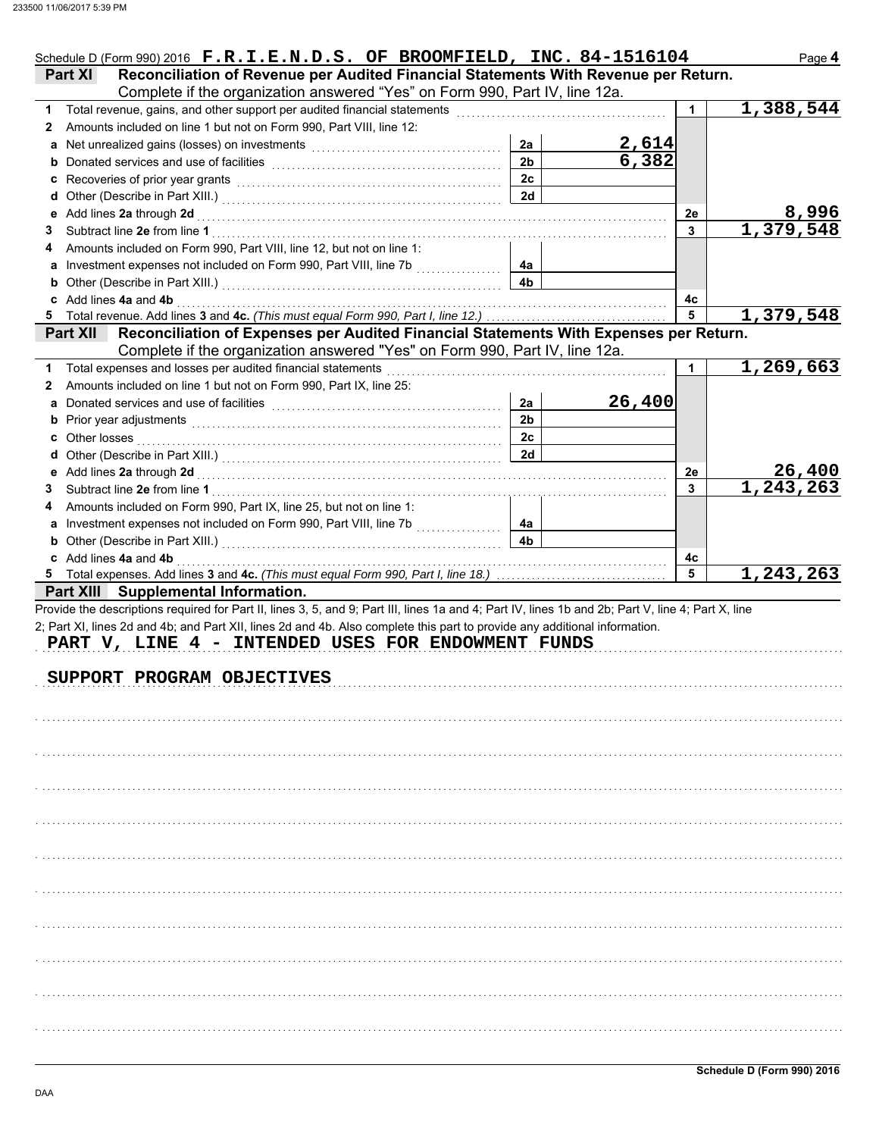|   | Schedule D (Form 990) 2016 F.R.I.E.N.D.S. OF BROOMFIELD, INC. 84-1516104                                                                                                      |                      |                       |              | Page 4                |
|---|-------------------------------------------------------------------------------------------------------------------------------------------------------------------------------|----------------------|-----------------------|--------------|-----------------------|
|   | Reconciliation of Revenue per Audited Financial Statements With Revenue per Return.<br><b>Part XI</b>                                                                         |                      |                       |              |                       |
|   | Complete if the organization answered "Yes" on Form 990, Part IV, line 12a.                                                                                                   |                      |                       |              |                       |
|   | 1 Total revenue, gains, and other support per audited financial statements                                                                                                    |                      |                       | $\mathbf{1}$ | 1,388,544             |
| 2 | Amounts included on line 1 but not on Form 990, Part VIII, line 12:                                                                                                           |                      |                       |              |                       |
| a |                                                                                                                                                                               | 2a                   | $\frac{2,614}{6,382}$ |              |                       |
|   |                                                                                                                                                                               | 2 <sub>b</sub>       |                       |              |                       |
|   | c Recoveries of prior year grants [11] Recovering the Recoveries of prior year grants [11] Recoveries of prior                                                                | 2c                   |                       |              |                       |
|   |                                                                                                                                                                               | 2d                   |                       |              |                       |
|   |                                                                                                                                                                               |                      |                       | 2е           | 8,996                 |
| З |                                                                                                                                                                               |                      |                       | $\mathbf{3}$ | 1,379,548             |
| 4 | Amounts included on Form 990, Part VIII, line 12, but not on line 1:                                                                                                          |                      |                       |              |                       |
|   | a Investment expenses not included on Form 990, Part VIII, line 7b<br>.                                                                                                       | 4а                   |                       |              |                       |
|   | <b>b</b> Other (Describe in Part XIII.) <b>CONSIDENT DESCRIPTION DESCRIPTION</b>                                                                                              | 4b                   |                       |              |                       |
|   | c Add lines 4a and 4b                                                                                                                                                         |                      |                       | 4с           |                       |
|   |                                                                                                                                                                               |                      |                       | 5            | 1,379,548             |
|   | Part XII Reconciliation of Expenses per Audited Financial Statements With Expenses per Return.<br>Complete if the organization answered "Yes" on Form 990, Part IV, line 12a. |                      |                       |              |                       |
|   | Total expenses and losses per audited financial statements                                                                                                                    |                      |                       | $\mathbf 1$  | 1,269,663             |
| 1 | Amounts included on line 1 but not on Form 990, Part IX, line 25:                                                                                                             |                      |                       |              |                       |
| 2 |                                                                                                                                                                               |                      | 26,400                |              |                       |
| a |                                                                                                                                                                               | 2a<br>2 <sub>b</sub> |                       |              |                       |
|   |                                                                                                                                                                               |                      |                       |              |                       |
|   |                                                                                                                                                                               | 2c                   |                       |              |                       |
|   |                                                                                                                                                                               | 2d                   |                       |              |                       |
|   |                                                                                                                                                                               |                      |                       | 2е           | 26,400<br>1, 243, 263 |
| З |                                                                                                                                                                               |                      |                       | 3            |                       |
| 4 | Amounts included on Form 990, Part IX, line 25, but not on line 1:                                                                                                            |                      |                       |              |                       |
|   |                                                                                                                                                                               | 4а                   |                       |              |                       |
|   |                                                                                                                                                                               | 4 <sub>b</sub>       |                       |              |                       |
|   | <b>b</b> Other (Describe in Part XIII.) <b>CONVERTED ASSESS</b>                                                                                                               |                      |                       |              |                       |
|   | c Add lines 4a and 4b                                                                                                                                                         |                      |                       | 4с           |                       |
|   |                                                                                                                                                                               |                      |                       | 5            |                       |
|   | Part XIII Supplemental Information.                                                                                                                                           |                      |                       |              |                       |
|   | Provide the descriptions required for Part II, lines 3, 5, and 9; Part III, lines 1a and 4; Part IV, lines 1b and 2b; Part V, line 4; Part X, line                            |                      |                       |              |                       |
|   | 2; Part XI, lines 2d and 4b; and Part XII, lines 2d and 4b. Also complete this part to provide any additional information.                                                    |                      |                       |              |                       |
|   | PART V, LINE 4 - INTENDED USES FOR ENDOWMENT FUNDS                                                                                                                            |                      |                       |              |                       |
|   |                                                                                                                                                                               |                      |                       |              |                       |
|   | SUPPORT PROGRAM OBJECTIVES                                                                                                                                                    |                      |                       |              |                       |
|   |                                                                                                                                                                               |                      |                       |              |                       |
|   |                                                                                                                                                                               |                      |                       |              |                       |
|   |                                                                                                                                                                               |                      |                       |              |                       |
|   |                                                                                                                                                                               |                      |                       |              |                       |
|   |                                                                                                                                                                               |                      |                       |              |                       |
|   |                                                                                                                                                                               |                      |                       |              |                       |
|   |                                                                                                                                                                               |                      |                       |              |                       |
|   |                                                                                                                                                                               |                      |                       |              |                       |
|   |                                                                                                                                                                               |                      |                       |              |                       |
|   |                                                                                                                                                                               |                      |                       |              |                       |
|   |                                                                                                                                                                               |                      |                       |              |                       |
|   |                                                                                                                                                                               |                      |                       |              |                       |
|   |                                                                                                                                                                               |                      |                       |              |                       |
|   |                                                                                                                                                                               |                      |                       |              |                       |
|   |                                                                                                                                                                               |                      |                       |              |                       |
|   |                                                                                                                                                                               |                      |                       |              |                       |
|   |                                                                                                                                                                               |                      |                       |              |                       |
|   |                                                                                                                                                                               |                      |                       |              |                       |
|   |                                                                                                                                                                               |                      |                       |              | 1,243,263             |
|   |                                                                                                                                                                               |                      |                       |              |                       |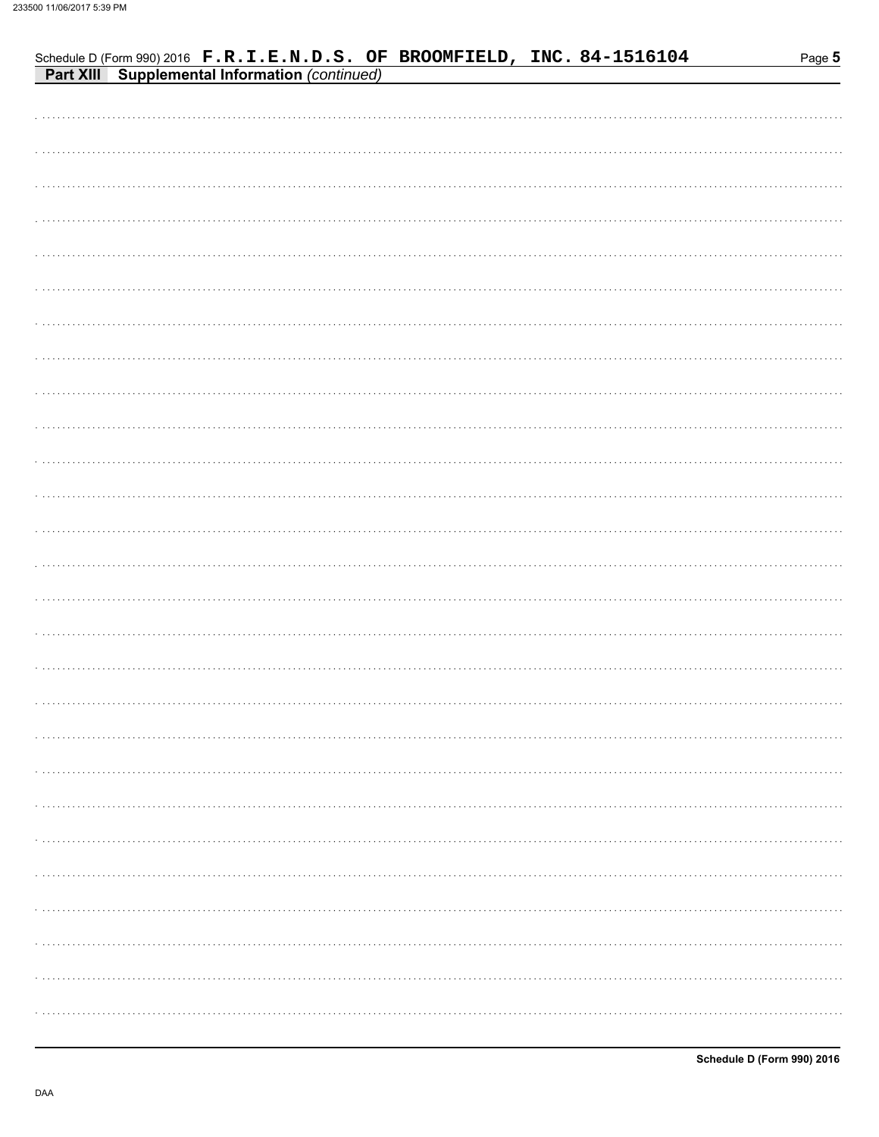| <b>Part XIII</b> Supplemental Information (continued) |
|-------------------------------------------------------|
|                                                       |
|                                                       |
|                                                       |
|                                                       |
|                                                       |
|                                                       |
|                                                       |
|                                                       |
|                                                       |
|                                                       |
|                                                       |
|                                                       |
|                                                       |
|                                                       |
|                                                       |
|                                                       |
|                                                       |
|                                                       |
|                                                       |
|                                                       |
|                                                       |
|                                                       |
|                                                       |
|                                                       |
|                                                       |
|                                                       |
|                                                       |
|                                                       |
|                                                       |

Schedule D (Form 990) 2016 F.R.I.E.N.D.S. OF BROOMFIELD, INC. 84-1516104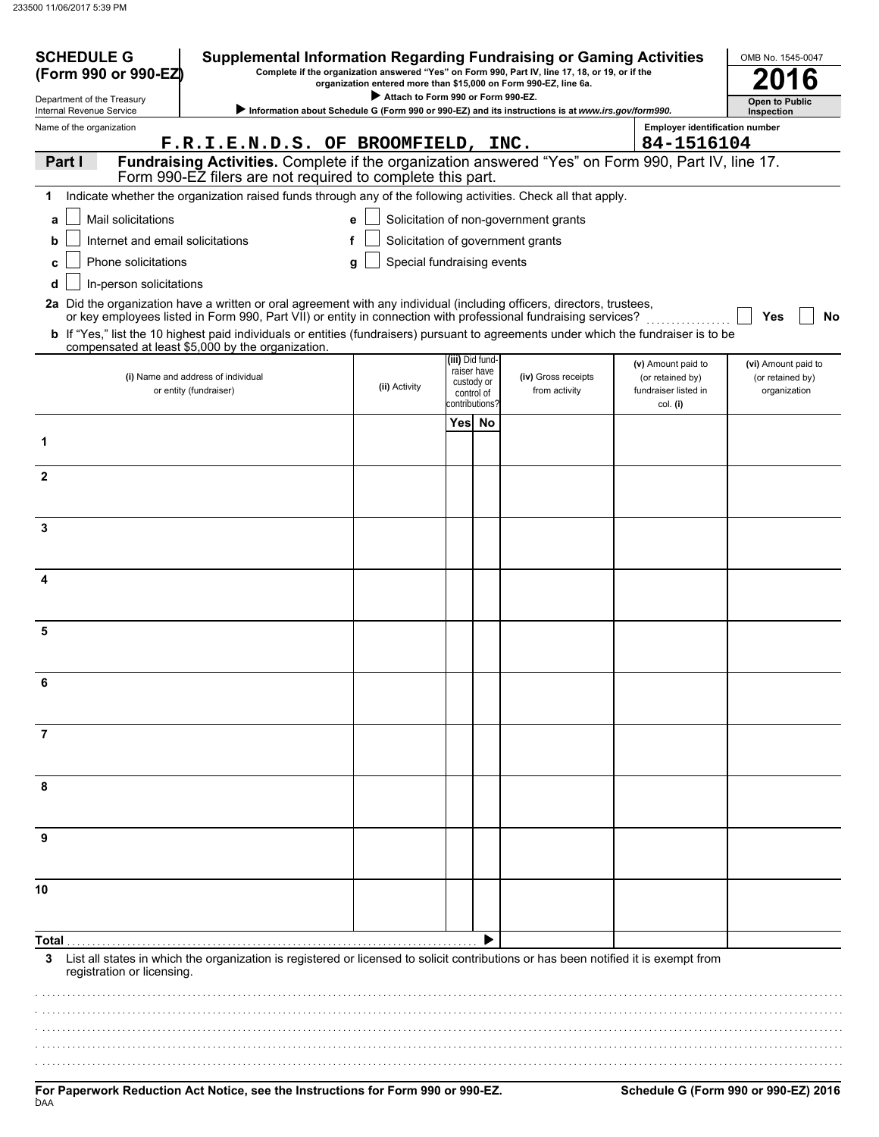| <b>SCHEDULE G</b><br>(Form 990 or 990-EZ               | <b>Supplemental Information Regarding Fundraising or Gaming Activities</b>                                                                                                                 |                                    |                                | Complete if the organization answered "Yes" on Form 990, Part IV, line 17, 18, or 19, or if the<br>organization entered more than \$15,000 on Form 990-EZ, line 6a. |                                          | OMB No. 1545-0047                   |
|--------------------------------------------------------|--------------------------------------------------------------------------------------------------------------------------------------------------------------------------------------------|------------------------------------|--------------------------------|---------------------------------------------------------------------------------------------------------------------------------------------------------------------|------------------------------------------|-------------------------------------|
| Department of the Treasury<br>Internal Revenue Service |                                                                                                                                                                                            | Attach to Form 990 or Form 990-EZ. |                                | Information about Schedule G (Form 990 or 990-EZ) and its instructions is at www.irs.gov/form990.                                                                   |                                          | <b>Open to Public</b><br>Inspection |
| Name of the organization                               |                                                                                                                                                                                            |                                    |                                |                                                                                                                                                                     | <b>Employer identification number</b>    |                                     |
|                                                        | F.R.I.E.N.D.S. OF BROOMFIELD, INC.                                                                                                                                                         |                                    |                                |                                                                                                                                                                     | 84-1516104                               |                                     |
| Part I                                                 | Fundraising Activities. Complete if the organization answered "Yes" on Form 990, Part IV, line 17.<br>Form 990-EZ filers are not required to complete this part.                           |                                    |                                |                                                                                                                                                                     |                                          |                                     |
| 1.                                                     | Indicate whether the organization raised funds through any of the following activities. Check all that apply.                                                                              |                                    |                                |                                                                                                                                                                     |                                          |                                     |
| Mail solicitations<br>a                                |                                                                                                                                                                                            | e                                  |                                | Solicitation of non-government grants                                                                                                                               |                                          |                                     |
| Internet and email solicitations<br>b                  |                                                                                                                                                                                            | f                                  |                                | Solicitation of government grants                                                                                                                                   |                                          |                                     |
| Phone solicitations                                    |                                                                                                                                                                                            | Special fundraising events<br>q    |                                |                                                                                                                                                                     |                                          |                                     |
| In-person solicitations<br>d                           |                                                                                                                                                                                            |                                    |                                |                                                                                                                                                                     |                                          |                                     |
|                                                        | 2a Did the organization have a written or oral agreement with any individual (including officers, directors, trustees,                                                                     |                                    |                                |                                                                                                                                                                     |                                          |                                     |
|                                                        | or key employees listed in Form 990, Part VII) or entity in connection with professional fundraising services?                                                                             |                                    |                                |                                                                                                                                                                     |                                          | Yes<br>No                           |
|                                                        | b If "Yes," list the 10 highest paid individuals or entities (fundraisers) pursuant to agreements under which the fundraiser is to be<br>compensated at least \$5,000 by the organization. |                                    |                                |                                                                                                                                                                     |                                          |                                     |
|                                                        | (i) Name and address of individual                                                                                                                                                         |                                    | (iii) Did fund-<br>raiser have |                                                                                                                                                                     | (v) Amount paid to                       | (vi) Amount paid to                 |
|                                                        | or entity (fundraiser)                                                                                                                                                                     | (ii) Activity                      | custody or<br>control of       | (iv) Gross receipts<br>from activity                                                                                                                                | (or retained by)<br>fundraiser listed in | (or retained by)<br>organization    |
|                                                        |                                                                                                                                                                                            |                                    | contributions?                 |                                                                                                                                                                     | col. (i)                                 |                                     |
| 1                                                      |                                                                                                                                                                                            |                                    | Yes No                         |                                                                                                                                                                     |                                          |                                     |
|                                                        |                                                                                                                                                                                            |                                    |                                |                                                                                                                                                                     |                                          |                                     |
| $\mathbf{2}$                                           |                                                                                                                                                                                            |                                    |                                |                                                                                                                                                                     |                                          |                                     |
|                                                        |                                                                                                                                                                                            |                                    |                                |                                                                                                                                                                     |                                          |                                     |
| 3                                                      |                                                                                                                                                                                            |                                    |                                |                                                                                                                                                                     |                                          |                                     |
|                                                        |                                                                                                                                                                                            |                                    |                                |                                                                                                                                                                     |                                          |                                     |
|                                                        |                                                                                                                                                                                            |                                    |                                |                                                                                                                                                                     |                                          |                                     |
| 4                                                      |                                                                                                                                                                                            |                                    |                                |                                                                                                                                                                     |                                          |                                     |
|                                                        |                                                                                                                                                                                            |                                    |                                |                                                                                                                                                                     |                                          |                                     |
| 5                                                      |                                                                                                                                                                                            |                                    |                                |                                                                                                                                                                     |                                          |                                     |
|                                                        |                                                                                                                                                                                            |                                    |                                |                                                                                                                                                                     |                                          |                                     |
| 6                                                      |                                                                                                                                                                                            |                                    |                                |                                                                                                                                                                     |                                          |                                     |
|                                                        |                                                                                                                                                                                            |                                    |                                |                                                                                                                                                                     |                                          |                                     |
|                                                        |                                                                                                                                                                                            |                                    |                                |                                                                                                                                                                     |                                          |                                     |
| 7                                                      |                                                                                                                                                                                            |                                    |                                |                                                                                                                                                                     |                                          |                                     |
|                                                        |                                                                                                                                                                                            |                                    |                                |                                                                                                                                                                     |                                          |                                     |
| 8                                                      |                                                                                                                                                                                            |                                    |                                |                                                                                                                                                                     |                                          |                                     |
|                                                        |                                                                                                                                                                                            |                                    |                                |                                                                                                                                                                     |                                          |                                     |
| 9                                                      |                                                                                                                                                                                            |                                    |                                |                                                                                                                                                                     |                                          |                                     |
|                                                        |                                                                                                                                                                                            |                                    |                                |                                                                                                                                                                     |                                          |                                     |
|                                                        |                                                                                                                                                                                            |                                    |                                |                                                                                                                                                                     |                                          |                                     |
| 10                                                     |                                                                                                                                                                                            |                                    |                                |                                                                                                                                                                     |                                          |                                     |
|                                                        |                                                                                                                                                                                            |                                    |                                |                                                                                                                                                                     |                                          |                                     |
|                                                        |                                                                                                                                                                                            |                                    |                                |                                                                                                                                                                     |                                          |                                     |
| 3                                                      | List all states in which the organization is registered or licensed to solicit contributions or has been notified it is exempt from                                                        |                                    |                                |                                                                                                                                                                     |                                          |                                     |
| registration or licensing.                             |                                                                                                                                                                                            |                                    |                                |                                                                                                                                                                     |                                          |                                     |
|                                                        |                                                                                                                                                                                            |                                    |                                |                                                                                                                                                                     |                                          |                                     |
|                                                        |                                                                                                                                                                                            |                                    |                                |                                                                                                                                                                     |                                          |                                     |
|                                                        |                                                                                                                                                                                            |                                    |                                |                                                                                                                                                                     |                                          |                                     |
|                                                        |                                                                                                                                                                                            |                                    |                                |                                                                                                                                                                     |                                          |                                     |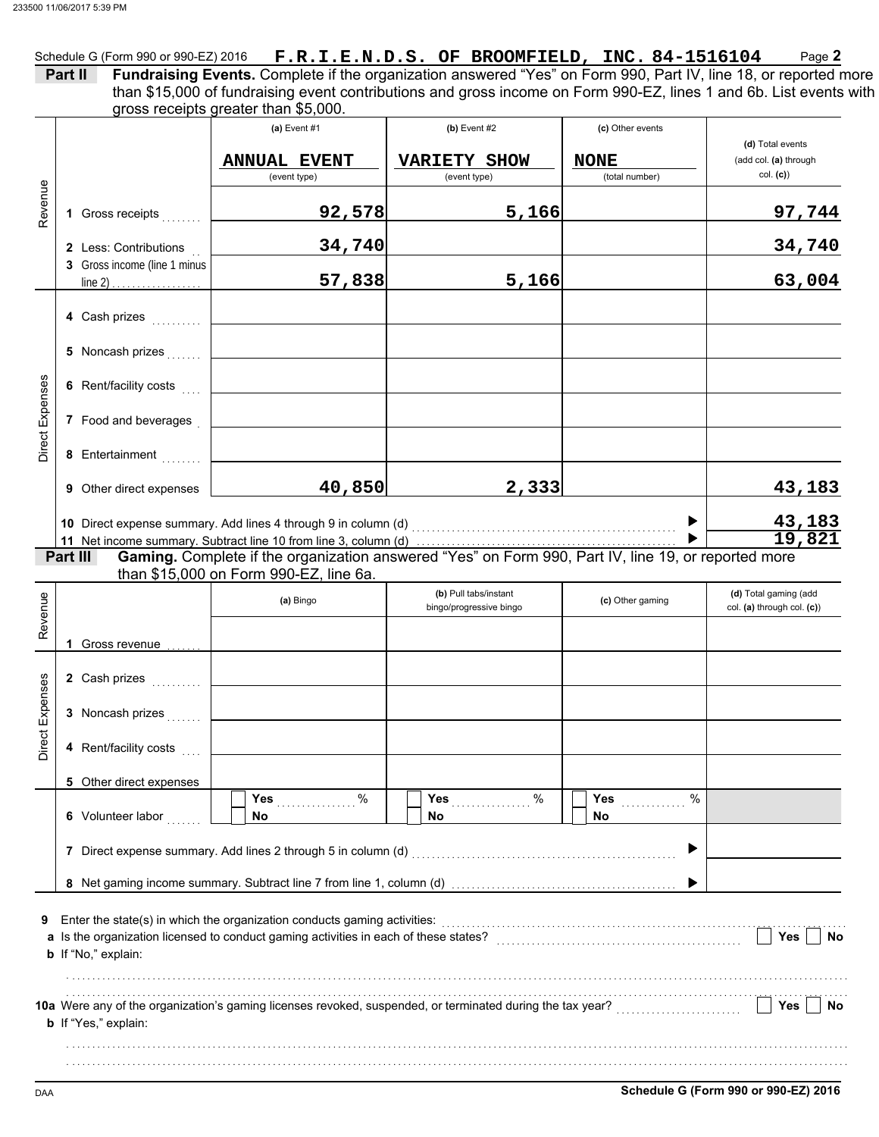|                        | Part II                                          | gross receipts greater than \$5,000.                  | Schedule G (Form 990 or 990-EZ) 2016 $\bm{F}.\bm{R}.\bm{I}.\bm{E}.\bm{N}.\bm{D}.\bm{S}.\bm{OF}$ BROOMFIELD, INC. 84-1516104<br>Fundraising Events. Complete if the organization answered "Yes" on Form 990, Part IV, line 18, or reported more<br>than \$15,000 of fundraising event contributions and gross income on Form 990-EZ, lines 1 and 6b. List events with |                                                   | Page 2                                                |
|------------------------|--------------------------------------------------|-------------------------------------------------------|----------------------------------------------------------------------------------------------------------------------------------------------------------------------------------------------------------------------------------------------------------------------------------------------------------------------------------------------------------------------|---------------------------------------------------|-------------------------------------------------------|
|                        |                                                  | (a) Event $#1$<br><b>ANNUAL EVENT</b><br>(event type) | $(b)$ Event #2<br><b>VARIETY SHOW</b><br>(event type)                                                                                                                                                                                                                                                                                                                | (c) Other events<br><b>NONE</b><br>(total number) | (d) Total events<br>(add col. (a) through<br>col. (c) |
| Revenue                | 1 Gross receipts                                 | 92,578                                                | 5,166                                                                                                                                                                                                                                                                                                                                                                |                                                   | 97,744                                                |
|                        | 2 Less: Contributions                            | 34,740                                                |                                                                                                                                                                                                                                                                                                                                                                      |                                                   | 34,740                                                |
|                        | 3 Gross income (line 1 minus<br>line 2) $\ldots$ | 57,838                                                | 5,166                                                                                                                                                                                                                                                                                                                                                                |                                                   | 63,004                                                |
|                        | 4 Cash prizes                                    |                                                       |                                                                                                                                                                                                                                                                                                                                                                      |                                                   |                                                       |
|                        | 5 Noncash prizes                                 |                                                       |                                                                                                                                                                                                                                                                                                                                                                      |                                                   |                                                       |
|                        | 6 Rent/facility costs                            |                                                       |                                                                                                                                                                                                                                                                                                                                                                      |                                                   |                                                       |
| <b>Direct Expenses</b> | 7 Food and beverages                             |                                                       |                                                                                                                                                                                                                                                                                                                                                                      |                                                   |                                                       |
|                        | 8 Entertainment                                  |                                                       |                                                                                                                                                                                                                                                                                                                                                                      |                                                   |                                                       |
|                        | 9 Other direct expenses                          | 40,850                                                | 2,333                                                                                                                                                                                                                                                                                                                                                                |                                                   | 43,183                                                |
|                        | Part III                                         |                                                       | Gaming. Complete if the organization answered "Yes" on Form 990, Part IV, line 19, or reported more                                                                                                                                                                                                                                                                  |                                                   | 43,183<br>19,821                                      |
| Revenue                |                                                  | than \$15,000 on Form 990-EZ, line 6a.<br>(a) Bingo   | (b) Pull tabs/instant<br>bingo/progressive bingo                                                                                                                                                                                                                                                                                                                     | (c) Other gaming                                  | (d) Total gaming (add<br>col. (a) through col. (c))   |
|                        | 1 Gross revenue                                  |                                                       |                                                                                                                                                                                                                                                                                                                                                                      |                                                   |                                                       |
|                        | 2 Cash prizes                                    |                                                       |                                                                                                                                                                                                                                                                                                                                                                      |                                                   |                                                       |
|                        |                                                  |                                                       |                                                                                                                                                                                                                                                                                                                                                                      |                                                   |                                                       |
|                        | 3 Noncash prizes                                 |                                                       |                                                                                                                                                                                                                                                                                                                                                                      |                                                   |                                                       |
| Direct Expenses        | 4 Rent/facility costs                            |                                                       |                                                                                                                                                                                                                                                                                                                                                                      |                                                   |                                                       |
|                        | 5 Other direct expenses                          |                                                       |                                                                                                                                                                                                                                                                                                                                                                      |                                                   |                                                       |
|                        | 6 Volunteer labor                                | Yes $%$<br>No.                                        | %<br>Yes<br>No                                                                                                                                                                                                                                                                                                                                                       | $\%$<br><b>Yes</b> ___________<br>No              |                                                       |
|                        |                                                  |                                                       | 7 Direct expense summary. Add lines 2 through 5 in column (d) [11] [21] Direct expenses summary                                                                                                                                                                                                                                                                      |                                                   |                                                       |
|                        |                                                  |                                                       |                                                                                                                                                                                                                                                                                                                                                                      |                                                   |                                                       |
| 9                      | <b>b</b> If "No," explain:                       |                                                       | a Is the organization licensed to conduct gaming activities in each of these states? [[[[[[[[[[[[[[[[[[[[[[[[[                                                                                                                                                                                                                                                       |                                                   | Yes<br>No                                             |
|                        | <b>b</b> If "Yes," explain:                      |                                                       |                                                                                                                                                                                                                                                                                                                                                                      |                                                   | Yes<br>No                                             |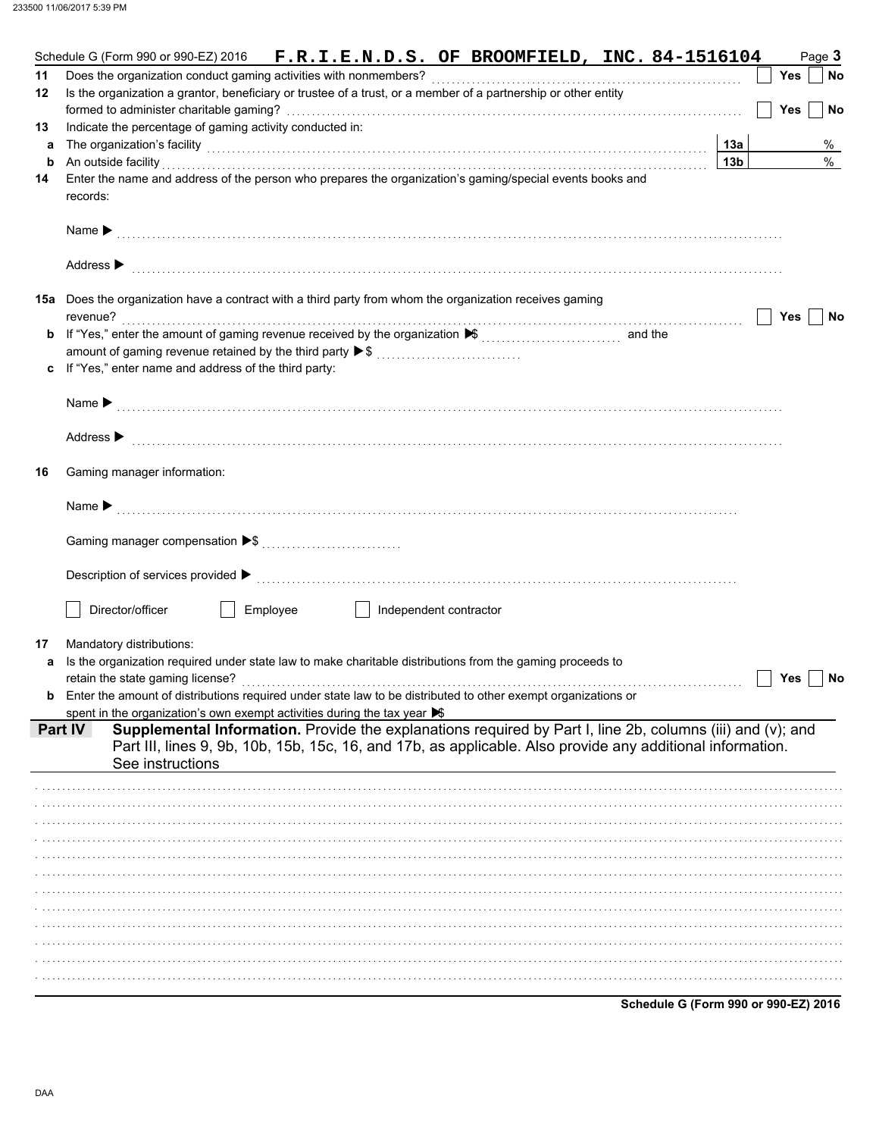|    | Schedule G (Form 990 or 990-EZ) 2016 F.R.I.E.N.D.S. OF BROOMFIELD, INC. 84-1516104                                                                |                 |     | Page 3 |
|----|---------------------------------------------------------------------------------------------------------------------------------------------------|-----------------|-----|--------|
| 11 | Does the organization conduct gaming activities with nonmembers?                                                                                  |                 | Yes | No     |
| 12 | Is the organization a grantor, beneficiary or trustee of a trust, or a member of a partnership or other entity                                    |                 |     |        |
|    |                                                                                                                                                   |                 | Yes | No     |
| 13 | Indicate the percentage of gaming activity conducted in:                                                                                          |                 |     |        |
| a  |                                                                                                                                                   | 13a             |     | %      |
| b  | The organization's facility <b>contained a contained a contained a contained a contained a contained a contained a</b><br>An outside facility     | 13 <sub>b</sub> |     | $\%$   |
|    | Enter the name and address of the person who prepares the organization's gaming/special events books and                                          |                 |     |        |
| 14 |                                                                                                                                                   |                 |     |        |
|    | records:                                                                                                                                          |                 |     |        |
|    |                                                                                                                                                   |                 |     |        |
|    |                                                                                                                                                   |                 |     |        |
|    |                                                                                                                                                   |                 |     |        |
|    | Address $\blacktriangleright$                                                                                                                     |                 |     |        |
|    |                                                                                                                                                   |                 |     |        |
|    | <b>15a</b> Does the organization have a contract with a third party from whom the organization receives gaming                                    |                 |     |        |
|    | revenue?                                                                                                                                          |                 | Yes | No     |
| b  | If "Yes," enter the amount of gaming revenue received by the organization <del>▶</del> ( <i>comminimality</i> ) and the                           |                 |     |        |
|    | amount of gaming revenue retained by the third party ▶ \$                                                                                         |                 |     |        |
|    | c If "Yes," enter name and address of the third party:                                                                                            |                 |     |        |
|    |                                                                                                                                                   |                 |     |        |
|    |                                                                                                                                                   |                 |     |        |
|    |                                                                                                                                                   |                 |     |        |
|    |                                                                                                                                                   |                 |     |        |
|    | Address $\blacktriangleright$                                                                                                                     |                 |     |        |
|    |                                                                                                                                                   |                 |     |        |
| 16 | Gaming manager information:                                                                                                                       |                 |     |        |
|    |                                                                                                                                                   |                 |     |        |
|    |                                                                                                                                                   |                 |     |        |
|    |                                                                                                                                                   |                 |     |        |
|    |                                                                                                                                                   |                 |     |        |
|    |                                                                                                                                                   |                 |     |        |
|    |                                                                                                                                                   |                 |     |        |
|    |                                                                                                                                                   |                 |     |        |
|    | Director/officer<br>Employee<br>Independent contractor                                                                                            |                 |     |        |
|    |                                                                                                                                                   |                 |     |        |
| 17 | Mandatory distributions:                                                                                                                          |                 |     |        |
| a  | Is the organization required under state law to make charitable distributions from the gaming proceeds to                                         |                 |     |        |
|    |                                                                                                                                                   |                 |     |        |
|    | retain the state gaming license?<br>Enter the amount of distributions required under state law to be distributed to other exempt organizations or |                 | Yes | No     |
|    |                                                                                                                                                   |                 |     |        |
|    | spent in the organization's own exempt activities during the tax year $\blacktriangleright$                                                       |                 |     |        |
|    | Supplemental Information. Provide the explanations required by Part I, line 2b, columns (iii) and (v); and<br><b>Part IV</b>                      |                 |     |        |
|    | Part III, lines 9, 9b, 10b, 15b, 15c, 16, and 17b, as applicable. Also provide any additional information.                                        |                 |     |        |
|    | See instructions                                                                                                                                  |                 |     |        |
|    |                                                                                                                                                   |                 |     |        |
|    |                                                                                                                                                   |                 |     |        |
|    |                                                                                                                                                   |                 |     |        |
|    |                                                                                                                                                   |                 |     |        |
|    |                                                                                                                                                   |                 |     |        |
|    |                                                                                                                                                   |                 |     |        |
|    |                                                                                                                                                   |                 |     |        |
|    |                                                                                                                                                   |                 |     |        |
|    |                                                                                                                                                   |                 |     |        |
|    |                                                                                                                                                   |                 |     |        |
|    |                                                                                                                                                   |                 |     |        |
|    |                                                                                                                                                   |                 |     |        |
|    |                                                                                                                                                   |                 |     |        |
|    |                                                                                                                                                   |                 |     |        |
|    | Schedule G (Form 990 or 990-EZ) 2016                                                                                                              |                 |     |        |
|    |                                                                                                                                                   |                 |     |        |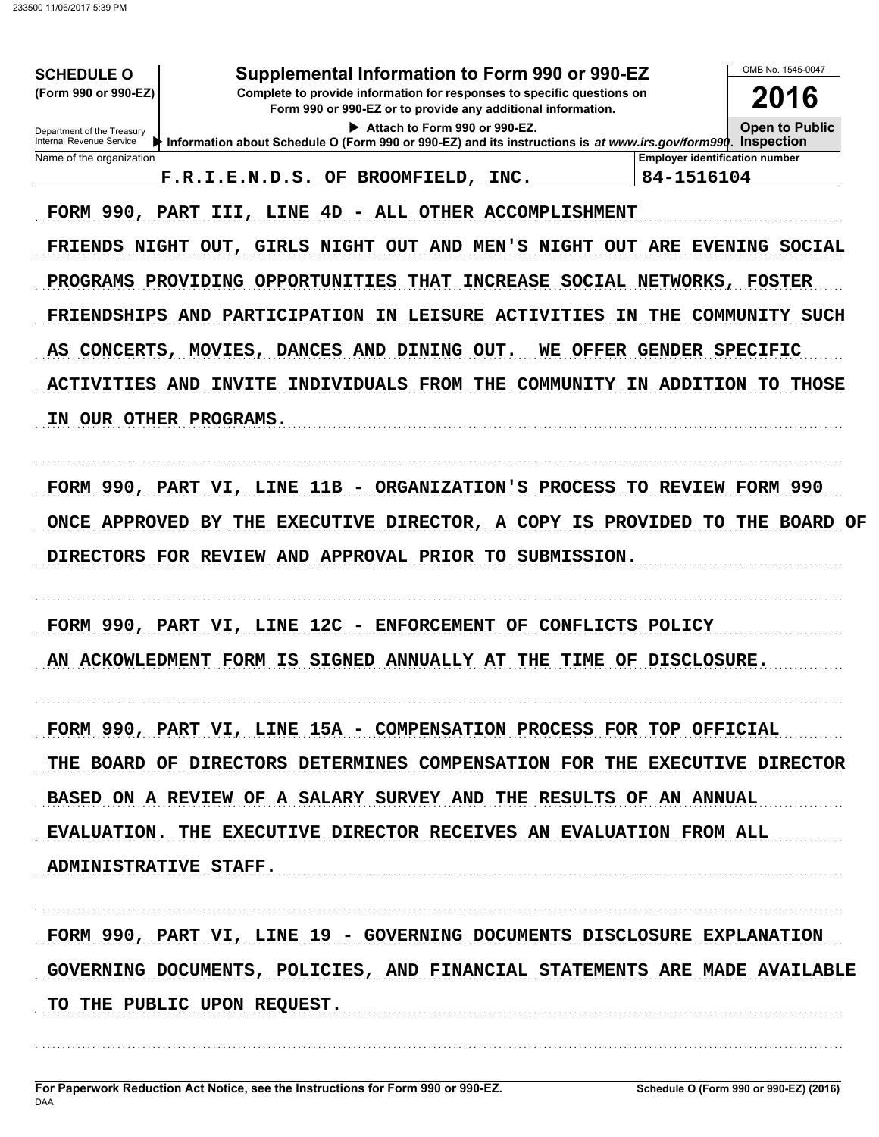| Supplemental Information to Form 990 or 990-EZ<br><b>SCHEDULE O</b><br>(Form 990 or 990-EZ)<br>Complete to provide information for responses to specific questions on<br>Form 990 or 990-EZ or to provide any additional information.<br>Attach to Form 990 or 990-EZ.<br>Department of the Treasury<br>Internal Revenue Service<br>Information about Schedule O (Form 990 or 990-EZ) and its instructions is at www.irs.gov/form990. Inspection |                                                                                                                                                                                                                                                                                                                                                                                                                                                 |                                                     | OMB No. 1545-0047<br>2016<br><b>Open to Public</b> |
|--------------------------------------------------------------------------------------------------------------------------------------------------------------------------------------------------------------------------------------------------------------------------------------------------------------------------------------------------------------------------------------------------------------------------------------------------|-------------------------------------------------------------------------------------------------------------------------------------------------------------------------------------------------------------------------------------------------------------------------------------------------------------------------------------------------------------------------------------------------------------------------------------------------|-----------------------------------------------------|----------------------------------------------------|
| Name of the organization                                                                                                                                                                                                                                                                                                                                                                                                                         | F.R.I.E.N.D.S. OF BROOMFIELD, INC.                                                                                                                                                                                                                                                                                                                                                                                                              | <b>Employer identification number</b><br>84-1516104 |                                                    |
| IN OUR OTHER PROGRAMS.                                                                                                                                                                                                                                                                                                                                                                                                                           | FORM 990, PART III, LINE 4D - ALL OTHER ACCOMPLISHMENT<br>FRIENDS NIGHT OUT, GIRLS NIGHT OUT AND MEN'S NIGHT OUT ARE EVENING SOCIAL<br>PROGRAMS PROVIDING OPPORTUNITIES THAT INCREASE SOCIAL NETWORKS, FOSTER<br>FRIENDSHIPS AND PARTICIPATION IN LEISURE ACTIVITIES IN THE COMMUNITY SUCH<br>AS CONCERTS, MOVIES, DANCES AND DINING OUT. WE OFFER GENDER SPECIFIC<br>ACTIVITIES AND INVITE INDIVIDUALS FROM THE COMMUNITY IN ADDITION TO THOSE |                                                     |                                                    |
|                                                                                                                                                                                                                                                                                                                                                                                                                                                  | FORM 990, PART VI, LINE 11B - ORGANIZATION'S PROCESS TO REVIEW FORM 990<br>ONCE APPROVED BY THE EXECUTIVE DIRECTOR, A COPY IS PROVIDED TO THE BOARD OF<br>DIRECTORS FOR REVIEW AND APPROVAL PRIOR TO SUBMISSION.                                                                                                                                                                                                                                |                                                     |                                                    |
|                                                                                                                                                                                                                                                                                                                                                                                                                                                  | FORM 990, PART VI, LINE 12C - ENFORCEMENT OF CONFLICTS POLICY<br>AN ACKOWLEDMENT FORM IS SIGNED ANNUALLY AT THE TIME OF DISCLOSURE.                                                                                                                                                                                                                                                                                                             |                                                     |                                                    |
|                                                                                                                                                                                                                                                                                                                                                                                                                                                  | FORM 990, PART VI, LINE 15A - COMPENSATION PROCESS FOR TOP OFFICIAL                                                                                                                                                                                                                                                                                                                                                                             |                                                     |                                                    |
|                                                                                                                                                                                                                                                                                                                                                                                                                                                  | THE BOARD OF DIRECTORS DETERMINES COMPENSATION FOR THE EXECUTIVE DIRECTOR                                                                                                                                                                                                                                                                                                                                                                       |                                                     |                                                    |
|                                                                                                                                                                                                                                                                                                                                                                                                                                                  | BASED ON A REVIEW OF A SALARY SURVEY AND THE RESULTS OF AN ANNUAL                                                                                                                                                                                                                                                                                                                                                                               |                                                     |                                                    |
| ADMINISTRATIVE STAFF.                                                                                                                                                                                                                                                                                                                                                                                                                            | EVALUATION. THE EXECUTIVE DIRECTOR RECEIVES AN EVALUATION FROM ALL                                                                                                                                                                                                                                                                                                                                                                              |                                                     |                                                    |
| TO THE PUBLIC UPON REQUEST.                                                                                                                                                                                                                                                                                                                                                                                                                      | FORM 990, PART VI, LINE 19 - GOVERNING DOCUMENTS DISCLOSURE EXPLANATION<br>GOVERNING DOCUMENTS, POLICIES, AND FINANCIAL STATEMENTS ARE MADE AVAILABLE                                                                                                                                                                                                                                                                                           |                                                     |                                                    |